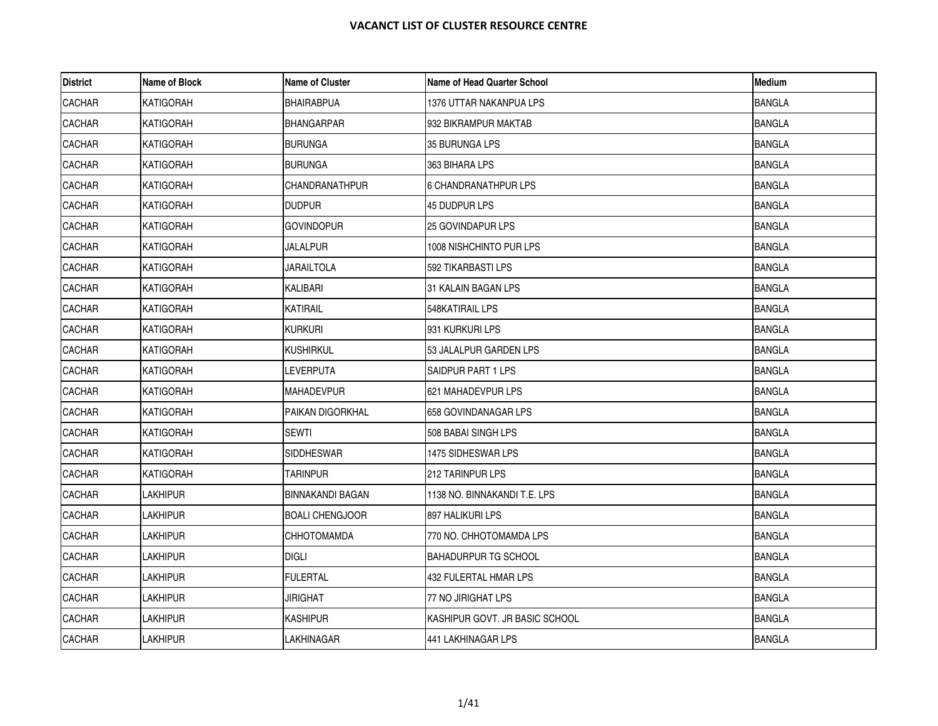| <b>District</b> | Name of Block    | <b>Name of Cluster</b>  | <b>Name of Head Quarter School</b> | <b>Medium</b> |
|-----------------|------------------|-------------------------|------------------------------------|---------------|
| CACHAR          | <b>KATIGORAH</b> | <b>BHAIRABPUA</b>       | 1376 UTTAR NAKANPUA LPS            | <b>BANGLA</b> |
| <b>CACHAR</b>   | KATIGORAH        | <b>BHANGARPAR</b>       | 932 BIKRAMPUR MAKTAB               | <b>BANGLA</b> |
| <b>CACHAR</b>   | <b>KATIGORAH</b> | <b>BURUNGA</b>          | 35 BURUNGA LPS                     | <b>BANGLA</b> |
| CACHAR          | <b>KATIGORAH</b> | <b>BURUNGA</b>          | 363 BIHARA LPS                     | <b>BANGLA</b> |
| CACHAR          | <b>KATIGORAH</b> | CHANDRANATHPUR          | 6 CHANDRANATHPUR LPS               | <b>BANGLA</b> |
| CACHAR          | KATIGORAH        | <b>DUDPUR</b>           | 45 DUDPUR LPS                      | <b>BANGLA</b> |
| CACHAR          | <b>KATIGORAH</b> | <b>GOVINDOPUR</b>       | 25 GOVINDAPUR LPS                  | <b>BANGLA</b> |
| CACHAR          | KATIGORAH        | JALALPUR                | 1008 NISHCHINTO PUR LPS            | <b>BANGLA</b> |
| <b>CACHAR</b>   | KATIGORAH        | JARAILTOLA              | 592 TIKARBASTI LPS                 | <b>BANGLA</b> |
| CACHAR          | <b>KATIGORAH</b> | KALIBARI                | 31 KALAIN BAGAN LPS                | <b>BANGLA</b> |
| <b>CACHAR</b>   | <b>KATIGORAH</b> | <b>KATIRAIL</b>         | 548KATIRAIL LPS                    | <b>BANGLA</b> |
| <b>CACHAR</b>   | <b>KATIGORAH</b> | Kurkuri                 | 931 KURKURI LPS                    | <b>BANGLA</b> |
| <b>CACHAR</b>   | KATIGORAH        | <b>KUSHIRKUL</b>        | 53 JALALPUR GARDEN LPS             | <b>BANGLA</b> |
| <b>CACHAR</b>   | <b>KATIGORAH</b> | LEVERPUTA               | SAIDPUR PART 1 LPS                 | <b>BANGLA</b> |
| <b>CACHAR</b>   | KATIGORAH        | <b>MAHADEVPUR</b>       | 621 MAHADEVPUR LPS                 | <b>BANGLA</b> |
| CACHAR          | <b>KATIGORAH</b> | PAIKAN DIGORKHAL        | 658 GOVINDANAGAR LPS               | <b>BANGLA</b> |
| <b>CACHAR</b>   | KATIGORAH        | <b>SEWTI</b>            | 508 BABAI SINGH LPS                | <b>BANGLA</b> |
| CACHAR          | <b>KATIGORAH</b> | <b>SIDDHESWAR</b>       | 1475 SIDHESWAR LPS                 | <b>BANGLA</b> |
| <b>CACHAR</b>   | KATIGORAH        | TARINPUR                | 212 TARINPUR LPS                   | <b>BANGLA</b> |
| <b>CACHAR</b>   | <b>LAKHIPUR</b>  | <b>BINNAKANDI BAGAN</b> | 1138 NO. BINNAKANDI T.E. LPS       | <b>BANGLA</b> |
| CACHAR          | LAKHIPUR         | <b>BOALI CHENGJOOR</b>  | 897 HALIKURI LPS                   | <b>BANGLA</b> |
| CACHAR          | LAKHIPUR         | CHHOTOMAMDA             | 770 NO. CHHOTOMAMDA LPS            | <b>BANGLA</b> |
| <b>CACHAR</b>   | <b>LAKHIPUR</b>  | <b>DIGLI</b>            | BAHADURPUR TG SCHOOL               | <b>BANGLA</b> |
| CACHAR          | <b>LAKHIPUR</b>  | <b>FULERTAL</b>         | <b>432 FULERTAL HMAR LPS</b>       | <b>BANGLA</b> |
| <b>CACHAR</b>   | <b>LAKHIPUR</b>  | JIRIGHAT                | 77 NO JIRIGHAT LPS                 | <b>BANGLA</b> |
| <b>CACHAR</b>   | lakhipur         | <b>KASHIPUR</b>         | KASHIPUR GOVT. JR BASIC SCHOOL     | <b>BANGLA</b> |
| <b>CACHAR</b>   | <b>LAKHIPUR</b>  | LAKHINAGAR              | 441 LAKHINAGAR LPS                 | <b>BANGLA</b> |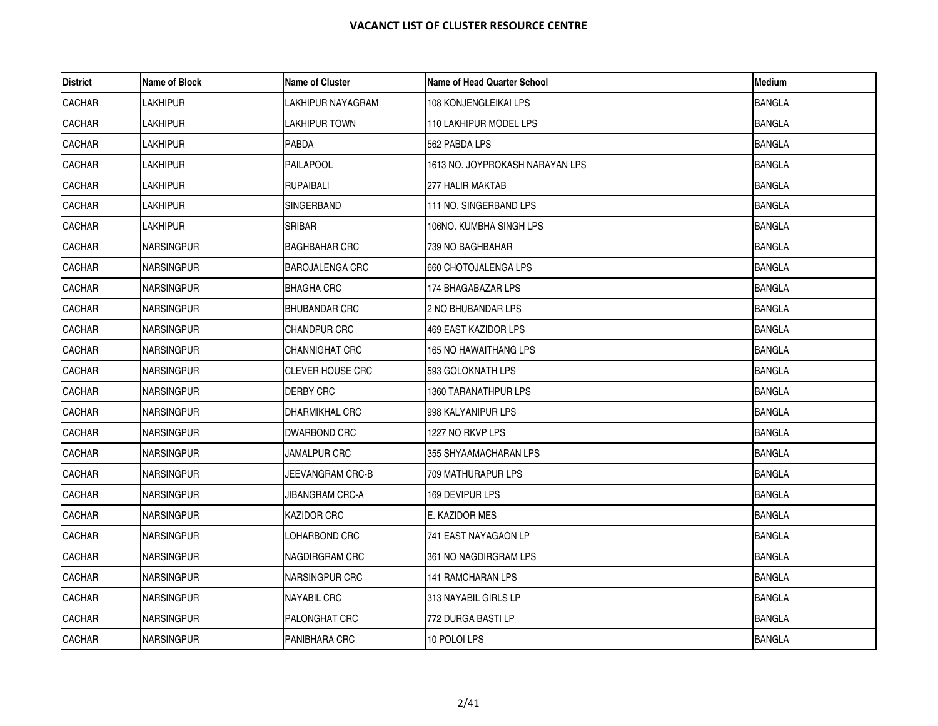| <b>District</b> | Name of Block     | <b>Name of Cluster</b>  | <b>Name of Head Quarter School</b> | <b>Medium</b> |
|-----------------|-------------------|-------------------------|------------------------------------|---------------|
| <b>CACHAR</b>   | LAKHIPUR          | LAKHIPUR NAYAGRAM       | 108 KONJENGLEIKAI LPS              | <b>BANGLA</b> |
| <b>CACHAR</b>   | <b>LAKHIPUR</b>   | LAKHIPUR TOWN           | 110 LAKHIPUR MODEL LPS             | <b>BANGLA</b> |
| <b>CACHAR</b>   | Lakhipur          | PABDA                   | 562 PABDA LPS                      | <b>BANGLA</b> |
| <b>CACHAR</b>   | <b>LAKHIPUR</b>   | <b>PAILAPOOL</b>        | 1613 NO. JOYPROKASH NARAYAN LPS    | <b>BANGLA</b> |
| CACHAR          | <b>LAKHIPUR</b>   | <b>RUPAIBALI</b>        | 277 HALIR MAKTAB                   | <b>BANGLA</b> |
| CACHAR          | <b>LAKHIPUR</b>   | SINGERBAND              | 111 NO. SINGERBAND LPS             | <b>BANGLA</b> |
| <b>CACHAR</b>   | Lakhipur          | SRIBAR                  | 106NO. KUMBHA SINGH LPS            | <b>BANGLA</b> |
| <b>CACHAR</b>   | <b>NARSINGPUR</b> | <b>BAGHBAHAR CRC</b>    | 739 NO BAGHBAHAR                   | <b>BANGLA</b> |
| CACHAR          | <b>NARSINGPUR</b> | <b>BAROJALENGA CRC</b>  | 660 CHOTOJALENGA LPS               | <b>BANGLA</b> |
| CACHAR          | <b>NARSINGPUR</b> | BHAGHA CRC              | 174 BHAGABAZAR LPS                 | <b>BANGLA</b> |
| <b>CACHAR</b>   | <b>NARSINGPUR</b> | <b>BHUBANDAR CRC</b>    | 2 NO BHUBANDAR LPS                 | <b>BANGLA</b> |
| <b>CACHAR</b>   | <b>NARSINGPUR</b> | CHANDPUR CRC            | 469 EAST KAZIDOR LPS               | <b>BANGLA</b> |
| <b>CACHAR</b>   | <b>NARSINGPUR</b> | <b>CHANNIGHAT CRC</b>   | 165 NO HAWAITHANG LPS              | <b>BANGLA</b> |
| <b>CACHAR</b>   | <b>NARSINGPUR</b> | <b>CLEVER HOUSE CRC</b> | 593 GOLOKNATH LPS                  | <b>BANGLA</b> |
| <b>CACHAR</b>   | <b>NARSINGPUR</b> | DERBY CRC               | 1360 TARANATHPUR LPS               | <b>BANGLA</b> |
| <b>CACHAR</b>   | <b>NARSINGPUR</b> | DHARMIKHAL CRC          | 998 KALYANIPUR LPS                 | <b>BANGLA</b> |
| <b>CACHAR</b>   | <b>NARSINGPUR</b> | DWARBOND CRC            | 1227 NO RKVP LPS                   | <b>BANGLA</b> |
| CACHAR          | <b>NARSINGPUR</b> | JAMALPUR CRC            | 355 SHYAAMACHARAN LPS              | <b>BANGLA</b> |
| <b>CACHAR</b>   | <b>NARSINGPUR</b> | JEEVANGRAM CRC-B        | 709 MATHURAPUR LPS                 | <b>BANGLA</b> |
| <b>CACHAR</b>   | INARSINGPUR       | JIBANGRAM CRC-A         | 169 DEVIPUR LPS                    | <b>BANGLA</b> |
| CACHAR          | <b>NARSINGPUR</b> | <b>KAZIDOR CRC</b>      | E. KAZIDOR MES                     | <b>BANGLA</b> |
| CACHAR          | <b>NARSINGPUR</b> | _OHARBOND CRC           | 741 EAST NAYAGAON LP               | <b>BANGLA</b> |
| <b>CACHAR</b>   | <b>NARSINGPUR</b> | NAGDIRGRAM CRC          | 361 NO NAGDIRGRAM LPS              | <b>BANGLA</b> |
| CACHAR          | <b>NARSINGPUR</b> | NARSINGPUR CRC          | 141 RAMCHARAN LPS                  | <b>BANGLA</b> |
| <b>CACHAR</b>   | <b>NARSINGPUR</b> | NAYABIL CRC             | 313 NAYABIL GIRLS LP               | <b>BANGLA</b> |
| <b>CACHAR</b>   | <b>NARSINGPUR</b> | <b>PALONGHAT CRC</b>    | 772 DURGA BASTI LP                 | <b>BANGLA</b> |
| <b>CACHAR</b>   | NARSINGPUR        | <b>PANIBHARA CRC</b>    | 10 POLOI LPS                       | <b>BANGLA</b> |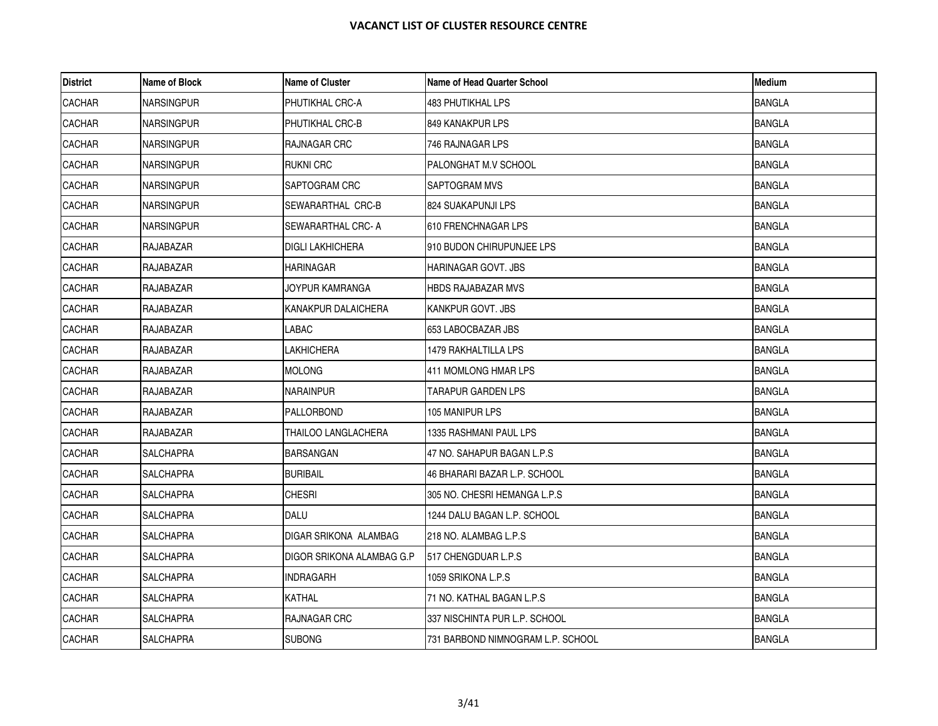| <b>District</b> | Name of Block     | <b>Name of Cluster</b>    | <b>Name of Head Quarter School</b> | Medium        |
|-----------------|-------------------|---------------------------|------------------------------------|---------------|
| <b>CACHAR</b>   | <b>NARSINGPUR</b> | PHUTIKHAL CRC-A           | 483 PHUTIKHAL LPS                  | <b>BANGLA</b> |
| <b>CACHAR</b>   | <b>NARSINGPUR</b> | PHUTIKHAL CRC-B           | 849 KANAKPUR LPS                   | <b>BANGLA</b> |
| <b>CACHAR</b>   | <b>NARSINGPUR</b> | RAJNAGAR CRC              | 746 RAJNAGAR LPS                   | <b>BANGLA</b> |
| <b>CACHAR</b>   | <b>NARSINGPUR</b> | <b>RUKNI CRC</b>          | PALONGHAT M.V SCHOOL               | <b>BANGLA</b> |
| CACHAR          | <b>NARSINGPUR</b> | SAPTOGRAM CRC             | SAPTOGRAM MVS                      | <b>BANGLA</b> |
| <b>CACHAR</b>   | <b>NARSINGPUR</b> | SEWARARTHAL CRC-B         | 824 SUAKAPUNJI LPS                 | <b>BANGLA</b> |
| <b>CACHAR</b>   | <b>NARSINGPUR</b> | SEWARARTHAL CRC- A        | 610 FRENCHNAGAR LPS                | <b>BANGLA</b> |
| <b>CACHAR</b>   | RAJABAZAR         | <b>DIGLI LAKHICHERA</b>   | 910 BUDON CHIRUPUNJEE LPS          | <b>BANGLA</b> |
| <b>CACHAR</b>   | RAJABAZAR         | HARINAGAR                 | HARINAGAR GOVT. JBS                | <b>BANGLA</b> |
| CACHAR          | RAJABAZAR         | JOYPUR KAMRANGA           | HBDS RAJABAZAR MVS                 | <b>BANGLA</b> |
| CACHAR          | RAJABAZAR         | KANAKPUR DALAICHERA       | KANKPUR GOVT. JBS                  | <b>BANGLA</b> |
| CACHAR          | RAJABAZAR         | LABAC                     | 653 LABOCBAZAR JBS                 | <b>BANGLA</b> |
| <b>CACHAR</b>   | RAJABAZAR         | LAKHICHERA                | 1479 RAKHALTILLA LPS               | <b>BANGLA</b> |
| <b>CACHAR</b>   | RAJABAZAR         | <b>MOLONG</b>             | 411 MOMLONG HMAR LPS               | <b>BANGLA</b> |
| <b>CACHAR</b>   | RAJABAZAR         | NARAINPUR                 | TARAPUR GARDEN LPS                 | <b>BANGLA</b> |
| <b>CACHAR</b>   | RAJABAZAR         | PALLORBOND                | 105 MANIPUR LPS                    | <b>BANGLA</b> |
| <b>CACHAR</b>   | RAJABAZAR         | THAILOO LANGLACHERA       | 1335 RASHMANI PAUL LPS             | <b>BANGLA</b> |
| <b>CACHAR</b>   | <b>SALCHAPRA</b>  | <b>BARSANGAN</b>          | 47 NO. SAHAPUR BAGAN L.P.S         | <b>BANGLA</b> |
| <b>CACHAR</b>   | SALCHAPRA         | <b>BURIBAIL</b>           | 46 BHARARI BAZAR L.P. SCHOOL       | <b>BANGLA</b> |
| <b>CACHAR</b>   | <b>SALCHAPRA</b>  | <b>CHESRI</b>             | 305 NO. CHESRI HEMANGA L.P.S       | <b>BANGLA</b> |
| <b>CACHAR</b>   | <b>SALCHAPRA</b>  | DALU                      | 1244 DALU BAGAN L.P. SCHOOL        | <b>BANGLA</b> |
| CACHAR          | SALCHAPRA         | DIGAR SRIKONA ALAMBAG     | 218 NO. ALAMBAG L.P.S              | <b>BANGLA</b> |
| <b>CACHAR</b>   | <b>SALCHAPRA</b>  | DIGOR SRIKONA ALAMBAG G.P | 517 CHENGDUAR L.P.S                | <b>BANGLA</b> |
| CACHAR          | <b>SALCHAPRA</b>  | <b>INDRAGARH</b>          | 1059 SRIKONA L.P.S                 | <b>BANGLA</b> |
| <b>CACHAR</b>   | SALCHAPRA         | KATHAL                    | 71 NO. KATHAL BAGAN L.P.S          | <b>BANGLA</b> |
| <b>CACHAR</b>   | <b>SALCHAPRA</b>  | <b>RAJNAGAR CRC</b>       | 337 NISCHINTA PUR L.P. SCHOOL      | <b>BANGLA</b> |
| CACHAR          | <b>SALCHAPRA</b>  | <b>SUBONG</b>             | 731 BARBOND NIMNOGRAM L.P. SCHOOL  | <b>BANGLA</b> |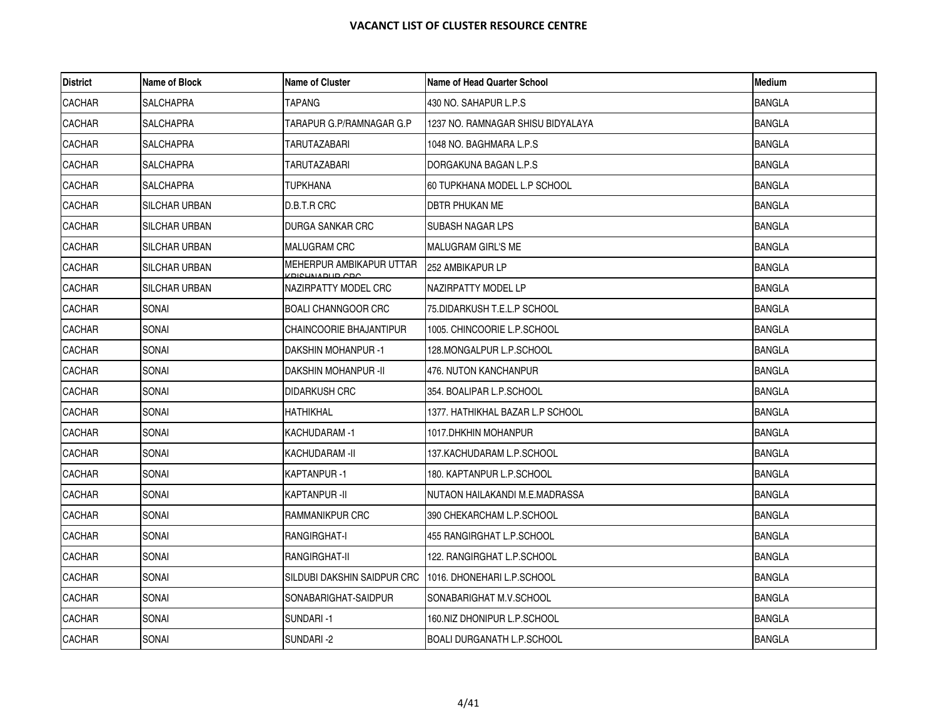| <b>District</b> | Name of Block        | <b>Name of Cluster</b>                  | Name of Head Quarter School       | <b>Medium</b> |
|-----------------|----------------------|-----------------------------------------|-----------------------------------|---------------|
| <b>CACHAR</b>   | SALCHAPRA            | TAPANG                                  | 430 NO. SAHAPUR L.P.S             | <b>BANGLA</b> |
| <b>CACHAR</b>   | <b>SALCHAPRA</b>     | TARAPUR G.P/RAMNAGAR G.P                | 1237 NO. RAMNAGAR SHISU BIDYALAYA | <b>BANGLA</b> |
| <b>CACHAR</b>   | SALCHAPRA            | TARUTAZABARI                            | 1048 NO. BAGHMARA L.P.S           | <b>BANGLA</b> |
| <b>CACHAR</b>   | <b>SALCHAPRA</b>     | TARUTAZABARI                            | DORGAKUNA BAGAN L.P.S             | <b>BANGLA</b> |
| <b>CACHAR</b>   | <b>SALCHAPRA</b>     | TUPKHANA                                | 60 TUPKHANA MODEL L.P SCHOOL      | <b>BANGLA</b> |
| <b>CACHAR</b>   | SILCHAR URBAN        | D.B.T.R CRC                             | DBTR PHUKAN ME                    | <b>BANGLA</b> |
| <b>CACHAR</b>   | <b>SILCHAR URBAN</b> | <b>DURGA SANKAR CRC</b>                 | ISUBASH NAGAR LPS                 | <b>BANGLA</b> |
| <b>CACHAR</b>   | SILCHAR URBAN        | MALUGRAM CRC                            | MALUGRAM GIRL'S ME                | <b>BANGLA</b> |
| <b>CACHAR</b>   | SILCHAR URBAN        | MEHERPUR AMBIKAPUR UTTAR<br>CDICLIMADUD | 252 AMBIKAPUR LP                  | <b>BANGLA</b> |
| <b>CACHAR</b>   | <b>SILCHAR URBAN</b> | NAZIRPATTY MODEL CRC                    | NAZIRPATTY MODEL LP               | <b>BANGLA</b> |
| <b>CACHAR</b>   | SONAI                | <b>BOALI CHANNGOOR CRC</b>              | 75.DIDARKUSH T.E.L.P SCHOOL       | <b>BANGLA</b> |
| <b>CACHAR</b>   | SONAI                | CHAINCOORIE BHAJANTIPUR                 | 1005. CHINCOORIE L.P.SCHOOL       | <b>BANGLA</b> |
| <b>CACHAR</b>   | SONAI                | <b>DAKSHIN MOHANPUR-1</b>               | 128.MONGALPUR L.P.SCHOOL          | <b>BANGLA</b> |
| <b>CACHAR</b>   | SONAI                | <b>DAKSHIN MOHANPUR -II</b>             | 476. NUTON KANCHANPUR             | <b>BANGLA</b> |
| <b>CACHAR</b>   | SONAI                | DIDARKUSH CRC                           | 354. BOALIPAR L.P.SCHOOL          | <b>BANGLA</b> |
| <b>CACHAR</b>   | SONAI                | <b>HATHIKHAL</b>                        | 1377. HATHIKHAL BAZAR L.P SCHOOL  | <b>BANGLA</b> |
| <b>CACHAR</b>   | <b>SONAI</b>         | KACHUDARAM -1                           | 1017.DHKHIN MOHANPUR              | <b>BANGLA</b> |
| <b>CACHAR</b>   | SONAI                | KACHUDARAM -II                          | 137.KACHUDARAM L.P.SCHOOL         | <b>BANGLA</b> |
| <b>CACHAR</b>   | SONAI                | KAPTANPUR -1                            | 180. KAPTANPUR L.P.SCHOOL         | <b>BANGLA</b> |
| <b>CACHAR</b>   | <b>SONAI</b>         | KAPTANPUR -II                           | INUTAON HAILAKANDI M.E.MADRASSA   | <b>BANGLA</b> |
| <b>CACHAR</b>   | SONAI                | RAMMANIKPUR CRC                         | 390 CHEKARCHAM L.P.SCHOOL         | <b>BANGLA</b> |
| <b>CACHAR</b>   | SONAI                | RANGIRGHAT-I                            | 455 RANGIRGHAT L.P.SCHOOL         | <b>BANGLA</b> |
| <b>CACHAR</b>   | SONAI                | RANGIRGHAT-II                           | 122. RANGIRGHAT L.P.SCHOOL        | <b>BANGLA</b> |
| <b>CACHAR</b>   | SONAI                | SILDUBI DAKSHIN SAIDPUR CRC             | 1016. DHONEHARI L.P.SCHOOL        | <b>BANGLA</b> |
| <b>CACHAR</b>   | SONAI                | SONABARIGHAT-SAIDPUR                    | SONABARIGHAT M.V.SCHOOL           | <b>BANGLA</b> |
| <b>CACHAR</b>   | SONAI                | SUNDARI-1                               | 160.NIZ DHONIPUR L.P.SCHOOL       | <b>BANGLA</b> |
| <b>CACHAR</b>   | <b>SONAI</b>         | SUNDARI-2                               | <b>BOALI DURGANATH L.P.SCHOOL</b> | <b>BANGLA</b> |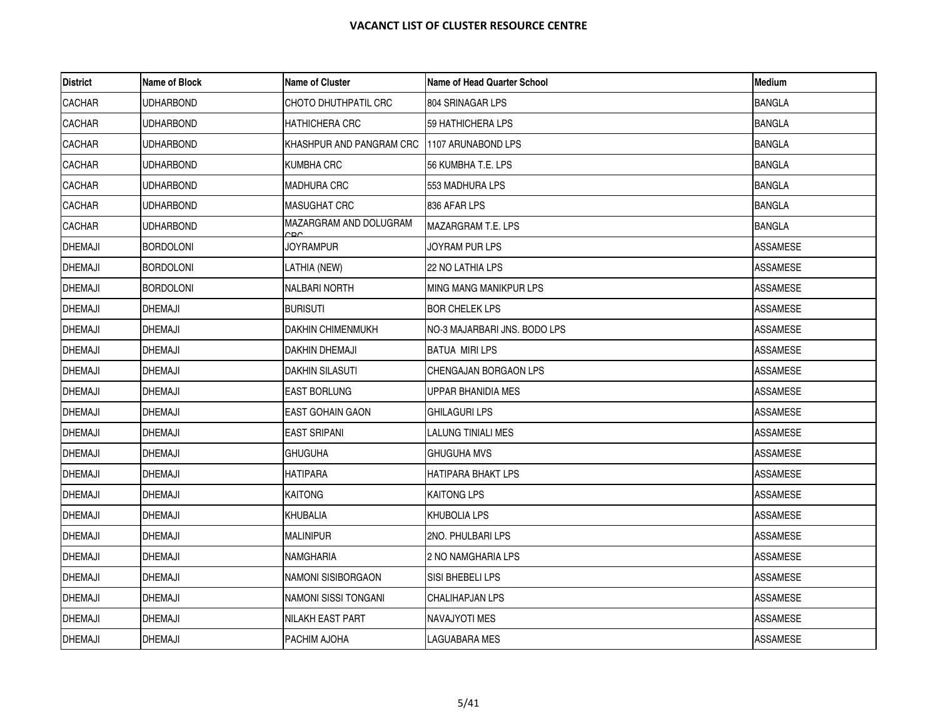| <b>District</b> | Name of Block    | <b>Name of Cluster</b>        | <b>Name of Head Quarter School</b> | <b>Medium</b>   |
|-----------------|------------------|-------------------------------|------------------------------------|-----------------|
| <b>CACHAR</b>   | <b>UDHARBOND</b> | CHOTO DHUTHPATIL CRC          | 804 SRINAGAR LPS                   | <b>BANGLA</b>   |
| <b>CACHAR</b>   | <b>UDHARBOND</b> | <b>HATHICHERA CRC</b>         | 59 HATHICHERA LPS                  | <b>BANGLA</b>   |
| <b>CACHAR</b>   | UDHARBOND        | KHASHPUR AND PANGRAM CRC      | 1107 ARUNABOND LPS                 | <b>BANGLA</b>   |
| <b>CACHAR</b>   | <b>UDHARBOND</b> | KUMBHA CRC                    | 56 KUMBHA T.E. LPS                 | <b>BANGLA</b>   |
| CACHAR          | <b>UDHARBOND</b> | <b>MADHURA CRC</b>            | 553 MADHURA LPS                    | <b>BANGLA</b>   |
| <b>CACHAR</b>   | UDHARBOND        | <b>MASUGHAT CRC</b>           | 836 AFAR LPS                       | <b>BANGLA</b>   |
| <b>CACHAR</b>   | <b>UDHARBOND</b> | MAZARGRAM AND DOLUGRAM<br>^חי | MAZARGRAM T.E. LPS                 | <b>BANGLA</b>   |
| <b>DHEMAJI</b>  | <b>BORDOLONI</b> | <b>JOYRAMPUR</b>              | JOYRAM PUR LPS                     | <b>ASSAMESE</b> |
| <b>DHEMAJI</b>  | <b>BORDOLONI</b> | LATHIA (NEW)                  | 22 NO LATHIA LPS                   | ASSAMESE        |
| <b>DHEMAJI</b>  | <b>BORDOLONI</b> | <b>NALBARI NORTH</b>          | MING MANG MANIKPUR LPS             | <b>ASSAMESE</b> |
| <b>DHEMAJI</b>  | <b>DHEMAJI</b>   | <b>BURISUTI</b>               | <b>BOR CHELEK LPS</b>              | <b>ASSAMESE</b> |
| <b>DHEMAJI</b>  | <b>DHEMAJI</b>   | <b>DAKHIN CHIMENMUKH</b>      | NO-3 MAJARBARI JNS. BODO LPS       | <b>ASSAMESE</b> |
| <b>DHEMAJI</b>  | <b>DHEMAJI</b>   | DAKHIN DHEMAJI                | BATUA MIRI LPS                     | ASSAMESE        |
| <b>DHEMAJI</b>  | <b>DHEMAJI</b>   | <b>DAKHIN SILASUTI</b>        | CHENGAJAN BORGAON LPS              | <b>ASSAMESE</b> |
| <b>DHEMAJI</b>  | <b>DHEMAJI</b>   | <b>EAST BORLUNG</b>           | UPPAR BHANIDIA MES                 | ASSAMESE        |
| <b>DHEMAJI</b>  | <b>DHEMAJI</b>   | <b>EAST GOHAIN GAON</b>       | GHILAGURI LPS                      | ASSAMESE        |
| <b>DHEMAJI</b>  | <b>DHEMAJI</b>   | <b>EAST SRIPANI</b>           | LALUNG TINIALI MES                 | <b>ASSAMESE</b> |
| <b>DHEMAJI</b>  | <b>DHEMAJI</b>   | <b>GHUGUHA</b>                | GHUGUHA MVS                        | ASSAMESE        |
| <b>DHEMAJI</b>  | <b>DHEMAJI</b>   | <b>HATIPARA</b>               | HATIPARA BHAKT LPS                 | ASSAMESE        |
| <b>DHEMAJI</b>  | <b>DHEMAJI</b>   | <b>KAITONG</b>                | KAITONG LPS                        | <b>ASSAMESE</b> |
| <b>DHEMAJI</b>  | <b>DHEMAJI</b>   | <b>KHUBALIA</b>               | KHUBOLIA LPS                       | <b>ASSAMESE</b> |
| <b>DHEMAJI</b>  | <b>DHEMAJI</b>   | <b>MALINIPUR</b>              | 2NO. PHULBARI LPS                  | ASSAMESE        |
| <b>DHEMAJI</b>  | <b>DHEMAJI</b>   | NAMGHARIA                     | 2 NO NAMGHARIA LPS                 | <b>ASSAMESE</b> |
| <b>DHEMAJI</b>  | <b>DHEMAJI</b>   | NAMONI SISIBORGAON            | SISI BHEBELI LPS                   | <b>ASSAMESE</b> |
| <b>DHEMAJI</b>  | <b>DHEMAJI</b>   | NAMONI SISSI TONGANI          | CHALIHAPJAN LPS                    | <b>ASSAMESE</b> |
| <b>DHEMAJI</b>  | <b>DHEMAJI</b>   | NILAKH EAST PART              | NAVAJYOTI MES                      | ASSAMESE        |
| <b>DHEMAJI</b>  | <b>DHEMAJI</b>   | PACHIM AJOHA                  | LAGUABARA MES                      | <b>ASSAMESE</b> |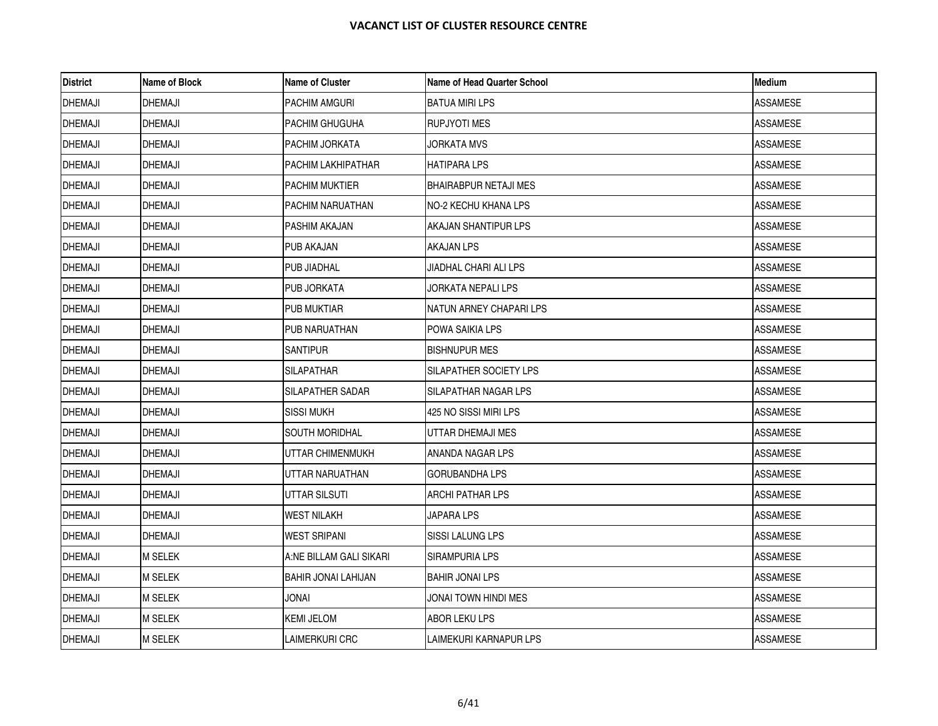| <b>District</b> | Name of Block  | <b>Name of Cluster</b>     | <b>Name of Head Quarter School</b> | <b>Medium</b>   |
|-----------------|----------------|----------------------------|------------------------------------|-----------------|
| <b>DHEMAJI</b>  | <b>DHEMAJI</b> | <b>PACHIM AMGURI</b>       | BATUA MIRI LPS                     | <b>ASSAMESE</b> |
| <b>DHEMAJI</b>  | <b>DHEMAJI</b> | PACHIM GHUGUHA             | <b>RUPJYOTI MES</b>                | <b>ASSAMESE</b> |
| <b>DHEMAJI</b>  | <b>DHEMAJI</b> | PACHIM JORKATA             | JORKATA MVS                        | ASSAMESE        |
| <b>DHEMAJI</b>  | <b>DHEMAJI</b> | PACHIM LAKHIPATHAR         | HATIPARA LPS                       | ASSAMESE        |
| <b>DHEMAJI</b>  | <b>DHEMAJI</b> | <b>PACHIM MUKTIER</b>      | BHAIRABPUR NETAJI MES              | ASSAMESE        |
| <b>DHEMAJI</b>  | <b>DHEMAJI</b> | PACHIM NARUATHAN           | NO-2 KECHU KHANA LPS               | ASSAMESE        |
| <b>DHEMAJI</b>  | <b>DHEMAJI</b> | PASHIM AKAJAN              | AKAJAN SHANTIPUR LPS               | <b>ASSAMESE</b> |
| <b>DHEMAJI</b>  | <b>DHEMAJI</b> | <b>PUB AKAJAN</b>          | AKAJAN LPS                         | <b>ASSAMESE</b> |
| <b>DHEMAJI</b>  | <b>DHEMAJI</b> | PUB JIADHAL                | JIADHAL CHARI ALI LPS              | ASSAMESE        |
| <b>DHEMAJI</b>  | <b>DHEMAJI</b> | <b>PUB JORKATA</b>         | JORKATA NEPALI LPS                 | <b>ASSAMESE</b> |
| <b>DHEMAJI</b>  | <b>DHEMAJI</b> | <b>PUB MUKTIAR</b>         | NATUN ARNEY CHAPARI LPS            | <b>ASSAMESE</b> |
| <b>DHEMAJI</b>  | <b>DHEMAJI</b> | PUB NARUATHAN              | POWA SAIKIA LPS                    | ASSAMESE        |
| <b>DHEMAJI</b>  | <b>DHEMAJI</b> | <b>SANTIPUR</b>            | BISHNUPUR MES                      | ASSAMESE        |
| <b>DHEMAJI</b>  | <b>DHEMAJI</b> | <b>SILAPATHAR</b>          | SILAPATHER SOCIETY LPS             | <b>ASSAMESE</b> |
| <b>DHEMAJI</b>  | <b>DHEMAJI</b> | SILAPATHER SADAR           | SILAPATHAR NAGAR LPS               | ASSAMESE        |
| <b>DHEMAJI</b>  | <b>DHEMAJI</b> | SISSI MUKH                 | 425 NO SISSI MIRI LPS              | ASSAMESE        |
| <b>DHEMAJI</b>  | <b>DHEMAJI</b> | <b>SOUTH MORIDHAL</b>      | UTTAR DHEMAJI MES                  | <b>ASSAMESE</b> |
| <b>DHEMAJI</b>  | <b>DHEMAJI</b> | UTTAR CHIMENMUKH           | ANANDA NAGAR LPS                   | ASSAMESE        |
| <b>DHEMAJI</b>  | <b>DHEMAJI</b> | UTTAR NARUATHAN            | GORUBANDHA LPS                     | ASSAMESE        |
| <b>DHEMAJI</b>  | <b>DHEMAJI</b> | UTTAR SILSUTI              | ARCHI PATHAR LPS                   | <b>ASSAMESE</b> |
| <b>DHEMAJI</b>  | <b>DHEMAJI</b> | <b>WEST NILAKH</b>         | JAPARA LPS                         | <b>ASSAMESE</b> |
| <b>DHEMAJI</b>  | <b>DHEMAJI</b> | <b>WEST SRIPANI</b>        | SISSI LALUNG LPS                   | ASSAMESE        |
| <b>DHEMAJI</b>  | <b>M SELEK</b> | A:NE BILLAM GALI SIKARI    | SIRAMPURIA LPS                     | <b>ASSAMESE</b> |
| <b>DHEMAJI</b>  | <b>M SELEK</b> | <b>BAHIR JONAI LAHIJAN</b> | <b>BAHIR JONAI LPS</b>             | <b>ASSAMESE</b> |
| <b>DHEMAJI</b>  | <b>M SELEK</b> | <b>IAVOL</b>               | JONAI TOWN HINDI MES               | ASSAMESE        |
| <b>DHEMAJI</b>  | <b>M SELEK</b> | <b>KEMI JELOM</b>          | ABOR LEKU LPS                      | <b>ASSAMESE</b> |
| <b>DHEMAJI</b>  | <b>M SELEK</b> | LAIMERKURI CRC             | LAIMEKURI KARNAPUR LPS             | <b>ASSAMESE</b> |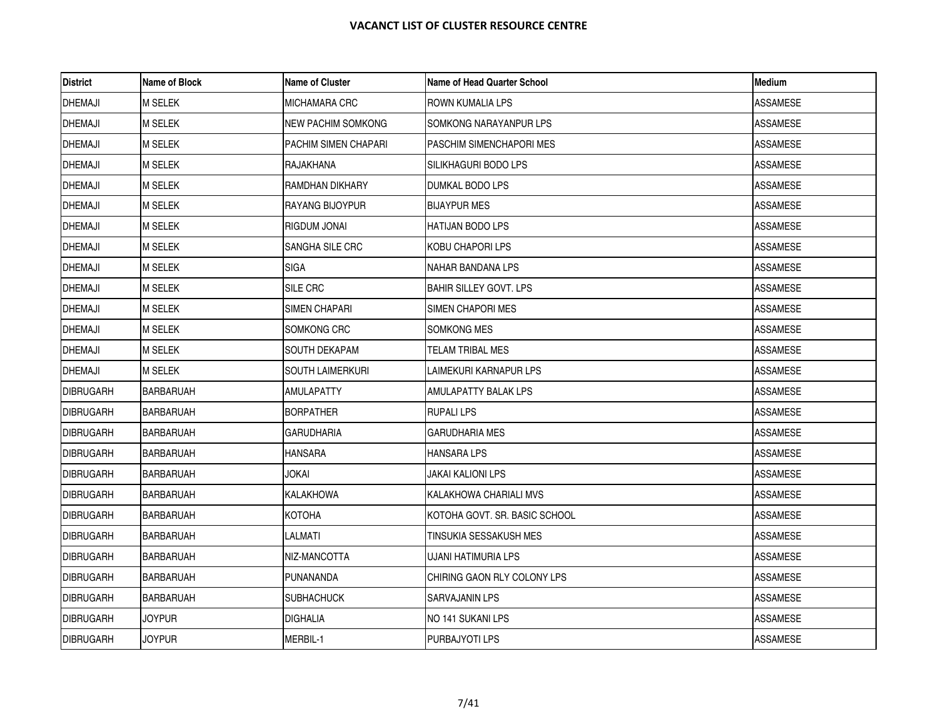| <b>District</b>  | Name of Block    | <b>Name of Cluster</b> | Name of Head Quarter School   | Medium          |
|------------------|------------------|------------------------|-------------------------------|-----------------|
| <b>DHEMAJI</b>   | <b>M SELEK</b>   | MICHAMARA CRC          | ROWN KUMALIA LPS              | ASSAMESE        |
| <b>DHEMAJI</b>   | <b>M SELEK</b>   | NEW PACHIM SOMKONG     | SOMKONG NARAYANPUR LPS        | <b>ASSAMESE</b> |
| <b>DHEMAJI</b>   | <b>M SELEK</b>   | PACHIM SIMEN CHAPARI   | PASCHIM SIMENCHAPORI MES      | ASSAMESE        |
| <b>DHEMAJI</b>   | M SELEK          | RAJAKHANA              | SILIKHAGURI BODO LPS          | ASSAMESE        |
| <b>DHEMAJI</b>   | <b>M SELEK</b>   | RAMDHAN DIKHARY        | DUMKAL BODO LPS               | <b>ASSAMESE</b> |
| <b>DHEMAJI</b>   | <b>M SELEK</b>   | RAYANG BIJOYPUR        | <b>BIJAYPUR MES</b>           | <b>ASSAMESE</b> |
| <b>DHEMAJI</b>   | <b>M SELEK</b>   | RIGDUM JONAI           | <b>HATIJAN BODO LPS</b>       | ASSAMESE        |
| <b>DHEMAJI</b>   | <b>M SELEK</b>   | SANGHA SILE CRC        | KOBU CHAPORI LPS              | <b>ASSAMESE</b> |
| <b>DHEMAJI</b>   | M SELEK          | SIGA                   | NAHAR BANDANA LPS             | ASSAMESE        |
| <b>DHEMAJI</b>   | M SELEK          | SILE CRC               | <b>BAHIR SILLEY GOVT, LPS</b> | ASSAMESE        |
| <b>DHEMAJI</b>   | M SELEK          | SIMEN CHAPARI          | SIMEN CHAPORI MES             | <b>ASSAMESE</b> |
| <b>DHEMAJI</b>   | M SELEK          | SOMKONG CRC            | SOMKONG MES                   | ASSAMESE        |
| <b>DHEMAJI</b>   | M SELEK          | SOUTH DEKAPAM          | TELAM TRIBAL MES              | ASSAMESE        |
| <b>DHEMAJI</b>   | <b>M SELEK</b>   | SOUTH LAIMERKURI       | LAIMEKURI KARNAPUR LPS        | ASSAMESE        |
| <b>DIBRUGARH</b> | BARBARUAH        | AMULAPATTY             | AMULAPATTY BALAK LPS          | ASSAMESE        |
| <b>DIBRUGARH</b> | <b>BARBARUAH</b> | <b>BORPATHER</b>       | <b>RUPALI LPS</b>             | ASSAMESE        |
| <b>DIBRUGARH</b> | <b>BARBARUAH</b> | GARUDHARIA             | <b>GARUDHARIA MES</b>         | <b>ASSAMESE</b> |
| <b>DIBRUGARH</b> | <b>BARBARUAH</b> | HANSARA                | HANSARA LPS                   | ASSAMESE        |
| <b>DIBRUGARH</b> | BARBARUAH        | JOKAI                  | JAKAI KALIONI LPS             | ASSAMESE        |
| <b>DIBRUGARH</b> | <b>BARBARUAH</b> | KALAKHOWA              | KALAKHOWA CHARIALI MVS        | ASSAMESE        |
| <b>DIBRUGARH</b> | <b>BARBARUAH</b> | КОТОНА                 | KOTOHA GOVT. SR. BASIC SCHOOL | <b>ASSAMESE</b> |
| <b>DIBRUGARH</b> | BARBARUAH        | LALMATI                | TINSUKIA SESSAKUSH MES        | ASSAMESE        |
| <b>DIBRUGARH</b> | <b>BARBARUAH</b> | NIZ-MANCOTTA           | UJANI HATIMURIA LPS           | <b>ASSAMESE</b> |
| <b>DIBRUGARH</b> | <b>BARBARUAH</b> | PUNANANDA              | CHIRING GAON RLY COLONY LPS   | <b>ASSAMESE</b> |
| <b>DIBRUGARH</b> | BARBARUAH        | <b>SUBHACHUCK</b>      | SARVAJANIN LPS                | ASSAMESE        |
| <b>DIBRUGARH</b> | <b>JOYPUR</b>    | DIGHALIA               | NO 141 SUKANI LPS             | ASSAMESE        |
| <b>DIBRUGARH</b> | <b>JOYPUR</b>    | MERBIL-1               | PURBAJYOTI LPS                | ASSAMESE        |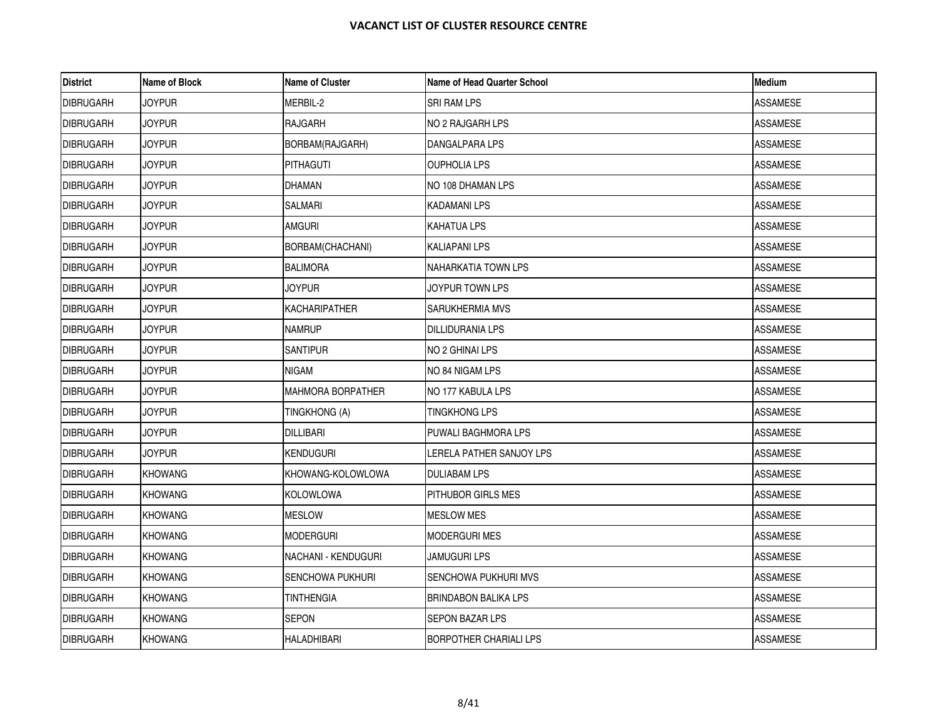| <b>District</b>  | <b>Name of Block</b> | <b>Name of Cluster</b>   | Name of Head Quarter School   | <b>Medium</b>   |
|------------------|----------------------|--------------------------|-------------------------------|-----------------|
| <b>DIBRUGARH</b> | <b>JOYPUR</b>        | MERBIL-2                 | <b>SRI RAM LPS</b>            | <b>ASSAMESE</b> |
| <b>DIBRUGARH</b> | <b>JOYPUR</b>        | <b>RAJGARH</b>           | <b>NO 2 RAJGARH LPS</b>       | <b>ASSAMESE</b> |
| <b>DIBRUGARH</b> | JOYPUR               | BORBAM(RAJGARH)          | DANGALPARA LPS                | ASSAMESE        |
| <b>DIBRUGARH</b> | JOYPUR               | <b>PITHAGUTI</b>         | OUPHOLIA LPS                  | ASSAMESE        |
| <b>DIBRUGARH</b> | <b>JOYPUR</b>        | <b>DHAMAN</b>            | NO 108 DHAMAN LPS             | <b>ASSAMESE</b> |
| <b>DIBRUGARH</b> | <b>JOYPUR</b>        | SALMARI                  | <b>KADAMANI LPS</b>           | <b>ASSAMESE</b> |
| <b>DIBRUGARH</b> | <b>JOYPUR</b>        | <b>AMGURI</b>            | <b>KAHATUA LPS</b>            | ASSAMESE        |
| <b>DIBRUGARH</b> | <b>JOYPUR</b>        | BORBAM(CHACHANI)         | <b>KALIAPANI LPS</b>          | <b>ASSAMESE</b> |
| <b>DIBRUGARH</b> | <b>JOYPUR</b>        | <b>BALIMORA</b>          | NAHARKATIA TOWN LPS           | ASSAMESE        |
| <b>DIBRUGARH</b> | <b>JOYPUR</b>        | <b>JOYPUR</b>            | JOYPUR TOWN LPS               | ASSAMESE        |
| <b>DIBRUGARH</b> | <b>JOYPUR</b>        | <b>KACHARIPATHER</b>     | <b>SARUKHERMIA MVS</b>        | <b>ASSAMESE</b> |
| <b>DIBRUGARH</b> | <b>JOYPUR</b>        | <b>NAMRUP</b>            | <b>DILLIDURANIA LPS</b>       | ASSAMESE        |
| <b>DIBRUGARH</b> | <b>JOYPUR</b>        | <b>SANTIPUR</b>          | NO 2 GHINAI LPS               | <b>ASSAMESE</b> |
| <b>DIBRUGARH</b> | <b>JOYPUR</b>        | NIGAM                    | NO 84 NIGAM LPS               | <b>ASSAMESE</b> |
| <b>DIBRUGARH</b> | <b>JOYPUR</b>        | <b>MAHMORA BORPATHER</b> | NO 177 KABULA LPS             | <b>ASSAMESE</b> |
| <b>DIBRUGARH</b> | <b>JOYPUR</b>        | TINGKHONG (A)            | <b>TINGKHONG LPS</b>          | ASSAMESE        |
| <b>DIBRUGARH</b> | <b>JOYPUR</b>        | <b>DILLIBARI</b>         | PUWALI BAGHMORA LPS           | <b>ASSAMESE</b> |
| <b>DIBRUGARH</b> | <b>JOYPUR</b>        | <b>KENDUGURI</b>         | LERELA PATHER SANJOY LPS      | ASSAMESE        |
| <b>DIBRUGARH</b> | <b>KHOWANG</b>       | KHOWANG-KOLOWLOWA        | <b>DULIABAM LPS</b>           | ASSAMESE        |
| <b>DIBRUGARH</b> | <b>KHOWANG</b>       | <b>KOLOWLOWA</b>         | PITHUBOR GIRLS MES            | <b>ASSAMESE</b> |
| <b>DIBRUGARH</b> | <b>KHOWANG</b>       | <b>MESLOW</b>            | <b>MESLOW MES</b>             | <b>ASSAMESE</b> |
| <b>DIBRUGARH</b> | <b>KHOWANG</b>       | <b>MODERGURI</b>         | MODERGURI MES                 | ASSAMESE        |
| <b>DIBRUGARH</b> | <b>KHOWANG</b>       | NACHANI - KENDUGURI      | <b>JAMUGURI LPS</b>           | <b>ASSAMESE</b> |
| <b>DIBRUGARH</b> | <b>KHOWANG</b>       | <b>SENCHOWA PUKHURI</b>  | <b>SENCHOWA PUKHURI MVS</b>   | <b>ASSAMESE</b> |
| <b>DIBRUGARH</b> | <b>KHOWANG</b>       | <b>TINTHENGIA</b>        | <b>BRINDABON BALIKA LPS</b>   | ASSAMESE        |
| <b>DIBRUGARH</b> | <b>KHOWANG</b>       | <b>SEPON</b>             | <b>SEPON BAZAR LPS</b>        | <b>ASSAMESE</b> |
| <b>DIBRUGARH</b> | <b>KHOWANG</b>       | HALADHIBARI              | <b>BORPOTHER CHARIALI LPS</b> | <b>ASSAMESE</b> |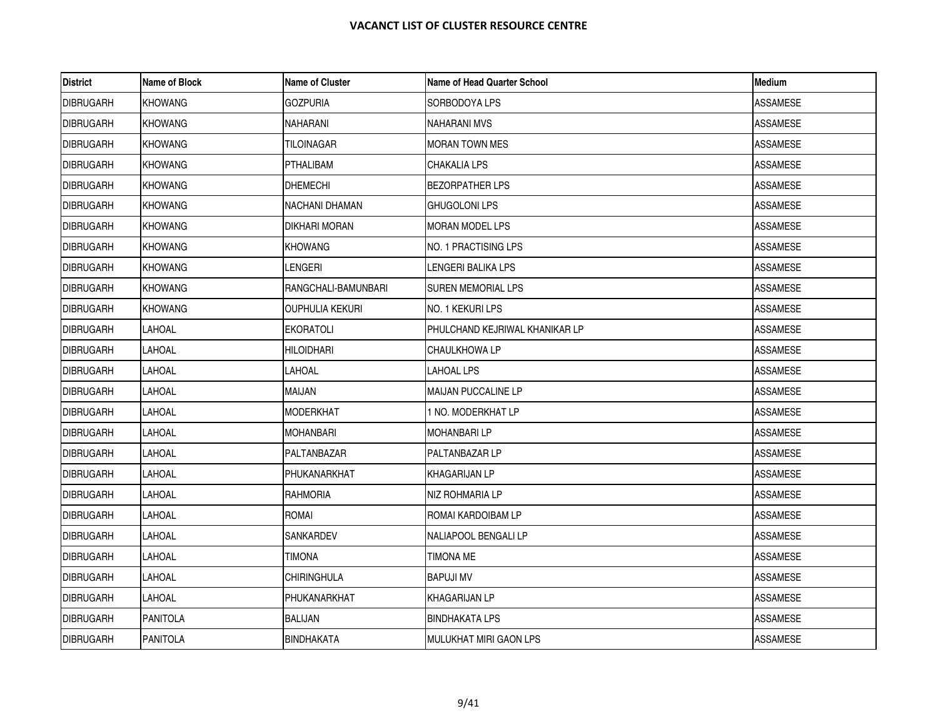| <b>District</b>  | Name of Block   | <b>Name of Cluster</b> | Name of Head Quarter School    | <b>Medium</b>   |
|------------------|-----------------|------------------------|--------------------------------|-----------------|
| <b>DIBRUGARH</b> | <b>KHOWANG</b>  | gozpuria               | SORBODOYA LPS                  | ASSAMESE        |
| <b>DIBRUGARH</b> | <b>KHOWANG</b>  | NAHARANI               | <b>NAHARANI MVS</b>            | <b>ASSAMESE</b> |
| <b>DIBRUGARH</b> | <b>KHOWANG</b>  | TILOINAGAR             | MORAN TOWN MES                 | <b>ASSAMESE</b> |
| <b>DIBRUGARH</b> | <b>KHOWANG</b>  | PTHALIBAM              | <b>CHAKALIA LPS</b>            | ASSAMESE        |
| <b>DIBRUGARH</b> | <b>KHOWANG</b>  | <b>DHEMECHI</b>        | <b>BEZORPATHER LPS</b>         | <b>ASSAMESE</b> |
| <b>DIBRUGARH</b> | <b>KHOWANG</b>  | NACHANI DHAMAN         | <b>GHUGOLONI LPS</b>           | <b>ASSAMESE</b> |
| <b>DIBRUGARH</b> | <b>KHOWANG</b>  | DIKHARI MORAN          | <b>MORAN MODEL LPS</b>         | ASSAMESE        |
| <b>DIBRUGARH</b> | <b>KHOWANG</b>  | <b>KHOWANG</b>         | NO. 1 PRACTISING LPS           | <b>ASSAMESE</b> |
| <b>DIBRUGARH</b> | <b>KHOWANG</b>  | LENGERI                | LENGERI BALIKA LPS             | ASSAMESE        |
| <b>DIBRUGARH</b> | <b>KHOWANG</b>  | RANGCHALI-BAMUNBARI    | SUREN MEMORIAL LPS             | <b>ASSAMESE</b> |
| <b>DIBRUGARH</b> | <b>KHOWANG</b>  | OUPHULIA KEKURI        | NO. 1 KEKURI LPS               | ASSAMESE        |
| <b>DIBRUGARH</b> | LAHOAL          | <b>EKORATOLI</b>       | PHULCHAND KEJRIWAL KHANIKAR LP | ASSAMESE        |
| <b>DIBRUGARH</b> | LAHOAL          | HILOIDHARI             | CHAULKHOWA LP                  | ASSAMESE        |
| <b>DIBRUGARH</b> | LAHOAL          | LAHOAL                 | LAHOAL LPS                     | <b>ASSAMESE</b> |
| <b>DIBRUGARH</b> | LAHOAL          | MAIJAN                 | MAIJAN PUCCALINE LP            | ASSAMESE        |
| <b>DIBRUGARH</b> | LAHOAL          | <b>MODERKHAT</b>       | 1 NO. MODERKHAT LP             | ASSAMESE        |
| <b>DIBRUGARH</b> | LAHOAL          | MOHANBARI              | <b>MOHANBARILP</b>             | ASSAMESE        |
| <b>DIBRUGARH</b> | LAHOAL          | PALTANBAZAR            | <b>PALTANBAZAR LP</b>          | ASSAMESE        |
| <b>DIBRUGARH</b> | LAHOAL          | PHUKANARKHAT           | KHAGARIJAN LP                  | ASSAMESE        |
| <b>DIBRUGARH</b> | LAHOAL          | <b>RAHMORIA</b>        | NIZ ROHMARIA LP                | ASSAMESE        |
| <b>DIBRUGARH</b> | LAHOAL          | ROMAI                  | ROMAI KARDOIBAM LP             | <b>ASSAMESE</b> |
| <b>DIBRUGARH</b> | LAHOAL          | SANKARDEV              | NALIAPOOL BENGALI LP           | ASSAMESE        |
| <b>DIBRUGARH</b> | LAHOAL          | TIMONA                 | TIMONA ME                      | ASSAMESE        |
| <b>DIBRUGARH</b> | LAHOAL          | <b>CHIRINGHULA</b>     | <b>BAPUJI MV</b>               | ASSAMESE        |
| <b>DIBRUGARH</b> | LAHOAL          | PHUKANARKHAT           | KHAGARIJAN LP                  | ASSAMESE        |
| <b>DIBRUGARH</b> | <b>PANITOLA</b> | <b>BALIJAN</b>         | <b>BINDHAKATA LPS</b>          | ASSAMESE        |
| <b>DIBRUGARH</b> | <b>PANITOLA</b> | <b>BINDHAKATA</b>      | <b>MULUKHAT MIRI GAON LPS</b>  | <b>ASSAMESE</b> |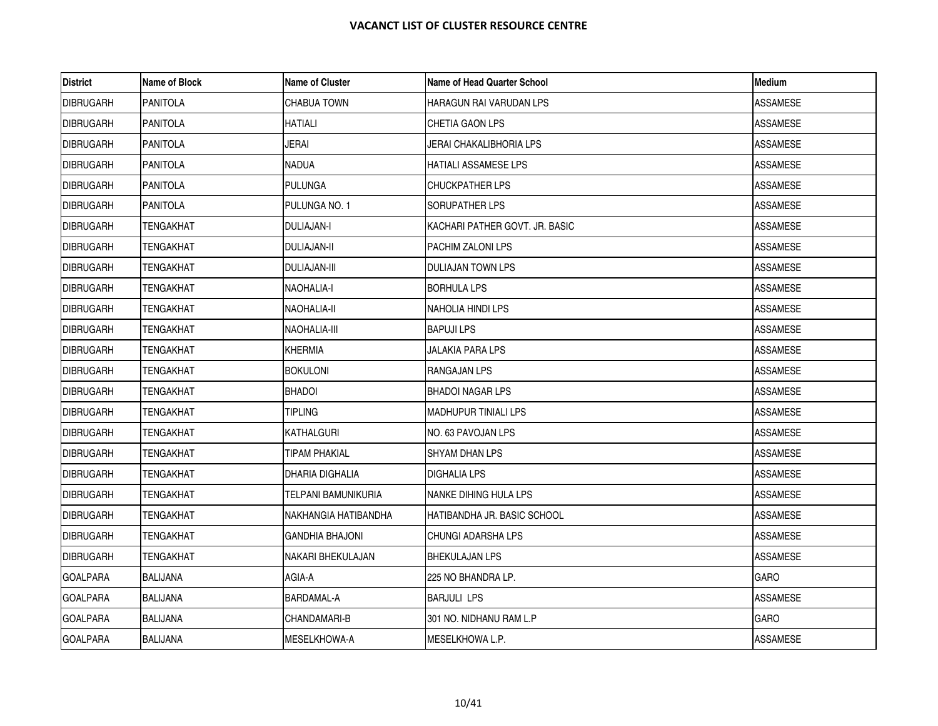| <b>District</b>  | Name of Block    | <b>Name of Cluster</b> | Name of Head Quarter School    | <b>Medium</b>   |
|------------------|------------------|------------------------|--------------------------------|-----------------|
| <b>DIBRUGARH</b> | <b>PANITOLA</b>  | <b>CHABUA TOWN</b>     | <b>HARAGUN RAI VARUDAN LPS</b> | <b>ASSAMESE</b> |
| <b>DIBRUGARH</b> | <b>PANITOLA</b>  | <b>HATIALI</b>         | CHETIA GAON LPS                | <b>ASSAMESE</b> |
| <b>DIBRUGARH</b> | <b>PANITOLA</b>  | JERAI                  | JERAI CHAKALIBHORIA LPS        | ASSAMESE        |
| <b>DIBRUGARH</b> | <b>PANITOLA</b>  | NADUA                  | <b>HATIALI ASSAMESE LPS</b>    | ASSAMESE        |
| <b>DIBRUGARH</b> | <b>PANITOLA</b>  | <b>PULUNGA</b>         | <b>CHUCKPATHER LPS</b>         | <b>ASSAMESE</b> |
| <b>DIBRUGARH</b> | <b>PANITOLA</b>  | PULUNGA NO. 1          | SORUPATHER LPS                 | ASSAMESE        |
| <b>DIBRUGARH</b> | <b>TENGAKHAT</b> | DULIAJAN-I             | KACHARI PATHER GOVT. JR. BASIC | ASSAMESE        |
| <b>DIBRUGARH</b> | TENGAKHAT        | <b>DULIAJAN-II</b>     | <b>PACHIM ZALONI LPS</b>       | <b>ASSAMESE</b> |
| <b>DIBRUGARH</b> | TENGAKHAT        | DULIAJAN-III           | <b>DULIAJAN TOWN LPS</b>       | ASSAMESE        |
| <b>DIBRUGARH</b> | TENGAKHAT        | NAOHALIA-I             | <b>BORHULA LPS</b>             | <b>ASSAMESE</b> |
| <b>DIBRUGARH</b> | TENGAKHAT        | NAOHALIA-II            | NAHOLIA HINDI LPS              | <b>ASSAMESE</b> |
| <b>DIBRUGARH</b> | TENGAKHAT        | NAOHALIA-III           | <b>BAPUJILPS</b>               | ASSAMESE        |
| <b>DIBRUGARH</b> | TENGAKHAT        | KHERMIA                | <b>JALAKIA PARA LPS</b>        | ASSAMESE        |
| <b>DIBRUGARH</b> | TENGAKHAT        | <b>BOKULONI</b>        | <b>RANGAJAN LPS</b>            | <b>ASSAMESE</b> |
| <b>DIBRUGARH</b> | TENGAKHAT        | <b>BHADOI</b>          | BHADOI NAGAR LPS               | ASSAMESE        |
| <b>DIBRUGARH</b> | TENGAKHAT        | tipling                | <b>MADHUPUR TINIALI LPS</b>    | ASSAMESE        |
| <b>DIBRUGARH</b> | TENGAKHAT        | KATHALGURI             | NO. 63 PAVOJAN LPS             | ASSAMESE        |
| <b>DIBRUGARH</b> | TENGAKHAT        | TIPAM PHAKIAL          | SHYAM DHAN LPS                 | ASSAMESE        |
| <b>DIBRUGARH</b> | TENGAKHAT        | DHARIA DIGHALIA        | <b>DIGHALIA LPS</b>            | ASSAMESE        |
| <b>DIBRUGARH</b> | TENGAKHAT        | TELPANI BAMUNIKURIA    | NANKE DIHING HULA LPS          | <b>ASSAMESE</b> |
| <b>DIBRUGARH</b> | TENGAKHAT        | NAKHANGIA HATIBANDHA   | HATIBANDHA JR. BASIC SCHOOL    | <b>ASSAMESE</b> |
| <b>DIBRUGARH</b> | TENGAKHAT        | GANDHIA BHAJONI        | CHUNGI ADARSHA LPS             | ASSAMESE        |
| <b>DIBRUGARH</b> | TENGAKHAT        | NAKARI BHEKULAJAN      | <b>BHEKULAJAN LPS</b>          | <b>ASSAMESE</b> |
| <b>GOALPARA</b>  | <b>BALIJANA</b>  | AGIA-A                 | 225 NO BHANDRA LP.             | <b>GARO</b>     |
| <b>GOALPARA</b>  | BALIJANA         | BARDAMAL-A             | <b>BARJULI LPS</b>             | <b>ASSAMESE</b> |
| <b>GOALPARA</b>  | BALIJANA         | CHANDAMARI-B           | 301 NO. NIDHANU RAM L.P        | <b>GARO</b>     |
| <b>GOALPARA</b>  | <b>BALIJANA</b>  | MESELKHOWA-A           | MESELKHOWA L.P.                | ASSAMESE        |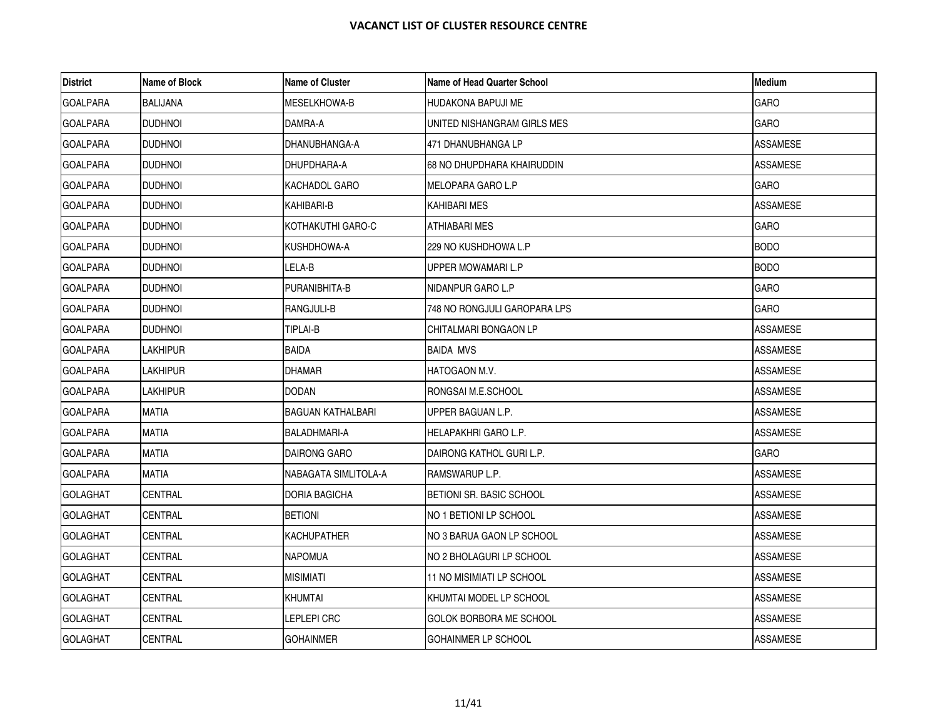| <b>District</b> | Name of Block   | <b>Name of Cluster</b>   | Name of Head Quarter School  | <b>Medium</b>   |
|-----------------|-----------------|--------------------------|------------------------------|-----------------|
| <b>GOALPARA</b> | <b>BALIJANA</b> | <b>MESELKHOWA-B</b>      | <b>HUDAKONA BAPUJI ME</b>    | <b>GARO</b>     |
| <b>GOALPARA</b> | <b>DUDHNOI</b>  | DAMRA-A                  | UNITED NISHANGRAM GIRLS MES  | <b>GARO</b>     |
| <b>GOALPARA</b> | <b>DUDHNOI</b>  | DHANUBHANGA-A            | 471 DHANUBHANGA LP           | ASSAMESE        |
| <b>GOALPARA</b> | <b>DUDHNOI</b>  | DHUPDHARA-A              | 68 NO DHUPDHARA KHAIRUDDIN   | <b>ASSAMESE</b> |
| <b>GOALPARA</b> | <b>DUDHNOI</b>  | KACHADOL GARO            | MELOPARA GARO L.P            | <b>GARO</b>     |
| <b>GOALPARA</b> | <b>DUDHNOI</b>  | KAHIBARI-B               | KAHIBARI MES                 | ASSAMESE        |
| <b>GOALPARA</b> | <b>DUDHNOI</b>  | KOTHAKUTHI GARO-C        | ATHIABARI MES                | <b>GARO</b>     |
| <b>GOALPARA</b> | <b>DUDHNOI</b>  | KUSHDHOWA-A              | 229 NO KUSHDHOWA L.P         | <b>BODO</b>     |
| <b>GOALPARA</b> | <b>DUDHNOI</b>  | LELA-B                   | UPPER MOWAMARI L.P           | <b>BODO</b>     |
| <b>GOALPARA</b> | <b>DUDHNOI</b>  | PURANIBHITA-B            | NIDANPUR GARO L.P            | <b>GARO</b>     |
| <b>GOALPARA</b> | <b>DUDHNOI</b>  | <b>RANGJULI-B</b>        | 748 NO RONGJULI GAROPARA LPS | <b>GARO</b>     |
| <b>GOALPARA</b> | <b>DUDHNOI</b>  | <b>TIPLAI-B</b>          | CHITALMARI BONGAON LP        | ASSAMESE        |
| <b>GOALPARA</b> | Lakhipur        | <b>BAIDA</b>             | <b>BAIDA MVS</b>             | <b>ASSAMESE</b> |
| <b>GOALPARA</b> | <b>LAKHIPUR</b> | <b>DHAMAR</b>            | HATOGAON M.V.                | <b>ASSAMESE</b> |
| <b>GOALPARA</b> | Lakhipur        | <b>DODAN</b>             | RONGSAI M.E.SCHOOL           | ASSAMESE        |
| <b>GOALPARA</b> | <b>MATIA</b>    | <b>BAGUAN KATHALBARI</b> | UPPER BAGUAN L.P.            | ASSAMESE        |
| <b>GOALPARA</b> | <b>MATIA</b>    | <b>BALADHMARI-A</b>      | HELAPAKHRI GARO L.P.         | <b>ASSAMESE</b> |
| <b>GOALPARA</b> | MATIA           | DAIRONG GARO             | DAIRONG KATHOL GURI L.P.     | <b>GARO</b>     |
| <b>GOALPARA</b> | <b>MATIA</b>    | NABAGATA SIMLITOLA-A     | RAMSWARUP L.P.               | <b>ASSAMESE</b> |
| <b>GOLAGHAT</b> | <b>CENTRAL</b>  | <b>DORIA BAGICHA</b>     | BETIONI SR. BASIC SCHOOL     | <b>ASSAMESE</b> |
| <b>GOLAGHAT</b> | <b>CENTRAL</b>  | <b>BETIONI</b>           | NO 1 BETIONI LP SCHOOL       | <b>ASSAMESE</b> |
| <b>GOLAGHAT</b> | CENTRAL         | <b>KACHUPATHER</b>       | NO 3 BARUA GAON LP SCHOOL    | <b>ASSAMESE</b> |
| <b>GOLAGHAT</b> | <b>CENTRAL</b>  | <b>NAPOMUA</b>           | NO 2 BHOLAGURI LP SCHOOL     | <b>ASSAMESE</b> |
| <b>GOLAGHAT</b> | <b>CENTRAL</b>  | <b>MISIMIATI</b>         | 11 NO MISIMIATI LP SCHOOL    | <b>ASSAMESE</b> |
| <b>GOLAGHAT</b> | CENTRAL         | <b>KHUMTAI</b>           | KHUMTAI MODEL LP SCHOOL      | ASSAMESE        |
| <b>GOLAGHAT</b> | CENTRAL         | LEPLEPI CRC              | GOLOK BORBORA ME SCHOOL      | <b>ASSAMESE</b> |
| <b>GOLAGHAT</b> | CENTRAL         | <b>GOHAINMER</b>         | <b>GOHAINMER LP SCHOOL</b>   | <b>ASSAMESE</b> |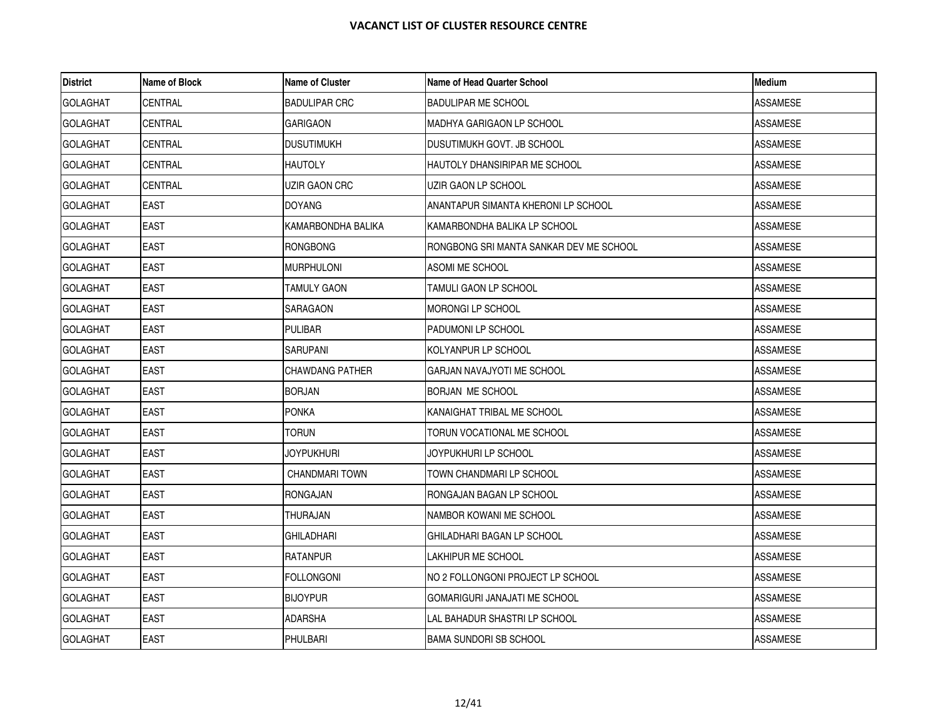| <b>District</b> | Name of Block  | <b>Name of Cluster</b> | <b>Name of Head Quarter School</b>      | <b>Medium</b>   |
|-----------------|----------------|------------------------|-----------------------------------------|-----------------|
| <b>GOLAGHAT</b> | CENTRAL        | <b>BADULIPAR CRC</b>   | <b>BADULIPAR ME SCHOOL</b>              | <b>ASSAMESE</b> |
| <b>GOLAGHAT</b> | CENTRAL        | <b>GARIGAON</b>        | MADHYA GARIGAON LP SCHOOL               | <b>ASSAMESE</b> |
| <b>GOLAGHAT</b> | CENTRAL        | DUSUTIMUKH             | DUSUTIMUKH GOVT. JB SCHOOL              | ASSAMESE        |
| <b>GOLAGHAT</b> | CENTRAL        | <b>HAUTOLY</b>         | HAUTOLY DHANSIRIPAR ME SCHOOL           | <b>ASSAMESE</b> |
| <b>GOLAGHAT</b> | <b>CENTRAL</b> | UZIR GAON CRC          | UZIR GAON LP SCHOOL                     | <b>ASSAMESE</b> |
| <b>GOLAGHAT</b> | <b>EAST</b>    | DOYANG                 | ANANTAPUR SIMANTA KHERONI LP SCHOOL     | <b>ASSAMESE</b> |
| <b>GOLAGHAT</b> | <b>EAST</b>    | KAMARBONDHA BALIKA     | KAMARBONDHA BALIKA LP SCHOOL            | <b>ASSAMESE</b> |
| <b>GOLAGHAT</b> | <b>EAST</b>    | RONGBONG               | RONGBONG SRI MANTA SANKAR DEV ME SCHOOL | <b>ASSAMESE</b> |
| <b>GOLAGHAT</b> | EAST           | <b>MURPHULONI</b>      | ASOMI ME SCHOOL                         | ASSAMESE        |
| <b>GOLAGHAT</b> | <b>EAST</b>    | TAMULY GAON            | TAMULI GAON LP SCHOOL                   | <b>ASSAMESE</b> |
| <b>GOLAGHAT</b> | <b>EAST</b>    | SARAGAON               | MORONGI LP SCHOOL                       | <b>ASSAMESE</b> |
| <b>GOLAGHAT</b> | <b>EAST</b>    | PULIBAR                | PADUMONI LP SCHOOL                      | <b>ASSAMESE</b> |
| <b>GOLAGHAT</b> | <b>EAST</b>    | <b>SARUPANI</b>        | KOLYANPUR LP SCHOOL                     | ASSAMESE        |
| <b>GOLAGHAT</b> | <b>EAST</b>    | CHAWDANG PATHER        | GARJAN NAVAJYOTI ME SCHOOL              | <b>ASSAMESE</b> |
| <b>GOLAGHAT</b> | EAST           | <b>BORJAN</b>          | BORJAN ME SCHOOL                        | ASSAMESE        |
| <b>GOLAGHAT</b> | <b>EAST</b>    | <b>PONKA</b>           | KANAIGHAT TRIBAL ME SCHOOL              | <b>ASSAMESE</b> |
| <b>GOLAGHAT</b> | <b>EAST</b>    | torun                  | TORUN VOCATIONAL ME SCHOOL              | <b>ASSAMESE</b> |
| <b>GOLAGHAT</b> | <b>EAST</b>    | <b>JOYPUKHURI</b>      | JOYPUKHURI LP SCHOOL                    | <b>ASSAMESE</b> |
| <b>GOLAGHAT</b> | <b>EAST</b>    | <b>CHANDMARI TOWN</b>  | TOWN CHANDMARI LP SCHOOL                | <b>ASSAMESE</b> |
| <b>GOLAGHAT</b> | <b>EAST</b>    | RONGAJAN               | RONGAJAN BAGAN LP SCHOOL                | <b>ASSAMESE</b> |
| <b>GOLAGHAT</b> | <b>EAST</b>    | THURAJAN               | NAMBOR KOWANI ME SCHOOL                 | <b>ASSAMESE</b> |
| <b>GOLAGHAT</b> | EAST           | GHILADHARI             | GHILADHARI BAGAN LP SCHOOL              | ASSAMESE        |
| <b>GOLAGHAT</b> | <b>EAST</b>    | <b>RATANPUR</b>        | LAKHIPUR ME SCHOOL                      | <b>ASSAMESE</b> |
| <b>GOLAGHAT</b> | <b>EAST</b>    | FOLLONGONI             | NO 2 FOLLONGONI PROJECT LP SCHOOL       | <b>ASSAMESE</b> |
| <b>GOLAGHAT</b> | <b>EAST</b>    | <b>BIJOYPUR</b>        | GOMARIGURI JANAJATI ME SCHOOL           | <b>ASSAMESE</b> |
| <b>GOLAGHAT</b> | EAST           | ADARSHA                | LAL BAHADUR SHASTRI LP SCHOOL           | ASSAMESE        |
| <b>GOLAGHAT</b> | <b>EAST</b>    | PHULBARI               | <b>BAMA SUNDORI SB SCHOOL</b>           | <b>ASSAMESE</b> |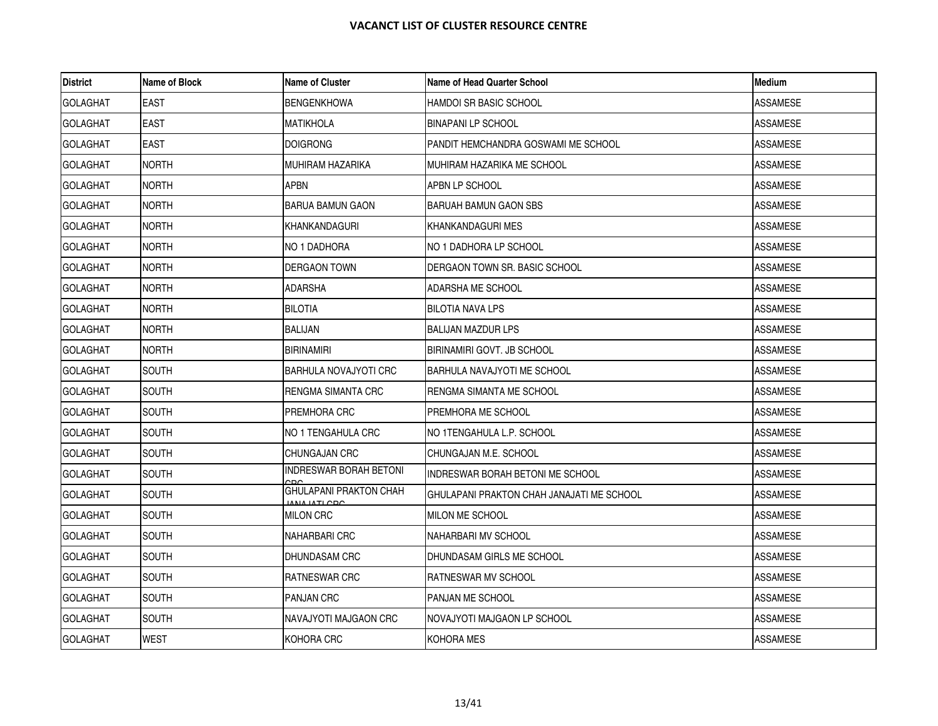| <b>District</b> | Name of Block | <b>Name of Cluster</b>        | Name of Head Quarter School               | <b>Medium</b>   |
|-----------------|---------------|-------------------------------|-------------------------------------------|-----------------|
| <b>GOLAGHAT</b> | <b>EAST</b>   | <b>BENGENKHOWA</b>            | HAMDOI SR BASIC SCHOOL                    | <b>ASSAMESE</b> |
| <b>GOLAGHAT</b> | <b>EAST</b>   | <b>MATIKHOLA</b>              | <b>BINAPANI LP SCHOOL</b>                 | <b>ASSAMESE</b> |
| <b>GOLAGHAT</b> | EAST          | <b>DOIGRONG</b>               | PANDIT HEMCHANDRA GOSWAMI ME SCHOOL       | ASSAMESE        |
| <b>GOLAGHAT</b> | <b>NORTH</b>  | <b>MUHIRAM HAZARIKA</b>       | MUHIRAM HAZARIKA ME SCHOOL                | <b>ASSAMESE</b> |
| <b>GOLAGHAT</b> | <b>NORTH</b>  | <b>APBN</b>                   | APBN LP SCHOOL                            | <b>ASSAMESE</b> |
| <b>GOLAGHAT</b> | <b>NORTH</b>  | <b>BARUA BAMUN GAON</b>       | <b>BARUAH BAMUN GAON SBS</b>              | ASSAMESE        |
| <b>GOLAGHAT</b> | <b>NORTH</b>  | IKHANKANDAGURI                | IKHANKANDAGURI MES                        | <b>ASSAMESE</b> |
| <b>GOLAGHAT</b> | <b>NORTH</b>  | NO 1 DADHORA                  | NO 1 DADHORA LP SCHOOL                    | <b>ASSAMESE</b> |
| <b>GOLAGHAT</b> | <b>NORTH</b>  | <b>DERGAON TOWN</b>           | DERGAON TOWN SR. BASIC SCHOOL             | <b>ASSAMESE</b> |
| <b>GOLAGHAT</b> | <b>NORTH</b>  | <b>ADARSHA</b>                | ADARSHA ME SCHOOL                         | <b>ASSAMESE</b> |
| <b>GOLAGHAT</b> | <b>NORTH</b>  | <b>BILOTIA</b>                | <b>BILOTIA NAVA LPS</b>                   | <b>ASSAMESE</b> |
| <b>GOLAGHAT</b> | <b>NORTH</b>  | <b>BALIJAN</b>                | BALIJAN MAZDUR LPS                        | <b>ASSAMESE</b> |
| <b>GOLAGHAT</b> | <b>NORTH</b>  | <b>BIRINAMIRI</b>             | BIRINAMIRI GOVT. JB SCHOOL                | ASSAMESE        |
| <b>GOLAGHAT</b> | <b>SOUTH</b>  | <b>BARHULA NOVAJYOTI CRC</b>  | <b>BARHULA NAVAJYOTI ME SCHOOL</b>        | <b>ASSAMESE</b> |
| <b>GOLAGHAT</b> | <b>SOUTH</b>  | RENGMA SIMANTA CRC            | RENGMA SIMANTA ME SCHOOL                  | ASSAMESE        |
| <b>GOLAGHAT</b> | <b>SOUTH</b>  | <b>PREMHORA CRC</b>           | PREMHORA ME SCHOOL                        | ASSAMESE        |
| <b>GOLAGHAT</b> | SOUTH         | NO 1 TENGAHULA CRC            | NO 1TENGAHULA L.P. SCHOOL                 | <b>ASSAMESE</b> |
| <b>GOLAGHAT</b> | <b>SOUTH</b>  | CHUNGAJAN CRC                 | ICHUNGAJAN M.E. SCHOOL                    | <b>ASSAMESE</b> |
| <b>GOLAGHAT</b> | SOUTH         | <b>INDRESWAR BORAH BETONI</b> | INDRESWAR BORAH BETONI ME SCHOOL          | ASSAMESE        |
| <b>GOLAGHAT</b> | <b>SOUTH</b>  | <b>GHULAPANI PRAKTON CHAH</b> | GHULAPANI PRAKTON CHAH JANAJATI ME SCHOOL | ASSAMESE        |
| <b>GOLAGHAT</b> | <b>SOUTH</b>  | <b>MILON CRC</b>              | <b>IMILON ME SCHOOL</b>                   | <b>ASSAMESE</b> |
| <b>GOLAGHAT</b> | SOUTH         | <b>NAHARBARI CRC</b>          | NAHARBARI MV SCHOOL                       | ASSAMESE        |
| <b>GOLAGHAT</b> | <b>SOUTH</b>  | <b>DHUNDASAM CRC</b>          | <b>I</b> DHUNDASAM GIRLS ME SCHOOL        | <b>ASSAMESE</b> |
| <b>GOLAGHAT</b> | SOUTH         | <b>RATNESWAR CRC</b>          | <b>RATNESWAR MV SCHOOL</b>                | <b>ASSAMESE</b> |
| <b>GOLAGHAT</b> | SOUTH         | <b>PANJAN CRC</b>             | PANJAN ME SCHOOL                          | <b>ASSAMESE</b> |
| <b>GOLAGHAT</b> | SOUTH         | NAVAJYOTI MAJGAON CRC         | NOVAJYOTI MAJGAON LP SCHOOL               | ASSAMESE        |
| <b>GOLAGHAT</b> | <b>WEST</b>   | KOHORA CRC                    | <b>KOHORA MES</b>                         | <b>ASSAMESE</b> |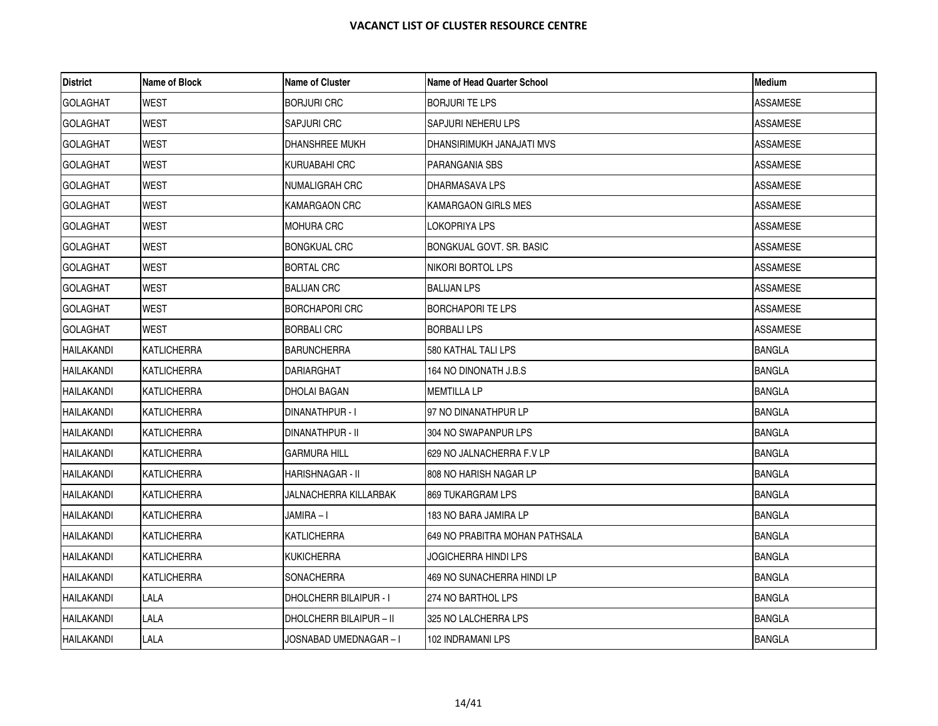| <b>District</b>   | Name of Block      | <b>Name of Cluster</b>        | Name of Head Quarter School    | Medium          |
|-------------------|--------------------|-------------------------------|--------------------------------|-----------------|
| <b>GOLAGHAT</b>   | WEST               | <b>BORJURI CRC</b>            | <b>BORJURI TE LPS</b>          | ASSAMESE        |
| <b>GOLAGHAT</b>   | <b>WEST</b>        | <b>SAPJURI CRC</b>            | <b>SAPJURI NEHERU LPS</b>      | <b>ASSAMESE</b> |
| <b>GOLAGHAT</b>   | WEST               | DHANSHREE MUKH                | DHANSIRIMUKH JANAJATI MVS      | ASSAMESE        |
| <b>GOLAGHAT</b>   | WEST               | KURUABAHI CRC                 | PARANGANIA SBS                 | ASSAMESE        |
| <b>GOLAGHAT</b>   | WEST               | NUMALIGRAH CRC                | <b>DHARMASAVA LPS</b>          | ASSAMESE        |
| <b>GOLAGHAT</b>   | <b>WEST</b>        | KAMARGAON CRC                 | KAMARGAON GIRLS MES            | ASSAMESE        |
| <b>GOLAGHAT</b>   | WEST               | <b>MOHURA CRC</b>             | LOKOPRIYA LPS                  | ASSAMESE        |
| <b>GOLAGHAT</b>   | <b>WEST</b>        | <b>BONGKUAL CRC</b>           | BONGKUAL GOVT, SR. BASIC       | <b>ASSAMESE</b> |
| <b>GOLAGHAT</b>   | WEST               | <b>BORTAL CRC</b>             | NIKORI BORTOL LPS              | ASSAMESE        |
| <b>GOLAGHAT</b>   | WEST               | <b>BALIJAN CRC</b>            | <b>BALIJAN LPS</b>             | ASSAMESE        |
| <b>GOLAGHAT</b>   | WEST               | <b>BORCHAPORI CRC</b>         | BORCHAPORI TE LPS              | <b>ASSAMESE</b> |
| <b>GOLAGHAT</b>   | WEST               | <b>BORBALI CRC</b>            | <b>BORBALI LPS</b>             | ASSAMESE        |
| HAILAKANDI        | <b>KATLICHERRA</b> | <b>BARUNCHERRA</b>            | 580 KATHAL TALI LPS            | <b>BANGLA</b>   |
| <b>HAILAKANDI</b> | <b>KATLICHERRA</b> | DARIARGHAT                    | 164 NO DINONATH J.B.S          | <b>BANGLA</b>   |
| <b>HAILAKANDI</b> | KATLICHERRA        | DHOLAI BAGAN                  | <b>MEMTILLA LP</b>             | <b>BANGLA</b>   |
| <b>HAILAKANDI</b> | KATLICHERRA        | DINANATHPUR - I               | 97 NO DINANATHPUR LP           | <b>BANGLA</b>   |
| <b>HAILAKANDI</b> | KATLICHERRA        | DINANATHPUR - II              | 304 NO SWAPANPUR LPS           | <b>BANGLA</b>   |
| <b>HAILAKANDI</b> | KATLICHERRA        | GARMURA HILL                  | 629 NO JALNACHERRA F.V LP      | <b>BANGLA</b>   |
| <b>HAILAKANDI</b> | KATLICHERRA        | HARISHNAGAR - II              | 808 NO HARISH NAGAR LP         | <b>BANGLA</b>   |
| <b>HAILAKANDI</b> | <b>KATLICHERRA</b> | JALNACHERRA KILLARBAK         | <b>869 TUKARGRAM LPS</b>       | <b>BANGLA</b>   |
| <b>HAILAKANDI</b> | KATLICHERRA        | JAMIRA – I                    | 183 NO BARA JAMIRA LP          | <b>BANGLA</b>   |
| <b>HAILAKANDI</b> | KATLICHERRA        | KATLICHERRA                   | 649 NO PRABITRA MOHAN PATHSALA | <b>BANGLA</b>   |
| <b>HAILAKANDI</b> | KATLICHERRA        | <b>KUKICHERRA</b>             | JOGICHERRA HINDI LPS           | <b>BANGLA</b>   |
| <b>HAILAKANDI</b> | KATLICHERRA        | <b>SONACHERRA</b>             | 469 NO SUNACHERRA HINDI LP     | <b>BANGLA</b>   |
| HAILAKANDI        | LALA               | <b>DHOLCHERR BILAIPUR - I</b> | 274 NO BARTHOL LPS             | <b>BANGLA</b>   |
| HAILAKANDI        | LALA               | DHOLCHERR BILAIPUR - II       | 325 NO LALCHERRA LPS           | <b>BANGLA</b>   |
| <b>HAILAKANDI</b> | LALA               | JOSNABAD UMEDNAGAR – I        | 102 INDRAMANI LPS              | <b>BANGLA</b>   |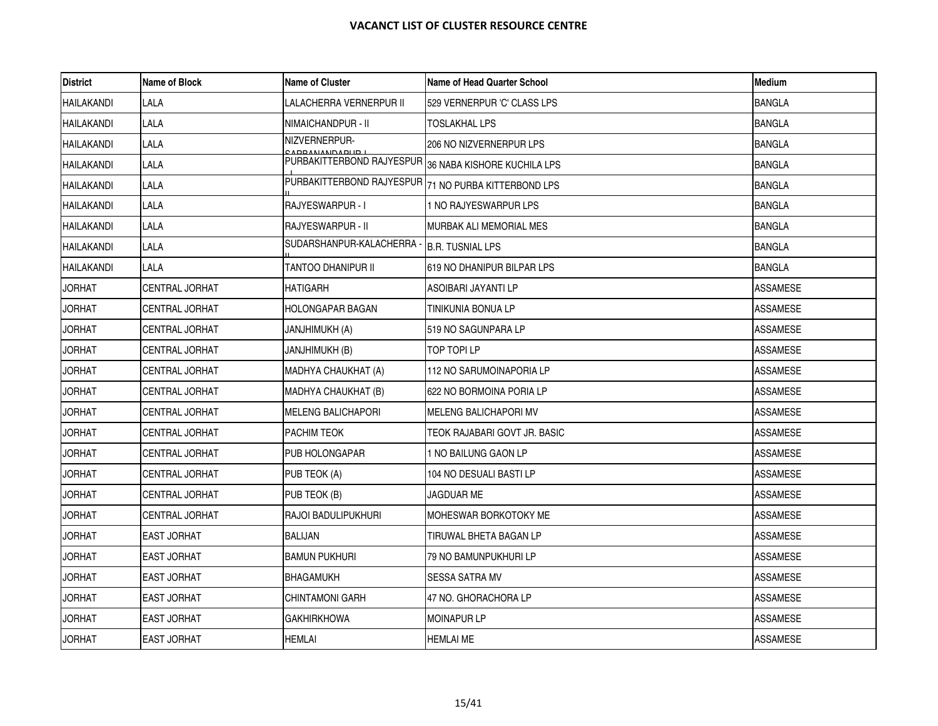| <b>District</b>   | Name of Block         | <b>Name of Cluster</b>                                | <b>Name of Head Quarter School</b> | <b>Medium</b>   |
|-------------------|-----------------------|-------------------------------------------------------|------------------------------------|-----------------|
| <b>HAILAKANDI</b> | LALA                  | LALACHERRA VERNERPUR II                               | 529 VERNERPUR 'C' CLASS LPS        | <b>BANGLA</b>   |
| <b>HAILAKANDI</b> | <b>LALA</b>           | NIMAICHANDPUR - II                                    | TOSLAKHAL LPS                      | <b>BANGLA</b>   |
| <b>HAILAKANDI</b> | LALA                  | NIZVERNERPUR-<br><u>A DD ANIAND A DI ID I</u>         | 206 NO NIZVERNERPUR LPS            | <b>BANGLA</b>   |
| HAILAKANDI        | LALA                  | PURBAKITTERBOND RAJYESPUR 36 NABA KISHORE KUCHILA LPS |                                    | <b>BANGLA</b>   |
| HAILAKANDI        | <b>LALA</b>           | PURBAKITTERBOND RAJYESPUR                             | 71 NO PURBA KITTERBOND LPS         | <b>BANGLA</b>   |
| <b>HAILAKANDI</b> | LALA                  | RAJYESWARPUR - I                                      | 1 NO RAJYESWARPUR LPS              | <b>BANGLA</b>   |
| <b>HAILAKANDI</b> | <b>LALA</b>           | RAJYESWARPUR - II                                     | MURBAK ALI MEMORIAL MES            | <b>BANGLA</b>   |
| HAILAKANDI        | <b>LALA</b>           | SUDARSHANPUR-KALACHERRA -                             | <b>B.R. TUSNIAL LPS</b>            | <b>BANGLA</b>   |
| <b>HAILAKANDI</b> | LALA                  | TANTOO DHANIPUR II                                    | 619 NO DHANIPUR BILPAR LPS         | <b>BANGLA</b>   |
| <b>JORHAT</b>     | <b>CENTRAL JORHAT</b> | <b>HATIGARH</b>                                       | ASOIBARI JAYANTI LP                | ASSAMESE        |
| <b>JORHAT</b>     | <b>CENTRAL JORHAT</b> | <b>HOLONGAPAR BAGAN</b>                               | TINIKUNIA BONUA LP                 | ASSAMESE        |
| <b>JORHAT</b>     | CENTRAL JORHAT        | JANJHIMUKH (A)                                        | 519 NO SAGUNPARA LP                | <b>ASSAMESE</b> |
| <b>JORHAT</b>     | CENTRAL JORHAT        | JANJHIMUKH (B)                                        | TOP TOPI LP                        | ASSAMESE        |
| <b>JORHAT</b>     | <b>CENTRAL JORHAT</b> | MADHYA CHAUKHAT (A)                                   | 112 NO SARUMOINAPORIA LP           | ASSAMESE        |
| <b>JORHAT</b>     | CENTRAL JORHAT        | MADHYA CHAUKHAT (B)                                   | 622 NO BORMOINA PORIA LP           | ASSAMESE        |
| <b>JORHAT</b>     | CENTRAL JORHAT        | <b>MELENG BALICHAPORI</b>                             | MELENG BALICHAPORI MV              | ASSAMESE        |
| <b>JORHAT</b>     | CENTRAL JORHAT        | <b>PACHIM TEOK</b>                                    | TEOK RAJABARI GOVT JR. BASIC       | <b>ASSAMESE</b> |
| <b>JORHAT</b>     | CENTRAL JORHAT        | PUB HOLONGAPAR                                        | 1 NO BAILUNG GAON LP               | ASSAMESE        |
| <b>JORHAT</b>     | CENTRAL JORHAT        | PUB TEOK (A)                                          | 104 NO DESUALI BASTI LP            | ASSAMESE        |
| <b>JORHAT</b>     | CENTRAL JORHAT        | PUB TEOK (B)                                          | JAGDUAR ME                         | ASSAMESE        |
| <b>JORHAT</b>     | CENTRAL JORHAT        | <b>RAJOI BADULIPUKHURI</b>                            | MOHESWAR BORKOTOKY ME              | ASSAMESE        |
| <b>JORHAT</b>     | <b>EAST JORHAT</b>    | BALIJAN                                               | TIRUWAL BHETA BAGAN LP             | ASSAMESE        |
| <b>JORHAT</b>     | <b>EAST JORHAT</b>    | <b>BAMUN PUKHURI</b>                                  | 79 NO BAMUNPUKHURI LP              | ASSAMESE        |
| <b>JORHAT</b>     | <b>EAST JORHAT</b>    | <b>BHAGAMUKH</b>                                      | SESSA SATRA MV                     | <b>ASSAMESE</b> |
| <b>JORHAT</b>     | <b>EAST JORHAT</b>    | CHINTAMONI GARH                                       | 47 NO. GHORACHORA LP               | ASSAMESE        |
| <b>JORHAT</b>     | <b>EAST JORHAT</b>    | GAKHIRKHOWA                                           | MOINAPUR LP                        | ASSAMESE        |
| <b>JORHAT</b>     | <b>EAST JORHAT</b>    | <b>HEMLAI</b>                                         | <b>HEMLAI ME</b>                   | <b>ASSAMESE</b> |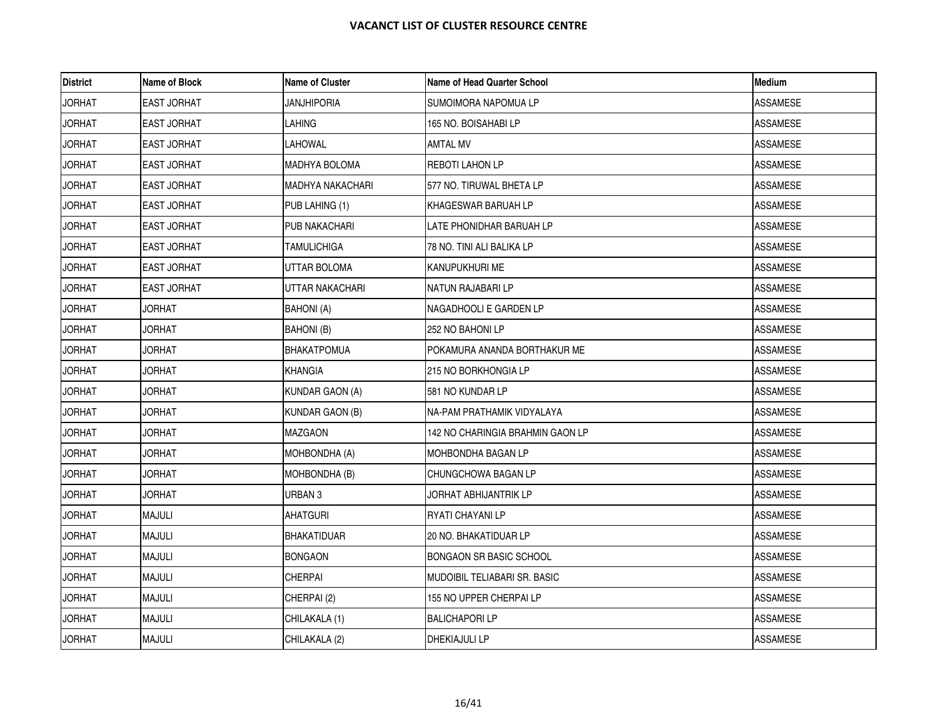| <b>District</b> | <b>Name of Block</b> | <b>Name of Cluster</b>  | Name of Head Quarter School         | <b>Medium</b>   |
|-----------------|----------------------|-------------------------|-------------------------------------|-----------------|
| <b>JORHAT</b>   | <b>EAST JORHAT</b>   | JANJHIPORIA             | SUMOIMORA NAPOMUA LP                | <b>ASSAMESE</b> |
| <b>JORHAT</b>   | <b>EAST JORHAT</b>   | LAHING                  | 165 NO. BOISAHABI LP                | <b>ASSAMESE</b> |
| <b>JORHAT</b>   | <b>EAST JORHAT</b>   | LAHOWAL                 | <b>AMTAL MV</b>                     | ASSAMESE        |
| <b>JORHAT</b>   | EAST JORHAT          | <b>MADHYA BOLOMA</b>    | <b>REBOTI LAHON LP</b>              | ASSAMESE        |
| <b>JORHAT</b>   | <b>EAST JORHAT</b>   | <b>MADHYA NAKACHARI</b> | 577 NO. TIRUWAL BHETA LP            | <b>ASSAMESE</b> |
| <b>JORHAT</b>   | EAST JORHAT          | PUB LAHING (1)          | KHAGESWAR BARUAH LP                 | <b>ASSAMESE</b> |
| <b>JORHAT</b>   | <b>EAST JORHAT</b>   | PUB NAKACHARI           | LATE PHONIDHAR BARUAH LP            | ASSAMESE        |
| <b>JORHAT</b>   | <b>EAST JORHAT</b>   | <b>TAMULICHIGA</b>      | 78 NO. TINI ALI BALIKA LP           | <b>ASSAMESE</b> |
| <b>JORHAT</b>   | EAST JORHAT          | UTTAR BOLOMA            | KANUPUKHURI ME                      | ASSAMESE        |
| <b>JORHAT</b>   | <b>EAST JORHAT</b>   | UTTAR NAKACHARI         | NATUN RAJABARI LP                   | ASSAMESE        |
| <b>JORHAT</b>   | JORHAT               | <b>BAHONI</b> (A)       | NAGADHOOLI E GARDEN LP              | <b>ASSAMESE</b> |
| <b>JORHAT</b>   | <b>JORHAT</b>        | BAHONI (B)              | 252 NO BAHONI LP                    | ASSAMESE        |
| <b>JORHAT</b>   | JORHAT               | <b>BHAKATPOMUA</b>      | POKAMURA ANANDA BORTHAKUR ME        | <b>ASSAMESE</b> |
| <b>JORHAT</b>   | <b>JORHAT</b>        | KHANGIA                 | 215 NO BORKHONGIA LP                | <b>ASSAMESE</b> |
| <b>JORHAT</b>   | JORHAT               | <b>KUNDAR GAON (A)</b>  | 581 NO KUNDAR LP                    | <b>ASSAMESE</b> |
| <b>JORHAT</b>   | <b>JORHAT</b>        | <b>KUNDAR GAON (B)</b>  | NA-PAM PRATHAMIK VIDYALAYA          | ASSAMESE        |
| <b>JORHAT</b>   | <b>JORHAT</b>        | MAZGAON                 | 142 NO CHARINGIA BRAHMIN GAON LP    | <b>ASSAMESE</b> |
| <b>JORHAT</b>   | <b>JORHAT</b>        | MOHBONDHA (A)           | MOHBONDHA BAGAN LP                  | ASSAMESE        |
| <b>JORHAT</b>   | <b>JORHAT</b>        | MOHBONDHA (B)           | CHUNGCHOWA BAGAN LP                 | ASSAMESE        |
| <b>JORHAT</b>   | <b>JORHAT</b>        | URBAN <sub>3</sub>      | JORHAT ABHIJANTRIK LP               | <b>ASSAMESE</b> |
| <b>JORHAT</b>   | <b>MAJULI</b>        | <b>AHATGURI</b>         | RYATI CHAYANI LP                    | <b>ASSAMESE</b> |
| <b>JORHAT</b>   | <b>MAJULI</b>        | <b>BHAKATIDUAR</b>      | 20 NO. BHAKATIDUAR LP               | ASSAMESE        |
| <b>JORHAT</b>   | <b>MAJULI</b>        | <b>BONGAON</b>          | <b>BONGAON SR BASIC SCHOOL</b>      | <b>ASSAMESE</b> |
| <b>JORHAT</b>   | <b>MAJULI</b>        | <b>CHERPAI</b>          | <b>MUDOIBIL TELIABARI SR. BASIC</b> | <b>ASSAMESE</b> |
| <b>JORHAT</b>   | <b>MAJULI</b>        | CHERPAI (2)             | 155 NO UPPER CHERPAI LP             | ASSAMESE        |
| <b>JORHAT</b>   | <b>MAJULI</b>        | CHILAKALA (1)           | <b>BALICHAPORI LP</b>               | <b>ASSAMESE</b> |
| <b>JORHAT</b>   | <b>MAJULI</b>        | CHILAKALA (2)           | DHEKIAJULI LP                       | <b>ASSAMESE</b> |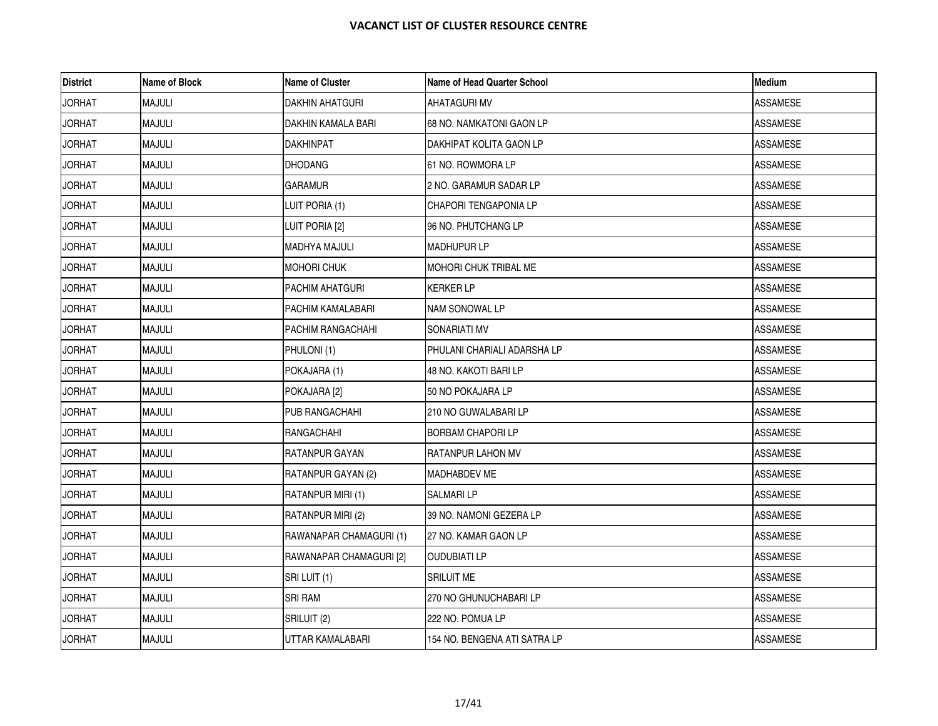| <b>District</b> | <b>Name of Block</b> | <b>Name of Cluster</b>  | Name of Head Quarter School  | <b>Medium</b>   |
|-----------------|----------------------|-------------------------|------------------------------|-----------------|
| <b>JORHAT</b>   | <b>MAJULI</b>        | <b>DAKHIN AHATGURI</b>  | <b>AHATAGURI MV</b>          | <b>ASSAMESE</b> |
| <b>JORHAT</b>   | <b>MAJULI</b>        | DAKHIN KAMALA BARI      | 68 NO. NAMKATONI GAON LP     | <b>ASSAMESE</b> |
| <b>JORHAT</b>   | MAJULI               | DAKHINPAT               | DAKHIPAT KOLITA GAON LP      | ASSAMESE        |
| <b>JORHAT</b>   | <b>MAJULI</b>        | <b>DHODANG</b>          | 61 NO. ROWMORA LP            | ASSAMESE        |
| <b>JORHAT</b>   | <b>MAJULI</b>        | <b>GARAMUR</b>          | 2 NO. GARAMUR SADAR LP       | <b>ASSAMESE</b> |
| <b>JORHAT</b>   | <b>MAJULI</b>        | LUIT PORIA (1)          | CHAPORI TENGAPONIA LP        | <b>ASSAMESE</b> |
| <b>JORHAT</b>   | <b>MAJULI</b>        | LUIT PORIA [2]          | 96 NO. PHUTCHANG LP          | <b>ASSAMESE</b> |
| <b>JORHAT</b>   | <b>MAJULI</b>        | <b>MADHYA MAJULI</b>    | <b>MADHUPUR LP</b>           | <b>ASSAMESE</b> |
| <b>JORHAT</b>   | <b>MAJULI</b>        | MOHORI CHUK             | MOHORI CHUK TRIBAL ME        | <b>ASSAMESE</b> |
| <b>JORHAT</b>   | <b>MAJULI</b>        | <b>PACHIM AHATGURI</b>  | <b>KERKER LP</b>             | ASSAMESE        |
| <b>JORHAT</b>   | <b>MAJULI</b>        | PACHIM KAMALABARI       | <b>NAM SONOWAL LP</b>        | <b>ASSAMESE</b> |
| <b>JORHAT</b>   | MAJULI               | PACHIM RANGACHAHI       | SONARIATI MV                 | ASSAMESE        |
| <b>JORHAT</b>   | <b>MAJULI</b>        | PHULONI(1)              | PHULANI CHARIALI ADARSHA LP  | ASSAMESE        |
| <b>JORHAT</b>   | <b>MAJULI</b>        | POKAJARA (1)            | 48 NO. KAKOTI BARI LP        | <b>ASSAMESE</b> |
| <b>JORHAT</b>   | MAJULI               | POKAJARA [2]            | 50 NO POKAJARA LP            | ASSAMESE        |
| <b>JORHAT</b>   | <b>MAJULI</b>        | PUB RANGACHAHI          | 210 NO GUWALABARI LP         | <b>ASSAMESE</b> |
| <b>JORHAT</b>   | <b>MAJULI</b>        | RANGACHAHI              | <b>BORBAM CHAPORI LP</b>     | <b>ASSAMESE</b> |
| <b>JORHAT</b>   | <b>MAJULI</b>        | RATANPUR GAYAN          | <b>RATANPUR LAHON MV</b>     | ASSAMESE        |
| <b>JORHAT</b>   | <b>MAJULI</b>        | RATANPUR GAYAN (2)      | <b>MADHABDEV ME</b>          | ASSAMESE        |
| <b>JORHAT</b>   | <b>MAJULI</b>        | RATANPUR MIRI (1)       | <b>SALMARILP</b>             | <b>ASSAMESE</b> |
| <b>JORHAT</b>   | MAJULI               | RATANPUR MIRI (2)       | 39 NO. NAMONI GEZERA LP      | <b>ASSAMESE</b> |
| <b>JORHAT</b>   | <b>MAJULI</b>        | RAWANAPAR CHAMAGURI (1) | 27 NO. KAMAR GAON LP         | ASSAMESE        |
| <b>JORHAT</b>   | <b>MAJULI</b>        | RAWANAPAR CHAMAGURI [2] | <b>OUDUBIATI LP</b>          | <b>ASSAMESE</b> |
| <b>JORHAT</b>   | <b>MAJULI</b>        | SRI LUIT (1)            | <b>SRILUIT ME</b>            | <b>ASSAMESE</b> |
| <b>JORHAT</b>   | <b>MAJULI</b>        | <b>SRI RAM</b>          | 270 NO GHUNUCHABARI LP       | <b>ASSAMESE</b> |
| <b>JORHAT</b>   | <b>MAJULI</b>        | SRILUIT (2)             | 222 NO. POMUA LP             | ASSAMESE        |
| <b>JORHAT</b>   | <b>MAJULI</b>        | UTTAR KAMALABARI        | 154 NO. BENGENA ATI SATRA LP | <b>ASSAMESE</b> |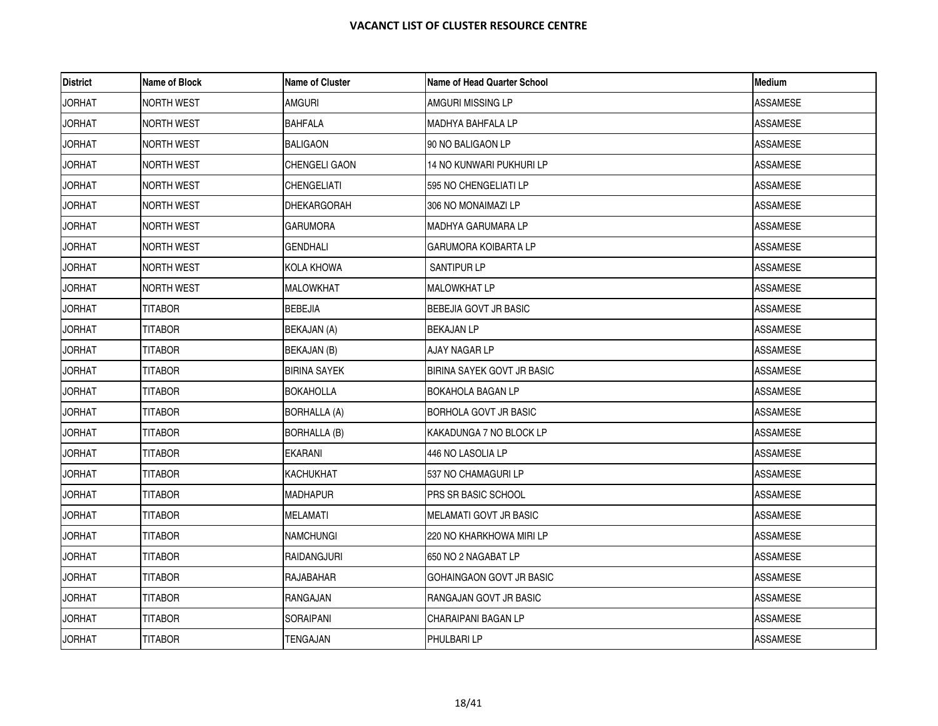| <b>District</b> | Name of Block     | <b>Name of Cluster</b> | Name of Head Quarter School  | Medium          |
|-----------------|-------------------|------------------------|------------------------------|-----------------|
| <b>JORHAT</b>   | <b>NORTH WEST</b> | <b>AMGURI</b>          | AMGURI MISSING LP            | <b>ASSAMESE</b> |
| <b>JORHAT</b>   | <b>NORTH WEST</b> | <b>BAHFALA</b>         | <b>MADHYA BAHFALA LP</b>     | ASSAMESE        |
| <b>JORHAT</b>   | NORTH WEST        | BALIGAON               | 90 NO BALIGAON LP            | ASSAMESE        |
| <b>JORHAT</b>   | NORTH WEST        | CHENGELI GAON          | 14 NO KUNWARI PUKHURI LP     | <b>ASSAMESE</b> |
| <b>JORHAT</b>   | <b>NORTH WEST</b> | <b>CHENGELIATI</b>     | 595 NO CHENGELIATI LP        | <b>ASSAMESE</b> |
| <b>JORHAT</b>   | <b>NORTH WEST</b> | <b>DHEKARGORAH</b>     | 306 NO MONAIMAZI LP          | ASSAMESE        |
| <b>JORHAT</b>   | <b>NORTH WEST</b> | <b>GARUMORA</b>        | MADHYA GARUMARA LP           | ASSAMESE        |
| <b>JORHAT</b>   | <b>NORTH WEST</b> | <b>GENDHALI</b>        | <b>GARUMORA KOIBARTA LP</b>  | <b>ASSAMESE</b> |
| <b>JORHAT</b>   | <b>NORTH WEST</b> | KOLA KHOWA             | SANTIPUR LP                  | ASSAMESE        |
| <b>JORHAT</b>   | <b>NORTH WEST</b> | <b>MALOWKHAT</b>       | <b>MALOWKHAT LP</b>          | <b>ASSAMESE</b> |
| <b>JORHAT</b>   | <b>TITABOR</b>    | <b>BEBEJIA</b>         | BEBEJIA GOVT JR BASIC        | <b>ASSAMESE</b> |
| <b>JORHAT</b>   | <b>TITABOR</b>    | BEKAJAN (A)            | <b>BEKAJAN LP</b>            | <b>ASSAMESE</b> |
| <b>JORHAT</b>   | <b>TITABOR</b>    | BEKAJAN (B)            | AJAY NAGAR LP                | ASSAMESE        |
| <b>JORHAT</b>   | <b>TITABOR</b>    | <b>BIRINA SAYEK</b>    | BIRINA SAYEK GOVT JR BASIC   | <b>ASSAMESE</b> |
| <b>JORHAT</b>   | TITABOR           | <b>BOKAHOLLA</b>       | <b>BOKAHOLA BAGAN LP</b>     | <b>ASSAMESE</b> |
| <b>JORHAT</b>   | <b>TITABOR</b>    | <b>BORHALLA (A)</b>    | <b>BORHOLA GOVT JR BASIC</b> | ASSAMESE        |
| <b>JORHAT</b>   | <b>TITABOR</b>    | <b>BORHALLA (B)</b>    | IKAKADUNGA 7 NO BLOCK LP     | <b>ASSAMESE</b> |
| <b>JORHAT</b>   | <b>TITABOR</b>    | EKARANI                | 446 NO LASOLIA LP            | ASSAMESE        |
| <b>JORHAT</b>   | <b>TITABOR</b>    | KACHUKHAT              | 537 NO CHAMAGURI LP          | ASSAMESE        |
| <b>JORHAT</b>   | TITABOR           | <b>MADHAPUR</b>        | <b>PRS SR BASIC SCHOOL</b>   | ASSAMESE        |
| <b>JORHAT</b>   | <b>TITABOR</b>    | <b>MELAMATI</b>        | MELAMATI GOVT JR BASIC       | <b>ASSAMESE</b> |
| <b>JORHAT</b>   | <b>TITABOR</b>    | <b>NAMCHUNGI</b>       | 220 NO KHARKHOWA MIRI LP     | ASSAMESE        |
| <b>JORHAT</b>   | <b>TITABOR</b>    | <b>RAIDANGJURI</b>     | 650 NO 2 NAGABAT LP          | <b>ASSAMESE</b> |
| <b>JORHAT</b>   | TITABOR           | RAJABAHAR              | GOHAINGAON GOVT JR BASIC     | ASSAMESE        |
| <b>JORHAT</b>   | <b>TITABOR</b>    | RANGAJAN               | RANGAJAN GOVT JR BASIC       | ASSAMESE        |
| <b>JORHAT</b>   | <b>TITABOR</b>    | SORAIPANI              | CHARAIPANI BAGAN LP          | <b>ASSAMESE</b> |
| <b>JORHAT</b>   | TITABOR           | TENGAJAN               | PHULBARI LP                  | <b>ASSAMESE</b> |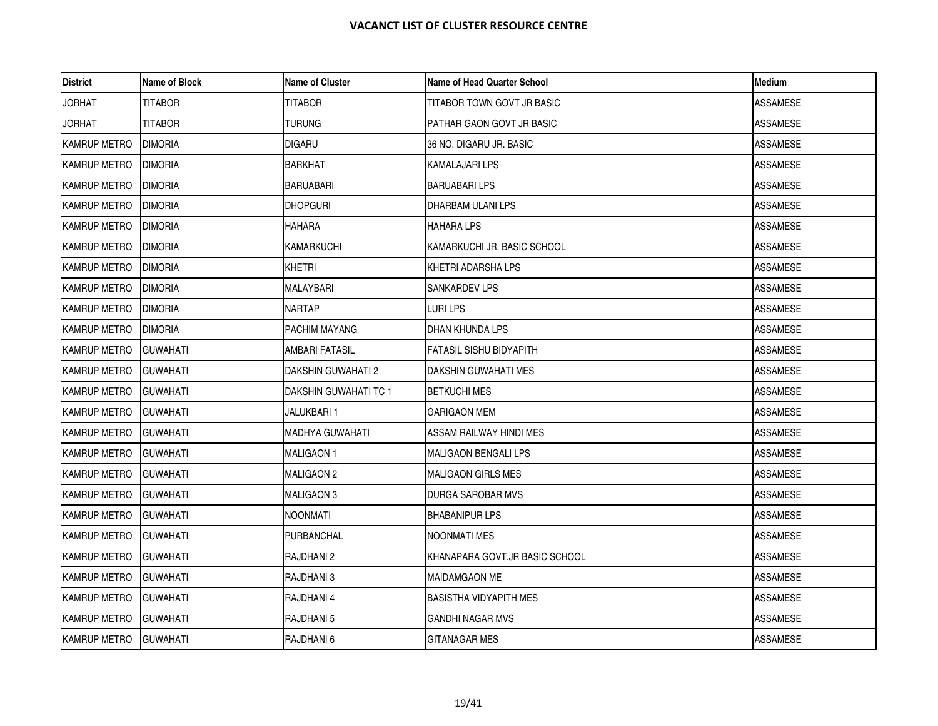| <b>District</b>     | Name of Block    | <b>Name of Cluster</b>    | Name of Head Quarter School    | <b>Medium</b>   |
|---------------------|------------------|---------------------------|--------------------------------|-----------------|
| <b>JORHAT</b>       | <b>TITABOR</b>   | <b>TITABOR</b>            | TITABOR TOWN GOVT JR BASIC     | <b>ASSAMESE</b> |
| <b>JORHAT</b>       | <b>TITABOR</b>   | <b>TURUNG</b>             | PATHAR GAON GOVT JR BASIC      | <b>ASSAMESE</b> |
| KAMRUP METRO        | <b>DIMORIA</b>   | <b>DIGARU</b>             | 36 NO. DIGARU JR. BASIC        | ASSAMESE        |
| <b>KAMRUP METRO</b> | <b>DIMORIA</b>   | <b>BARKHAT</b>            | <b>KAMALAJARI LPS</b>          | ASSAMESE        |
| <b>KAMRUP METRO</b> | <b>DIMORIA</b>   | <b>BARUABARI</b>          | <b>BARUABARILPS</b>            | <b>ASSAMESE</b> |
| KAMRUP METRO        | <b>DIMORIA</b>   | <b>DHOPGURI</b>           | DHARBAM ULANI LPS              | ASSAMESE        |
| KAMRUP METRO        | <b>DIMORIA</b>   | HAHARA                    | <b>HAHARA LPS</b>              | ASSAMESE        |
| KAMRUP METRO        | <b>DIMORIA</b>   | <b>KAMARKUCHI</b>         | KAMARKUCHI JR. BASIC SCHOOL    | <b>ASSAMESE</b> |
| KAMRUP METRO        | <b>DIMORIA</b>   | KHETRI                    | KHETRI ADARSHA LPS             | ASSAMESE        |
| KAMRUP METRO        | <b>DIMORIA</b>   | <b>MALAYBARI</b>          | <b>SANKARDEV LPS</b>           | ASSAMESE        |
| KAMRUP METRO        | <b>DIMORIA</b>   | <b>NARTAP</b>             | LURI LPS                       | <b>ASSAMESE</b> |
| KAMRUP METRO        | <b>DIMORIA</b>   | PACHIM MAYANG             | <b>DHAN KHUNDA LPS</b>         | ASSAMESE        |
| KAMRUP METRO        | <b>GUWAHATI</b>  | AMBARI FATASIL            | <b>FATASIL SISHU BIDYAPITH</b> | ASSAMESE        |
| KAMRUP METRO        | <b>GUWAHATI</b>  | <b>DAKSHIN GUWAHATI 2</b> | DAKSHIN GUWAHATI MES           | <b>ASSAMESE</b> |
| KAMRUP METRO        | <b>GUWAHATI</b>  | DAKSHIN GUWAHATI TC 1     | <b>BETKUCHI MES</b>            | ASSAMESE        |
| KAMRUP METRO        | <b>GUWAHATI</b>  | JALUKBARI 1               | <b>GARIGAON MEM</b>            | ASSAMESE        |
| <b>KAMRUP METRO</b> | <b>GUWAHATI</b>  | <b>MADHYA GUWAHATI</b>    | ASSAM RAILWAY HINDI MES        | <b>ASSAMESE</b> |
| KAMRUP METRO        | <b>GUWAHATI</b>  | <b>MALIGAON 1</b>         | <b>MALIGAON BENGALI LPS</b>    | ASSAMESE        |
| <b>KAMRUP METRO</b> | <b>GUWAHATI</b>  | MALIGAON 2                | <b>MALIGAON GIRLS MES</b>      | ASSAMESE        |
| KAMRUP METRO        | <b>IGUWAHATI</b> | MALIGAON 3                | DURGA SAROBAR MVS              | <b>ASSAMESE</b> |
| KAMRUP METRO        | <b>GUWAHATI</b>  | NOONMATI                  | <b>BHABANIPUR LPS</b>          | ASSAMESE        |
| <b>KAMRUP METRO</b> | <b>GUWAHATI</b>  | PURBANCHAL                | NOONMATI MES                   | ASSAMESE        |
| KAMRUP METRO        | <b>GUWAHATI</b>  | RAJDHANI 2                | KHANAPARA GOVT.JR BASIC SCHOOL | <b>ASSAMESE</b> |
| KAMRUP METRO        | <b>GUWAHATI</b>  | RAJDHANI 3                | <b>MAIDAMGAON ME</b>           | ASSAMESE        |
| KAMRUP METRO        | <b>GUWAHATI</b>  | RAJDHANI 4                | <b>BASISTHA VIDYAPITH MES</b>  | ASSAMESE        |
| KAMRUP METRO        | <b>GUWAHATI</b>  | RAJDHANI 5                | <b>GANDHI NAGAR MVS</b>        | <b>ASSAMESE</b> |
| KAMRUP METRO        | <b>GUWAHATI</b>  | RAJDHANI 6                | <b>GITANAGAR MES</b>           | <b>ASSAMESE</b> |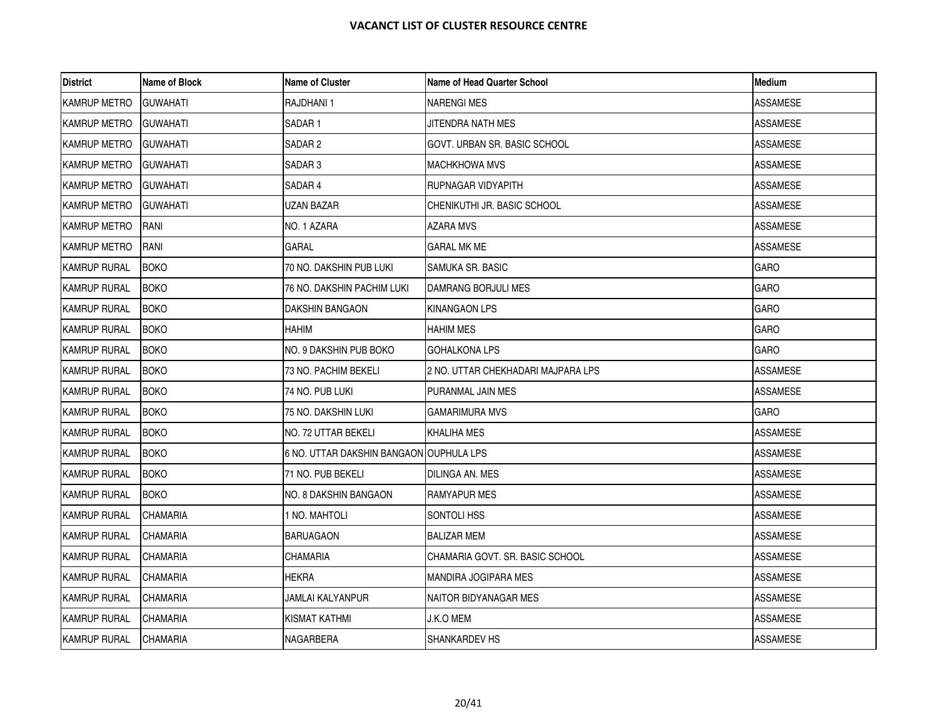| <b>District</b>     | Name of Block   | <b>Name of Cluster</b>                  | Name of Head Quarter School        | <b>Medium</b>   |
|---------------------|-----------------|-----------------------------------------|------------------------------------|-----------------|
| KAMRUP METRO        | <b>GUWAHATI</b> | RAJDHANI 1                              | <b>NARENGI MES</b>                 | <b>ASSAMESE</b> |
| <b>KAMRUP METRO</b> | <b>GUWAHATI</b> | SADAR <sub>1</sub>                      | JITENDRA NATH MES                  | <b>ASSAMESE</b> |
| <b>KAMRUP METRO</b> | <b>GUWAHATI</b> | SADAR 2                                 | GOVT. URBAN SR. BASIC SCHOOL       | ASSAMESE        |
| KAMRUP METRO        | <b>GUWAHATI</b> | SADAR <sub>3</sub>                      | <b>MACHKHOWA MVS</b>               | <b>ASSAMESE</b> |
| <b>KAMRUP METRO</b> | <b>GUWAHATI</b> | SADAR 4                                 | RUPNAGAR VIDYAPITH                 | <b>ASSAMESE</b> |
| KAMRUP METRO        | <b>GUWAHATI</b> | UZAN BAZAR                              | CHENIKUTHI JR. BASIC SCHOOL        | ASSAMESE        |
| KAMRUP METRO        | <b>RANI</b>     | NO. 1 AZARA                             | AZARA MVS                          | <b>ASSAMESE</b> |
| KAMRUP METRO        | RANI            | <b>GARAL</b>                            | <b>GARAL MK ME</b>                 | <b>ASSAMESE</b> |
| <b>KAMRUP RURAL</b> | <b>BOKO</b>     | 70 NO. DAKSHIN PUB LUKI                 | SAMUKA SR. BASIC                   | <b>GARO</b>     |
| <b>KAMRUP RURAL</b> | <b>BOKO</b>     | 76 NO. DAKSHIN PACHIM LUKI              | DAMRANG BORJULI MES                | <b>GARO</b>     |
| <b>KAMRUP RURAL</b> | <b>BOKO</b>     | <b>DAKSHIN BANGAON</b>                  | <b>KINANGAON LPS</b>               | <b>GARO</b>     |
| <b>KAMRUP RURAL</b> | <b>BOKO</b>     | HAHIM                                   | <b>HAHIM MES</b>                   | <b>GARO</b>     |
| <b>KAMRUP RURAL</b> | <b>BOKO</b>     | NO. 9 DAKSHIN PUB BOKO                  | <b>GOHALKONA LPS</b>               | <b>GARO</b>     |
| <b>KAMRUP RURAL</b> | <b>BOKO</b>     | 73 NO. PACHIM BEKELI                    | 2 NO. UTTAR CHEKHADARI MAJPARA LPS | <b>ASSAMESE</b> |
| <b>KAMRUP RURAL</b> | <b>BOKO</b>     | 74 NO. PUB LUKI                         | PURANMAL JAIN MES                  | ASSAMESE        |
| <b>KAMRUP RURAL</b> | <b>BOKO</b>     | 75 NO. DAKSHIN LUKI                     | GAMARIMURA MVS                     | <b>GARO</b>     |
| <b>KAMRUP RURAL</b> | <b>BOKO</b>     | NO. 72 UTTAR BEKELI                     | <b>KHALIHA MES</b>                 | <b>ASSAMESE</b> |
| <b>KAMRUP RURAL</b> | <b>BOKO</b>     | 6 NO. UTTAR DAKSHIN BANGAON OUPHULA LPS |                                    | <b>ASSAMESE</b> |
| <b>KAMRUP RURAL</b> | <b>BOKO</b>     | 71 NO. PUB BEKELI                       | DILINGA AN. MES                    | ASSAMESE        |
| <b>KAMRUP RURAL</b> | <b>BOKO</b>     | NO. 8 DAKSHIN BANGAON                   | <b>RAMYAPUR MES</b>                | ASSAMESE        |
| <b>KAMRUP RURAL</b> | <b>CHAMARIA</b> | I NO. MAHTOLI                           | SONTOLI HSS                        | <b>ASSAMESE</b> |
| <b>KAMRUP RURAL</b> | <b>CHAMARIA</b> | <b>BARUAGAON</b>                        | <b>BALIZAR MEM</b>                 | ASSAMESE        |
| <b>KAMRUP RURAL</b> | <b>CHAMARIA</b> | CHAMARIA                                | CHAMARIA GOVT. SR. BASIC SCHOOL    | <b>ASSAMESE</b> |
| <b>KAMRUP RURAL</b> | <b>CHAMARIA</b> | HEKRA                                   | <b>MANDIRA JOGIPARA MES</b>        | <b>ASSAMESE</b> |
| <b>KAMRUP RURAL</b> | <b>CHAMARIA</b> | JAMLAI KALYANPUR                        | NAITOR BIDYANAGAR MES              | ASSAMESE        |
| KAMRUP RURAL        | <b>CHAMARIA</b> | KISMAT KATHMI                           | J.K.O MEM                          | ASSAMESE        |
| <b>KAMRUP RURAL</b> | <b>CHAMARIA</b> | NAGARBERA                               | <b>SHANKARDEV HS</b>               | <b>ASSAMESE</b> |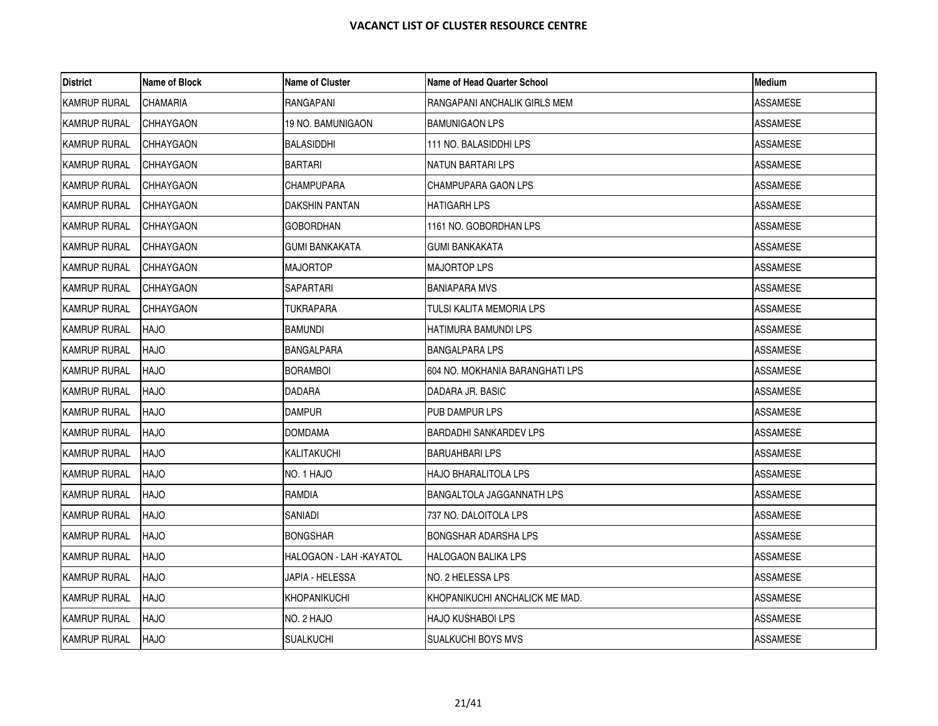| District            | Name of Block    | <b>Name of Cluster</b>   | Name of Head Quarter School      | <b>Medium</b>   |
|---------------------|------------------|--------------------------|----------------------------------|-----------------|
| <b>KAMRUP RURAL</b> | <b>CHAMARIA</b>  | RANGAPANI                | IRANGAPANI ANCHALIK GIRLS MEM    | <b>ASSAMESE</b> |
| <b>KAMRUP RURAL</b> | <b>CHHAYGAON</b> | 19 NO. BAMUNIGAON        | <b>BAMUNIGAON LPS</b>            | ASSAMESE        |
| <b>KAMRUP RURAL</b> | <b>CHHAYGAON</b> | <b>BALASIDDHI</b>        | 111 NO. BALASIDDHI LPS           | ASSAMESE        |
| <b>KAMRUP RURAL</b> | CHHAYGAON        | <b>BARTARI</b>           | NATUN BARTARI LPS                | ASSAMESE        |
| <b>KAMRUP RURAL</b> | <b>CHHAYGAON</b> | <b>CHAMPUPARA</b>        | CHAMPUPARA GAON LPS              | ASSAMESE        |
| <b>KAMRUP RURAL</b> | <b>CHHAYGAON</b> | DAKSHIN PANTAN           | <b>HATIGARH LPS</b>              | <b>ASSAMESE</b> |
| <b>KAMRUP RURAL</b> | CHHAYGAON        | <b>GOBORDHAN</b>         | 1161 NO. GOBORDHAN LPS           | ASSAMESE        |
| KAMRUP RURAL        | <b>CHHAYGAON</b> | <b>GUMI BANKAKATA</b>    | <b>GUMI BANKAKATA</b>            | ASSAMESE        |
| <b>KAMRUP RURAL</b> | <b>CHHAYGAON</b> | <b>MAJORTOP</b>          | <b>MAJORTOP LPS</b>              | <b>ASSAMESE</b> |
| <b>KAMRUP RURAL</b> | CHHAYGAON        | SAPARTARI                | <b>BANIAPARA MVS</b>             | ASSAMESE        |
| <b>KAMRUP RURAL</b> | CHHAYGAON        | TUKRAPARA                | TULSI KALITA MEMORIA LPS         | <b>ASSAMESE</b> |
| <b>KAMRUP RURAL</b> | <b>HAJO</b>      | <b>BAMUNDI</b>           | HATIMURA BAMUNDI LPS             | ASSAMESE        |
| <b>KAMRUP RURAL</b> | <b>HAJO</b>      | <b>BANGALPARA</b>        | <b>BANGALPARA LPS</b>            | ASSAMESE        |
| KAMRUP RURAL        | <b>HAJO</b>      | <b>BORAMBOI</b>          | 604 NO. MOKHANIA BARANGHATI LPS  | <b>ASSAMESE</b> |
| <b>KAMRUP RURAL</b> | <b>HAJO</b>      | <b>DADARA</b>            | DADARA JR. BASIC                 | ASSAMESE        |
| KAMRUP RURAL        | <b>HAJO</b>      | <b>DAMPUR</b>            | PUB DAMPUR LPS                   | ASSAMESE        |
| KAMRUP RURAL        | <b>HAJO</b>      | <b>DOMDAMA</b>           | <b>BARDADHI SANKARDEV LPS</b>    | <b>ASSAMESE</b> |
| <b>KAMRUP RURAL</b> | <b>HAJO</b>      | KALITAKUCHI              | BARUAHBARI LPS                   | ASSAMESE        |
| KAMRUP RURAL        | <b>HAJO</b>      | NO. 1 HAJO               | <b>HAJO BHARALITOLA LPS</b>      | ASSAMESE        |
| KAMRUP RURAL        | <b>HAJO</b>      | RAMDIA                   | <b>BANGALTOLA JAGGANNATH LPS</b> | ASSAMESE        |
| <b>KAMRUP RURAL</b> | <b>HAJO</b>      | SANIADI                  | 737 NO. DALOITOLA LPS            | <b>ASSAMESE</b> |
| KAMRUP RURAL        | <b>HAJO</b>      | <b>BONGSHAR</b>          | BONGSHAR ADARSHA LPS             | ASSAMESE        |
| <b>KAMRUP RURAL</b> | <b>HAJO</b>      | HALOGAON - LAH - KAYATOL | <b>HALOGAON BALIKA LPS</b>       | ASSAMESE        |
| <b>KAMRUP RURAL</b> | <b>HAJO</b>      | JAPIA - HELESSA          | NO. 2 HELESSA LPS                | <b>ASSAMESE</b> |
| <b>KAMRUP RURAL</b> | <b>HAJO</b>      | KHOPANIKUCHI             | KHOPANIKUCHI ANCHALICK ME MAD.   | ASSAMESE        |
| <b>KAMRUP RURAL</b> | <b>HAJO</b>      | NO. 2 HAJO               | HAJO KUSHABOI LPS                | <b>ASSAMESE</b> |
| <b>KAMRUP RURAL</b> | <b>HAJO</b>      | <b>SUALKUCHI</b>         | <b>SUALKUCHI BOYS MVS</b>        | <b>ASSAMESE</b> |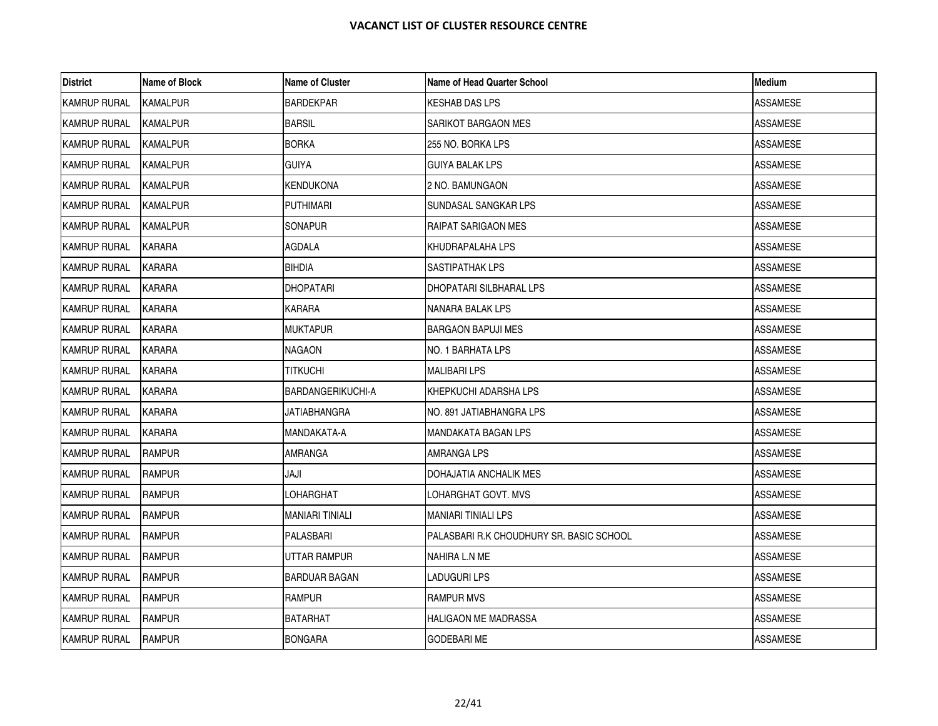| <b>District</b>     | Name of Block   | <b>Name of Cluster</b> | <b>Name of Head Quarter School</b>       | Medium          |
|---------------------|-----------------|------------------------|------------------------------------------|-----------------|
| <b>KAMRUP RURAL</b> | <b>KAMALPUR</b> | <b>BARDEKPAR</b>       | KESHAB DAS LPS                           | <b>ASSAMESE</b> |
| <b>KAMRUP RURAL</b> | <b>KAMALPUR</b> | <b>BARSIL</b>          | SARIKOT BARGAON MES                      | <b>ASSAMESE</b> |
| <b>KAMRUP RURAL</b> | <b>KAMALPUR</b> | <b>BORKA</b>           | 255 NO. BORKA LPS                        | ASSAMESE        |
| <b>KAMRUP RURAL</b> | KAMALPUR        | <b>GUIYA</b>           | GUIYA BALAK LPS                          | ASSAMESE        |
| <b>KAMRUP RURAL</b> | <b>KAMALPUR</b> | <b>KENDUKONA</b>       | 2 NO. BAMUNGAON                          | ASSAMESE        |
| <b>KAMRUP RURAL</b> | KAMALPUR        | <b>PUTHIMARI</b>       | SUNDASAL SANGKAR LPS                     | ASSAMESE        |
| <b>KAMRUP RURAL</b> | <b>KAMALPUR</b> | SONAPUR                | RAIPAT SARIGAON MES                      | ASSAMESE        |
| <b>KAMRUP RURAL</b> | <b>KARARA</b>   | <b>AGDALA</b>          | KHUDRAPALAHA LPS                         | <b>ASSAMESE</b> |
| <b>KAMRUP RURAL</b> | KARARA          | <b>BIHDIA</b>          | SASTIPATHAK LPS                          | ASSAMESE        |
| <b>KAMRUP RURAL</b> | <b>KARARA</b>   | <b>DHOPATARI</b>       | DHOPATARI SILBHARAL LPS                  | ASSAMESE        |
| <b>KAMRUP RURAL</b> | <b>KARARA</b>   | <b>KARARA</b>          | NANARA BALAK LPS                         | ASSAMESE        |
| <b>KAMRUP RURAL</b> | <b>KARARA</b>   | <b>MUKTAPUR</b>        | <b>BARGAON BAPUJI MES</b>                | ASSAMESE        |
| <b>KAMRUP RURAL</b> | KARARA          | <b>NAGAON</b>          | NO. 1 BARHATA LPS                        | ASSAMESE        |
| <b>KAMRUP RURAL</b> | <b>KARARA</b>   | TITKUCHI               | <b>MALIBARI LPS</b>                      | <b>ASSAMESE</b> |
| <b>KAMRUP RURAL</b> | KARARA          | BARDANGERIKUCHI-A      | KHEPKUCHI ADARSHA LPS                    | ASSAMESE        |
| <b>KAMRUP RURAL</b> | KARARA          | JATIABHANGRA           | NO. 891 JATIABHANGRA LPS                 | ASSAMESE        |
| <b>KAMRUP RURAL</b> | KARARA          | MANDAKATA-A            | MANDAKATA BAGAN LPS                      | ASSAMESE        |
| <b>KAMRUP RURAL</b> | RAMPUR          | <b>AMRANGA</b>         | AMRANGA LPS                              | ASSAMESE        |
| <b>KAMRUP RURAL</b> | <b>RAMPUR</b>   | JAJI                   | DOHAJATIA ANCHALIK MES                   | ASSAMESE        |
| <b>KAMRUP RURAL</b> | <b>RAMPUR</b>   | LOHARGHAT              | LOHARGHAT GOVT. MVS                      | <b>ASSAMESE</b> |
| <b>KAMRUP RURAL</b> | <b>RAMPUR</b>   | <b>MANIARI TINIALI</b> | MANIARI TINIALI LPS                      | ASSAMESE        |
| <b>KAMRUP RURAL</b> | <b>RAMPUR</b>   | PALASBARI              | PALASBARI R.K CHOUDHURY SR. BASIC SCHOOL | ASSAMESE        |
| <b>KAMRUP RURAL</b> | <b>RAMPUR</b>   | UTTAR RAMPUR           | NAHIRA L.N ME                            | ASSAMESE        |
| <b>KAMRUP RURAL</b> | <b>RAMPUR</b>   | <b>BARDUAR BAGAN</b>   | LADUGURI LPS                             | ASSAMESE        |
| <b>KAMRUP RURAL</b> | <b>RAMPUR</b>   | RAMPUR                 | RAMPUR MVS                               | ASSAMESE        |
| <b>KAMRUP RURAL</b> | <b>RAMPUR</b>   | <b>BATARHAT</b>        | HALIGAON ME MADRASSA                     | ASSAMESE        |
| <b>KAMRUP RURAL</b> | <b>RAMPUR</b>   | <b>BONGARA</b>         | <b>GODEBARI ME</b>                       | <b>ASSAMESE</b> |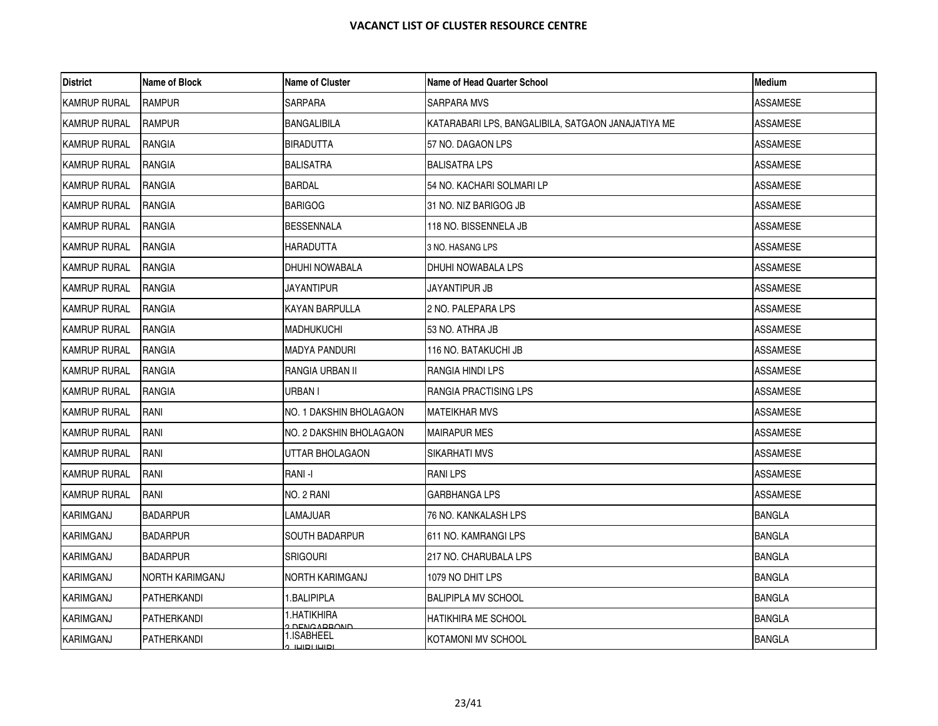| <b>District</b>     | Name of Block          | <b>Name of Cluster</b>       | Name of Head Quarter School                        | <b>Medium</b>   |
|---------------------|------------------------|------------------------------|----------------------------------------------------|-----------------|
| <b>KAMRUP RURAL</b> | <b>RAMPUR</b>          | SARPARA                      | <b>SARPARA MVS</b>                                 | ASSAMESE        |
| <b>KAMRUP RURAL</b> | <b>RAMPUR</b>          | <b>BANGALIBILA</b>           | KATARABARI LPS, BANGALIBILA, SATGAON JANAJATIYA ME | <b>ASSAMESE</b> |
| <b>KAMRUP RURAL</b> | RANGIA                 | BIRADUTTA                    | 57 NO. DAGAON LPS                                  | ASSAMESE        |
| <b>KAMRUP RURAL</b> | RANGIA                 | <b>BALISATRA</b>             | <b>BALISATRA LPS</b>                               | ASSAMESE        |
| <b>KAMRUP RURAL</b> | <b>RANGIA</b>          | <b>BARDAL</b>                | 54 NO. KACHARI SOLMARI LP                          | ASSAMESE        |
| <b>KAMRUP RURAL</b> | RANGIA                 | <b>BARIGOG</b>               | 31 NO. NIZ BARIGOG JB                              | ASSAMESE        |
| <b>KAMRUP RURAL</b> | RANGIA                 | <b>BESSENNALA</b>            | 118 NO. BISSENNELA JB                              | ASSAMESE        |
| <b>KAMRUP RURAL</b> | <b>RANGIA</b>          | HARADUTTA                    | 3 NO. HASANG LPS                                   | <b>ASSAMESE</b> |
| <b>KAMRUP RURAL</b> | RANGIA                 | DHUHI NOWABALA               | DHUHI NOWABALA LPS                                 | ASSAMESE        |
| <b>KAMRUP RURAL</b> | RANGIA                 | <b>JAYANTIPUR</b>            | JAYANTIPUR JB                                      | ASSAMESE        |
| <b>KAMRUP RURAL</b> | <b>RANGIA</b>          | <b>KAYAN BARPULLA</b>        | 2 NO. PALEPARA LPS                                 | <b>ASSAMESE</b> |
| <b>KAMRUP RURAL</b> | RANGIA                 | <b>MADHUKUCHI</b>            | 53 NO. ATHRA JB                                    | ASSAMESE        |
| <b>KAMRUP RURAL</b> | RANGIA                 | <b>MADYA PANDURI</b>         | 116 NO. BATAKUCHI JB                               | ASSAMESE        |
| <b>KAMRUP RURAL</b> | <b>RANGIA</b>          | RANGIA URBAN II              | <b>RANGIA HINDI LPS</b>                            | ASSAMESE        |
| KAMRUP RURAL        | RANGIA                 | URBAN I                      | RANGIA PRACTISING LPS                              | ASSAMESE        |
| <b>KAMRUP RURAL</b> | RANI                   | NO. 1 DAKSHIN BHOLAGAON      | <b>MATEIKHAR MVS</b>                               | ASSAMESE        |
| <b>KAMRUP RURAL</b> | RANI                   | NO. 2 DAKSHIN BHOLAGAON      | <b>MAIRAPUR MES</b>                                | ASSAMESE        |
| <b>KAMRUP RURAL</b> | RANI                   | UTTAR BHOLAGAON              | SIKARHATI MVS                                      | ASSAMESE        |
| <b>KAMRUP RURAL</b> | RANI                   | RANI -I                      | <b>RANILPS</b>                                     | ASSAMESE        |
| KAMRUP RURAL        | RANI                   | NO. 2 RANI                   | <b>GARBHANGA LPS</b>                               | ASSAMESE        |
| KARIMGANJ           | <b>BADARPUR</b>        | LAMAJUAR                     | 76 NO. KANKALASH LPS                               | <b>BANGLA</b>   |
| KARIMGANJ           | <b>BADARPUR</b>        | <b>SOUTH BADARPUR</b>        | 611 NO. KAMRANGI LPS                               | <b>BANGLA</b>   |
| KARIMGANJ           | <b>BADARPUR</b>        | <b>SRIGOURI</b>              | 217 NO. CHARUBALA LPS                              | <b>BANGLA</b>   |
| KARIMGANJ           | <b>NORTH KARIMGANJ</b> | NORTH KARIMGANJ              | 1079 NO DHIT LPS                                   | <b>BANGLA</b>   |
| KARIMGANJ           | <b>PATHERKANDI</b>     | 1.BALIPIPLA                  | <b>BALIPIPLA MV SCHOOL</b>                         | <b>BANGLA</b>   |
| KARIMGANJ           | <b>PATHERKANDI</b>     | 1.HATIKHIRA<br>DEMO ADDOMD   | <b>HATIKHIRA ME SCHOOL</b>                         | <b>BANGLA</b>   |
| KARIMGANJ           | PATHERKANDI            | 1.ISABHEEL<br>יסושו וסושו. מ | KOTAMONI MV SCHOOL                                 | <b>BANGLA</b>   |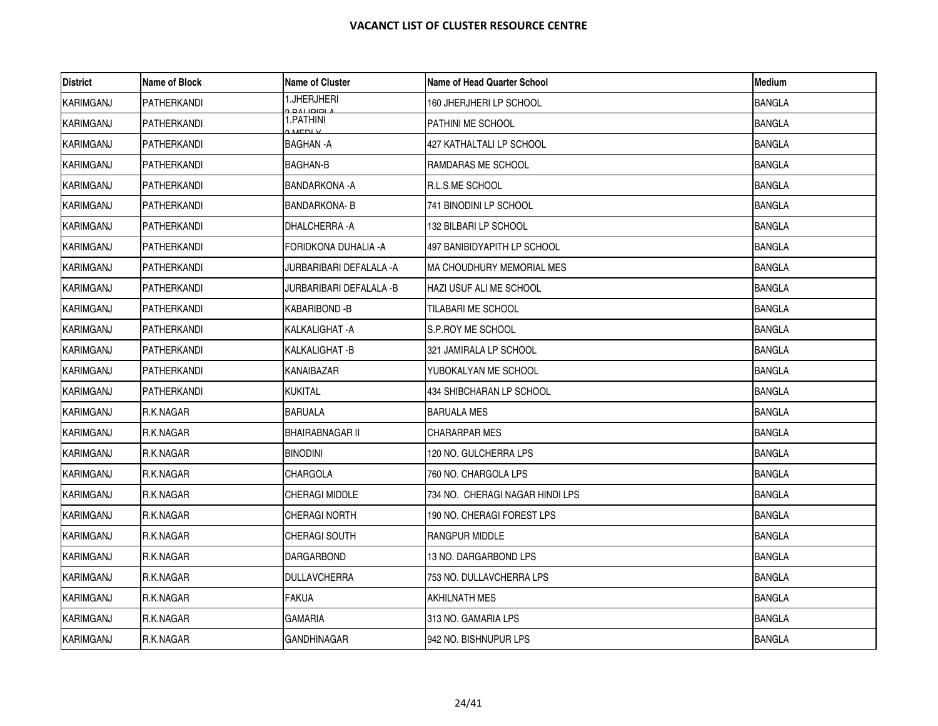| <b>District</b>  | Name of Block      | Name of Cluster                     | Name of Head Quarter School      | <b>Medium</b> |
|------------------|--------------------|-------------------------------------|----------------------------------|---------------|
| KARIMGANJ        | PATHERKANDI        | 1.JHERJHERI<br><u>, ומומו וגם ג</u> | 160 JHERJHERI LP SCHOOL          | <b>BANGLA</b> |
| KARIMGANJ        | <b>PATHERKANDI</b> | 1.PATHINI<br>MENLY                  | <b>PATHINI ME SCHOOL</b>         | <b>BANGLA</b> |
| KARIMGANJ        | PATHERKANDI        | BAGHAN -A                           | 427 KATHALTALI LP SCHOOL         | <b>BANGLA</b> |
| KARIMGANJ        | PATHERKANDI        | BAGHAN-B                            | RAMDARAS ME SCHOOL               | <b>BANGLA</b> |
| <b>KARIMGANJ</b> | <b>PATHERKANDI</b> | <b>BANDARKONA - A</b>               | <b>R.L.S.ME SCHOOL</b>           | <b>BANGLA</b> |
| KARIMGANJ        | PATHERKANDI        | <b>BANDARKONA-B</b>                 | 741 BINODINI LP SCHOOL           | <b>BANGLA</b> |
| KARIMGANJ        | <b>PATHERKANDI</b> | DHALCHERRA - A                      | 132 BILBARI LP SCHOOL            | <b>BANGLA</b> |
| KARIMGANJ        | PATHERKANDI        | FORIDKONA DUHALIA -A                | 497 BANIBIDYAPITH LP SCHOOL      | <b>BANGLA</b> |
| KARIMGANJ        | PATHERKANDI        | JURBARIBARI DEFALALA -A             | <b>MA CHOUDHURY MEMORIAL MES</b> | <b>BANGLA</b> |
| <b>KARIMGANJ</b> | PATHERKANDI        | JURBARIBARI DEFALALA -B             | HAZI USUF ALI ME SCHOOL          | <b>BANGLA</b> |
| <b>KARIMGANJ</b> | PATHERKANDI        | KABARIBOND -B                       | TILABARI ME SCHOOL               | <b>BANGLA</b> |
| KARIMGANJ        | PATHERKANDI        | KALKALIGHAT -A                      | S.P.ROY ME SCHOOL                | <b>BANGLA</b> |
| KARIMGANJ        | PATHERKANDI        | KALKALIGHAT -B                      | 321 JAMIRALA LP SCHOOL           | <b>BANGLA</b> |
| KARIMGANJ        | PATHERKANDI        | KANAIBAZAR                          | YUBOKALYAN ME SCHOOL             | <b>BANGLA</b> |
| KARIMGANJ        | PATHERKANDI        | KUKITAL                             | 434 SHIBCHARAN LP SCHOOL         | <b>BANGLA</b> |
| <b>KARIMGANJ</b> | R.K.NAGAR          | BARUALA                             | <b>BARUALA MES</b>               | <b>BANGLA</b> |
| KARIMGANJ        | R.K.NAGAR          | <b>BHAIRABNAGAR II</b>              | <b>CHARARPAR MES</b>             | <b>BANGLA</b> |
| <b>KARIMGANJ</b> | R.K.NAGAR          | <b>BINODINI</b>                     | 120 NO. GULCHERRA LPS            | <b>BANGLA</b> |
| KARIMGANJ        | R.K.NAGAR          | CHARGOLA                            | 760 NO. CHARGOLA LPS             | <b>BANGLA</b> |
| <b>KARIMGANJ</b> | R.K.NAGAR          | CHERAGI MIDDLE                      | 734 NO. CHERAGI NAGAR HINDI LPS  | <b>BANGLA</b> |
| KARIMGANJ        | R.K.NAGAR          | <b>CHERAGI NORTH</b>                | 190 NO. CHERAGI FOREST LPS       | <b>BANGLA</b> |
| KARIMGANJ        | R.K.NAGAR          | CHERAGI SOUTH                       | <b>RANGPUR MIDDLE</b>            | <b>BANGLA</b> |
| KARIMGANJ        | R.K.NAGAR          | DARGARBOND                          | 13 NO. DARGARBOND LPS            | <b>BANGLA</b> |
| KARIMGANJ        | R.K.NAGAR          | <b>DULLAVCHERRA</b>                 | 753 NO. DULLAVCHERRA LPS         | <b>BANGLA</b> |
| <b>KARIMGANJ</b> | R.K.NAGAR          | <b>FAKUA</b>                        | AKHILNATH MES                    | BANGLA        |
| <b>KARIMGANJ</b> | R.K.NAGAR          | GAMARIA                             | 313 NO. GAMARIA LPS              | <b>BANGLA</b> |
| KARIMGANJ        | R.K.NAGAR          | GANDHINAGAR                         | 942 NO. BISHNUPUR LPS            | <b>BANGLA</b> |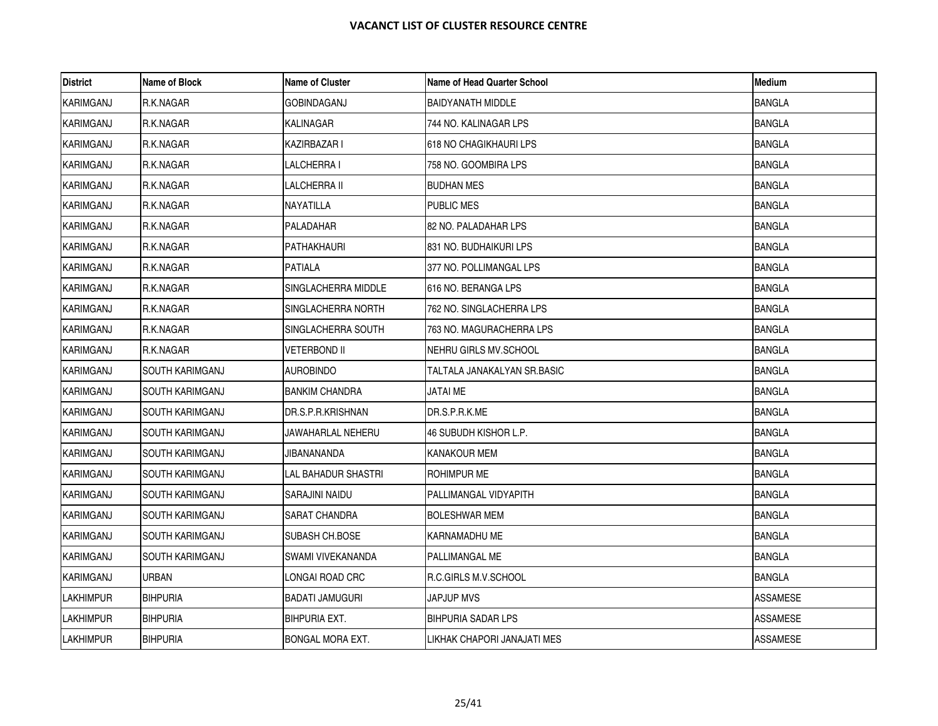| <b>District</b>  | Name of Block          | <b>Name of Cluster</b> | <b>Name of Head Quarter School</b> | <b>Medium</b>   |
|------------------|------------------------|------------------------|------------------------------------|-----------------|
| KARIMGANJ        | R.K.NAGAR              | GOBINDAGANJ            | <b>BAIDYANATH MIDDLE</b>           | <b>BANGLA</b>   |
| KARIMGANJ        | R.K.NAGAR              | <b>KALINAGAR</b>       | 744 NO. KALINAGAR LPS              | <b>BANGLA</b>   |
| KARIMGANJ        | R.K.NAGAR              | KAZIRBAZAR I           | 618 NO CHAGIKHAURI LPS             | <b>BANGLA</b>   |
| KARIMGANJ        | R.K.NAGAR              | LALCHERRA I            | 758 NO. GOOMBIRA LPS               | <b>BANGLA</b>   |
| KARIMGANJ        | R.K.NAGAR              | <b>LALCHERRA II</b>    | <b>BUDHAN MES</b>                  | <b>BANGLA</b>   |
| KARIMGANJ        | R.K.NAGAR              | NAYATILLA              | PUBLIC MES                         | <b>BANGLA</b>   |
| KARIMGANJ        | R.K.NAGAR              | PALADAHAR              | 82 NO. PALADAHAR LPS               | <b>BANGLA</b>   |
| <b>KARIMGANJ</b> | R.K.NAGAR              | PATHAKHAURI            | 831 NO. BUDHAIKURI LPS             | <b>BANGLA</b>   |
| KARIMGANJ        | R.K.NAGAR              | PATIALA                | 377 NO. POLLIMANGAL LPS            | <b>BANGLA</b>   |
| KARIMGANJ        | R.K.NAGAR              | SINGLACHERRA MIDDLE    | 616 NO. BERANGA LPS                | <b>BANGLA</b>   |
| <b>KARIMGANJ</b> | R.K.NAGAR              | SINGLACHERRA NORTH     | 762 NO. SINGLACHERRA LPS           | <b>BANGLA</b>   |
| KARIMGANJ        | R.K.NAGAR              | SINGLACHERRA SOUTH     | 763 NO. MAGURACHERRA LPS           | <b>BANGLA</b>   |
| KARIMGANJ        | R.K.NAGAR              | VETERBOND II           | NEHRU GIRLS MV.SCHOOL              | <b>BANGLA</b>   |
| KARIMGANJ        | <b>SOUTH KARIMGANJ</b> | <b>AUROBINDO</b>       | TALTALA JANAKALYAN SR.BASIC        | <b>BANGLA</b>   |
| KARIMGANJ        | SOUTH KARIMGANJ        | <b>BANKIM CHANDRA</b>  | JATAI ME                           | <b>BANGLA</b>   |
| KARIMGANJ        | <b>SOUTH KARIMGANJ</b> | DR.S.P.R.KRISHNAN      | DR.S.P.R.K.ME                      | <b>BANGLA</b>   |
| KARIMGANJ        | ISOUTH KARIMGANJ       | JAWAHARLAL NEHERU      | 46 SUBUDH KISHOR L.P.              | <b>BANGLA</b>   |
| KARIMGANJ        | <b>SOUTH KARIMGANJ</b> | JIBANANANDA            | KANAKOUR MEM                       | <b>BANGLA</b>   |
| KARIMGANJ        | SOUTH KARIMGANJ        | LAL BAHADUR SHASTRI    | rohimpur me                        | <b>BANGLA</b>   |
| KARIMGANJ        | SOUTH KARIMGANJ        | SARAJINI NAIDU         | PALLIMANGAL VIDYAPITH              | <b>BANGLA</b>   |
| KARIMGANJ        | <b>SOUTH KARIMGANJ</b> | <b>SARAT CHANDRA</b>   | <b>BOLESHWAR MEM</b>               | <b>BANGLA</b>   |
| KARIMGANJ        | SOUTH KARIMGANJ        | SUBASH CH.BOSE         | KARNAMADHU ME                      | <b>BANGLA</b>   |
| KARIMGANJ        | <b>SOUTH KARIMGANJ</b> | SWAMI VIVEKANANDA      | PALLIMANGAL ME                     | <b>BANGLA</b>   |
| KARIMGANJ        | <b>URBAN</b>           | LONGAI ROAD CRC        | R.C.GIRLS M.V.SCHOOL               | <b>BANGLA</b>   |
| LAKHIMPUR        | <b>BIHPURIA</b>        | <b>BADATI JAMUGURI</b> | JAPJUP MVS                         | ASSAMESE        |
| LAKHIMPUR        | <b>BIHPURIA</b>        | <b>BIHPURIA EXT.</b>   | BIHPURIA SADAR LPS                 | ASSAMESE        |
| LAKHIMPUR        | <b>BIHPURIA</b>        | BONGAL MORA EXT.       | LIKHAK CHAPORI JANAJATI MES        | <b>ASSAMESE</b> |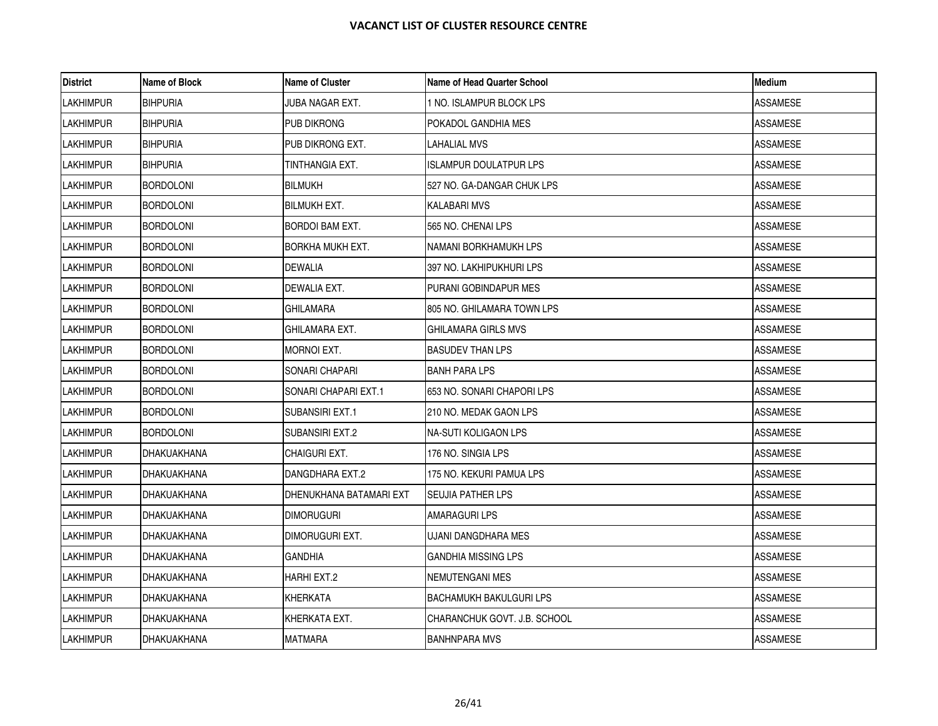| <b>District</b>  | Name of Block      | <b>Name of Cluster</b>  | Name of Head Quarter School    | Medium          |
|------------------|--------------------|-------------------------|--------------------------------|-----------------|
| <b>LAKHIMPUR</b> | <b>BIHPURIA</b>    | JUBA NAGAR EXT.         | 1 NO. ISLAMPUR BLOCK LPS       | <b>ASSAMESE</b> |
| <b>LAKHIMPUR</b> | <b>BIHPURIA</b>    | PUB DIKRONG             | POKADOL GANDHIA MES            | <b>ASSAMESE</b> |
| <b>LAKHIMPUR</b> | <b>BIHPURIA</b>    | PUB DIKRONG EXT.        | LAHALIAL MVS                   | ASSAMESE        |
| <b>LAKHIMPUR</b> | <b>BIHPURIA</b>    | TINTHANGIA EXT.         | <b>ISLAMPUR DOULATPUR LPS</b>  | ASSAMESE        |
| <b>LAKHIMPUR</b> | <b>BORDOLONI</b>   | <b>BILMUKH</b>          | 527 NO. GA-DANGAR CHUK LPS     | <b>ASSAMESE</b> |
| <b>LAKHIMPUR</b> | <b>BORDOLONI</b>   | <b>BILMUKH EXT.</b>     | KALABARI MVS                   | <b>ASSAMESE</b> |
| <b>LAKHIMPUR</b> | <b>BORDOLONI</b>   | BORDOI BAM EXT.         | 565 NO. CHENAI LPS             | ASSAMESE        |
| <b>LAKHIMPUR</b> | <b>BORDOLONI</b>   | <b>BORKHA MUKH EXT.</b> | NAMANI BORKHAMUKH LPS          | <b>ASSAMESE</b> |
| <b>LAKHIMPUR</b> | <b>BORDOLONI</b>   | DEWALIA                 | 397 NO. LAKHIPUKHURI LPS       | ASSAMESE        |
| <b>LAKHIMPUR</b> | <b>BORDOLONI</b>   | DEWALIA EXT.            | PURANI GOBINDAPUR MES          | <b>ASSAMESE</b> |
| <b>LAKHIMPUR</b> | <b>BORDOLONI</b>   | GHILAMARA               | 805 NO. GHILAMARA TOWN LPS     | <b>ASSAMESE</b> |
| <b>LAKHIMPUR</b> | <b>BORDOLONI</b>   | GHILAMARA EXT.          | GHILAMARA GIRLS MVS            | ASSAMESE        |
| <b>LAKHIMPUR</b> | <b>BORDOLONI</b>   | MORNOI EXT.             | BASUDEV THAN LPS               | ASSAMESE        |
| <b>LAKHIMPUR</b> | <b>BORDOLONI</b>   | SONARI CHAPARI          | <b>BANH PARA LPS</b>           | ASSAMESE        |
| <b>LAKHIMPUR</b> | <b>BORDOLONI</b>   | SONARI CHAPARI EXT.1    | 653 NO. SONARI CHAPORI LPS     | <b>ASSAMESE</b> |
| <b>LAKHIMPUR</b> | <b>BORDOLONI</b>   | SUBANSIRI EXT.1         | 210 NO. MEDAK GAON LPS         | ASSAMESE        |
| <b>LAKHIMPUR</b> | <b>BORDOLONI</b>   | <b>SUBANSIRI EXT.2</b>  | INA-SUTI KOLIGAON LPS          | <b>ASSAMESE</b> |
| <b>LAKHIMPUR</b> | DHAKUAKHANA        | CHAIGURI EXT.           | 176 NO. SINGIA LPS             | ASSAMESE        |
| <b>LAKHIMPUR</b> | DHAKUAKHANA        | DANGDHARA EXT.2         | 175 NO. KEKURI PAMUA LPS       | ASSAMESE        |
| <b>LAKHIMPUR</b> | <b>DHAKUAKHANA</b> | DHENUKHANA BATAMARI EXT | <b>SEUJIA PATHER LPS</b>       | <b>ASSAMESE</b> |
| <b>LAKHIMPUR</b> | DHAKUAKHANA        | <b>DIMORUGURI</b>       | AMARAGURI LPS                  | <b>ASSAMESE</b> |
| <b>LAKHIMPUR</b> | DHAKUAKHANA        | DIMORUGURI EXT.         | UJANI DANGDHARA MES            | ASSAMESE        |
| <b>LAKHIMPUR</b> | DHAKUAKHANA        | <b>GANDHIA</b>          | <b>GANDHIA MISSING LPS</b>     | <b>ASSAMESE</b> |
| <b>LAKHIMPUR</b> | DHAKUAKHANA        | HARHI EXT.2             | NEMUTENGANI MES                | <b>ASSAMESE</b> |
| <b>LAKHIMPUR</b> | DHAKUAKHANA        | KHERKATA                | <b>BACHAMUKH BAKULGURI LPS</b> | ASSAMESE        |
| <b>LAKHIMPUR</b> | DHAKUAKHANA        | KHERKATA EXT.           | CHARANCHUK GOVT. J.B. SCHOOL   | ASSAMESE        |
| <b>LAKHIMPUR</b> | DHAKUAKHANA        | <b>MATMARA</b>          | <b>BANHNPARA MVS</b>           | <b>ASSAMESE</b> |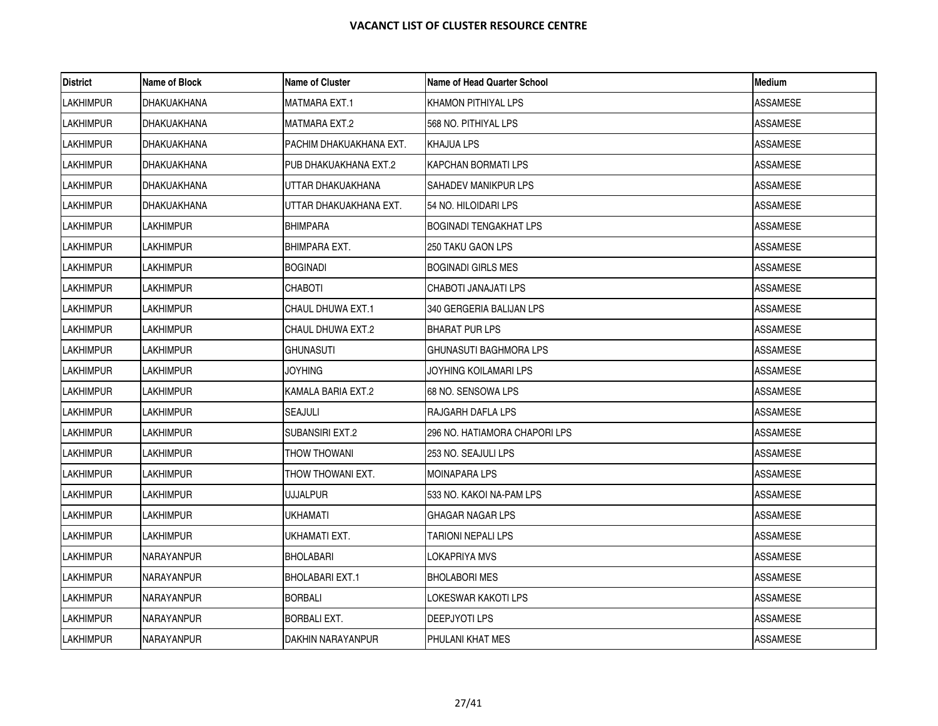| <b>District</b>  | Name of Block    | <b>Name of Cluster</b>   | Name of Head Quarter School   | Medium          |
|------------------|------------------|--------------------------|-------------------------------|-----------------|
| <b>LAKHIMPUR</b> | DHAKUAKHANA      | MATMARA EXT.1            | KHAMON PITHIYAL LPS           | ASSAMESE        |
| <b>LAKHIMPUR</b> | DHAKUAKHANA      | <b>MATMARA EXT.2</b>     | 568 NO. PITHIYAL LPS          | <b>ASSAMESE</b> |
| <b>LAKHIMPUR</b> | DHAKUAKHANA      | PACHIM DHAKUAKHANA EXT.  | <b>KHAJUA LPS</b>             | ASSAMESE        |
| <b>LAKHIMPUR</b> | DHAKUAKHANA      | PUB DHAKUAKHANA EXT.2    | KAPCHAN BORMATI LPS           | ASSAMESE        |
| <b>LAKHIMPUR</b> | DHAKUAKHANA      | UTTAR DHAKUAKHANA        | SAHADEV MANIKPUR LPS          | <b>ASSAMESE</b> |
| <b>LAKHIMPUR</b> | DHAKUAKHANA      | UTTAR DHAKUAKHANA EXT.   | 154 NO. HILOIDARI LPS         | ASSAMESE        |
| <b>LAKHIMPUR</b> | LAKHIMPUR        | <b>BHIMPARA</b>          | <b>BOGINADI TENGAKHAT LPS</b> | ASSAMESE        |
| <b>LAKHIMPUR</b> | <b>LAKHIMPUR</b> | <b>BHIMPARA EXT.</b>     | <b>250 TAKU GAON LPS</b>      | <b>ASSAMESE</b> |
| <b>LAKHIMPUR</b> | LAKHIMPUR        | <b>BOGINADI</b>          | <b>BOGINADI GIRLS MES</b>     | ASSAMESE        |
| <b>LAKHIMPUR</b> | LAKHIMPUR        | <b>CHABOTI</b>           | CHABOTI JANAJATI LPS          | <b>ASSAMESE</b> |
| <b>LAKHIMPUR</b> | <b>LAKHIMPUR</b> | <b>CHAUL DHUWA EXT.1</b> | 340 GERGERIA BALIJAN LPS      | <b>ASSAMESE</b> |
| <b>LAKHIMPUR</b> | <b>LAKHIMPUR</b> | CHAUL DHUWA EXT.2        | BHARAT PUR LPS                | ASSAMESE        |
| <b>LAKHIMPUR</b> | LAKHIMPUR        | GHUNASUTI                | IGHUNASUTI BAGHMORA LPS       | ASSAMESE        |
| <b>LAKHIMPUR</b> | <b>LAKHIMPUR</b> | <b>JOYHING</b>           | JOYHING KOILAMARI LPS         | ASSAMESE        |
| <b>LAKHIMPUR</b> | LAKHIMPUR        | KAMALA BARIA EXT.2       | 68 NO. SENSOWA LPS            | ASSAMESE        |
| <b>LAKHIMPUR</b> | LAKHIMPUR        | SEAJULI                  | RAJGARH DAFLA LPS             | ASSAMESE        |
| <b>LAKHIMPUR</b> | <b>LAKHIMPUR</b> | <b>SUBANSIRI EXT.2</b>   | 296 NO. HATIAMORA CHAPORI LPS | <b>ASSAMESE</b> |
| <b>LAKHIMPUR</b> | LAKHIMPUR        | <b>THOW THOWANI</b>      | 253 NO. SEAJULI LPS           | ASSAMESE        |
| <b>LAKHIMPUR</b> | LAKHIMPUR        | THOW THOWANI EXT.        | <b>MOINAPARA LPS</b>          | ASSAMESE        |
| <b>LAKHIMPUR</b> | <b>LAKHIMPUR</b> | <b>UJJALPUR</b>          | 533 NO. KAKOI NA-PAM LPS      | <b>ASSAMESE</b> |
| <b>LAKHIMPUR</b> | <b>LAKHIMPUR</b> | UKHAMATI                 | <b>GHAGAR NAGAR LPS</b>       | <b>ASSAMESE</b> |
| <b>LAKHIMPUR</b> | LAKHIMPUR        | UKHAMATI EXT.            | TARIONI NEPALI LPS            | ASSAMESE        |
| <b>LAKHIMPUR</b> | NARAYANPUR       | <b>BHOLABARI</b>         | LOKAPRIYA MVS                 | <b>ASSAMESE</b> |
| <b>LAKHIMPUR</b> | NARAYANPUR       | <b>BHOLABARI EXT.1</b>   | <b>BHOLABORI MES</b>          | <b>ASSAMESE</b> |
| <b>LAKHIMPUR</b> | NARAYANPUR       | <b>BORBALI</b>           | LOKESWAR KAKOTI LPS           | ASSAMESE        |
| <b>LAKHIMPUR</b> | NARAYANPUR       | BORBALI EXT.             | DEEPJYOTI LPS                 | ASSAMESE        |
| <b>LAKHIMPUR</b> | NARAYANPUR       | DAKHIN NARAYANPUR        | PHULANI KHAT MES              | <b>ASSAMESE</b> |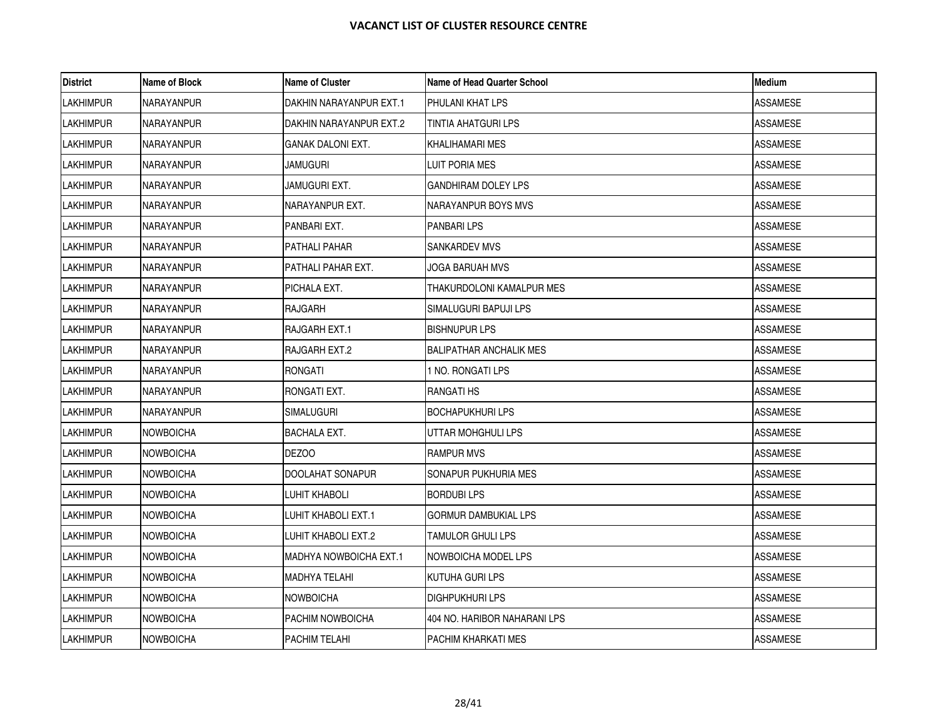| <b>District</b>  | Name of Block     | <b>Name of Cluster</b>  | Name of Head Quarter School    | <b>Medium</b>   |
|------------------|-------------------|-------------------------|--------------------------------|-----------------|
| <b>LAKHIMPUR</b> | NARAYANPUR        | DAKHIN NARAYANPUR EXT.1 | <b>PHULANI KHAT LPS</b>        | ASSAMESE        |
| <b>LAKHIMPUR</b> | <b>NARAYANPUR</b> | DAKHIN NARAYANPUR EXT.2 | TINTIA AHATGURI LPS            | <b>ASSAMESE</b> |
| <b>LAKHIMPUR</b> | NARAYANPUR        | GANAK DALONI EXT.       | KHALIHAMARI MES                | ASSAMESE        |
| <b>LAKHIMPUR</b> | NARAYANPUR        | jamuguri                | LUIT PORIA MES                 | <b>ASSAMESE</b> |
| <b>LAKHIMPUR</b> | NARAYANPUR        | JAMUGURI EXT.           | <b>GANDHIRAM DOLEY LPS</b>     | <b>ASSAMESE</b> |
| <b>LAKHIMPUR</b> | NARAYANPUR        | NARAYANPUR EXT.         | NARAYANPUR BOYS MVS            | <b>ASSAMESE</b> |
| <b>LAKHIMPUR</b> | <b>NARAYANPUR</b> | PANBARI EXT.            | <b>PANBARILPS</b>              | ASSAMESE        |
| <b>LAKHIMPUR</b> | <b>NARAYANPUR</b> | PATHALI PAHAR           | <b>SANKARDEV MVS</b>           | <b>ASSAMESE</b> |
| <b>LAKHIMPUR</b> | NARAYANPUR        | PATHALI PAHAR EXT.      | JOGA BARUAH MVS                | <b>ASSAMESE</b> |
| <b>LAKHIMPUR</b> | NARAYANPUR        | PICHALA EXT.            | THAKURDOLONI KAMALPUR MES      | ASSAMESE        |
| <b>LAKHIMPUR</b> | <b>NARAYANPUR</b> | RAJGARH                 | SIMALUGURI BAPUJI LPS          | <b>ASSAMESE</b> |
| <b>LAKHIMPUR</b> | NARAYANPUR        | RAJGARH EXT.1           | <b>BISHNUPUR LPS</b>           | ASSAMESE        |
| <b>LAKHIMPUR</b> | NARAYANPUR        | RAJGARH EXT.2           | <b>BALIPATHAR ANCHALIK MES</b> | ASSAMESE        |
| <b>LAKHIMPUR</b> | <b>NARAYANPUR</b> | RONGATI                 | 1 NO. RONGATI LPS              | <b>ASSAMESE</b> |
| <b>LAKHIMPUR</b> | NARAYANPUR        | RONGATI EXT.            | RANGATI HS                     | ASSAMESE        |
| <b>LAKHIMPUR</b> | NARAYANPUR        | SIMALUGURI              | <b>BOCHAPUKHURI LPS</b>        | ASSAMESE        |
| <b>LAKHIMPUR</b> | <b>NOWBOICHA</b>  | <b>BACHALA EXT.</b>     | UTTAR MOHGHULI LPS             | <b>ASSAMESE</b> |
| <b>LAKHIMPUR</b> | <b>NOWBOICHA</b>  | DEZOO                   | <b>RAMPUR MVS</b>              | ASSAMESE        |
| <b>LAKHIMPUR</b> | <b>NOWBOICHA</b>  | DOOLAHAT SONAPUR        | SONAPUR PUKHURIA MES           | ASSAMESE        |
| <b>LAKHIMPUR</b> | <b>NOWBOICHA</b>  | LUHIT KHABOLI           | <b>BORDUBILPS</b>              | ASSAMESE        |
| <b>LAKHIMPUR</b> | <b>NOWBOICHA</b>  | LUHIT KHABOLI EXT.1     | <b>GORMUR DAMBUKIAL LPS</b>    | <b>ASSAMESE</b> |
| <b>LAKHIMPUR</b> | <b>NOWBOICHA</b>  | LUHIT KHABOLI EXT.2     | TAMULOR GHULI LPS              | ASSAMESE        |
| <b>LAKHIMPUR</b> | <b>NOWBOICHA</b>  | MADHYA NOWBOICHA EXT.1  | <b>INOWBOICHA MODEL LPS</b>    | <b>ASSAMESE</b> |
| <b>LAKHIMPUR</b> | <b>NOWBOICHA</b>  | MADHYA TELAHI           | <b>KUTUHA GURI LPS</b>         | <b>ASSAMESE</b> |
| <b>LAKHIMPUR</b> | <b>NOWBOICHA</b>  | NOWBOICHA               | <b>DIGHPUKHURI LPS</b>         | <b>ASSAMESE</b> |
| <b>LAKHIMPUR</b> | <b>NOWBOICHA</b>  | PACHIM NOWBOICHA        | 404 NO. HARIBOR NAHARANI LPS   | ASSAMESE        |
| <b>LAKHIMPUR</b> | <b>NOWBOICHA</b>  | PACHIM TELAHI           | PACHIM KHARKATI MES            | ASSAMESE        |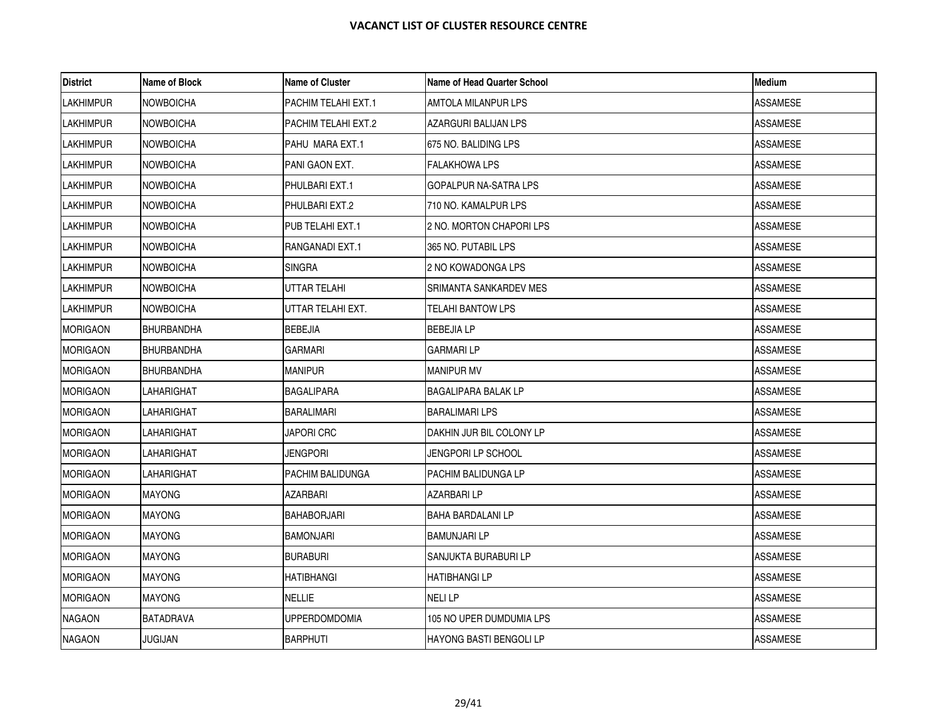| <b>District</b>  | Name of Block     | <b>Name of Cluster</b> | Name of Head Quarter School | <b>Medium</b>   |
|------------------|-------------------|------------------------|-----------------------------|-----------------|
| LAKHIMPUR        | <b>NOWBOICHA</b>  | PACHIM TELAHI EXT.1    | AMTOLA MILANPUR LPS         | ASSAMESE        |
| <b>LAKHIMPUR</b> | <b>NOWBOICHA</b>  | PACHIM TELAHI EXT.2    | AZARGURI BALIJAN LPS        | <b>ASSAMESE</b> |
| <b>LAKHIMPUR</b> | <b>NOWBOICHA</b>  | PAHU MARA EXT.1        | 675 NO. BALIDING LPS        | ASSAMESE        |
| <b>LAKHIMPUR</b> | <b>NOWBOICHA</b>  | PANI GAON EXT.         | FALAKHOWA LPS               | <b>ASSAMESE</b> |
| <b>LAKHIMPUR</b> | <b>NOWBOICHA</b>  | PHULBARI EXT.1         | GOPALPUR NA-SATRA LPS       | <b>ASSAMESE</b> |
| <b>LAKHIMPUR</b> | <b>NOWBOICHA</b>  | PHULBARI EXT.2         | 710 NO. KAMALPUR LPS        | <b>ASSAMESE</b> |
| <b>LAKHIMPUR</b> | <b>NOWBOICHA</b>  | PUB TELAHI EXT.1       | 2 NO. MORTON CHAPORI LPS    | ASSAMESE        |
| <b>LAKHIMPUR</b> | <b>NOWBOICHA</b>  | RANGANADI EXT.1        | 365 NO. PUTABIL LPS         | <b>ASSAMESE</b> |
| <b>LAKHIMPUR</b> | <b>NOWBOICHA</b>  | SINGRA                 | 2 NO KOWADONGA LPS          | <b>ASSAMESE</b> |
| <b>LAKHIMPUR</b> | <b>NOWBOICHA</b>  | UTTAR TELAHI           | SRIMANTA SANKARDEV MES      | ASSAMESE        |
| <b>LAKHIMPUR</b> | <b>NOWBOICHA</b>  | UTTAR TELAHI EXT.      | TELAHI BANTOW LPS           | <b>ASSAMESE</b> |
| <b>MORIGAON</b>  | <b>BHURBANDHA</b> | <b>BEBEJIA</b>         | <b>BEBEJIA LP</b>           | ASSAMESE        |
| <b>MORIGAON</b>  | BHURBANDHA        | GARMARI                | <b>GARMARILP</b>            | <b>ASSAMESE</b> |
| <b>MORIGAON</b>  | <b>BHURBANDHA</b> | <b>MANIPUR</b>         | <b>MANIPUR MV</b>           | <b>ASSAMESE</b> |
| <b>MORIGAON</b>  | LAHARIGHAT        | <b>BAGALIPARA</b>      | <b>BAGALIPARA BALAK LP</b>  | ASSAMESE        |
| <b>MORIGAON</b>  | LAHARIGHAT        | BARALIMARI             | <b>BARALIMARI LPS</b>       | ASSAMESE        |
| <b>MORIGAON</b>  | LAHARIGHAT        | <b>JAPORI CRC</b>      | DAKHIN JUR BIL COLONY LP    | <b>ASSAMESE</b> |
| <b>MORIGAON</b>  | LAHARIGHAT        | Jengpori               | JENGPORI LP SCHOOL          | ASSAMESE        |
| <b>MORIGAON</b>  | LAHARIGHAT        | PACHIM BALIDUNGA       | PACHIM BALIDUNGA LP         | ASSAMESE        |
| <b>MORIGAON</b>  | <b>MAYONG</b>     | AZARBARI               | AZARBARI LP                 | ASSAMESE        |
| <b>MORIGAON</b>  | <b>MAYONG</b>     | <b>BAHABORJARI</b>     | <b>BAHA BARDALANI LP</b>    | <b>ASSAMESE</b> |
| <b>MORIGAON</b>  | <b>MAYONG</b>     | BAMONJARI              | <b>BAMUNJARI LP</b>         | ASSAMESE        |
| <b>MORIGAON</b>  | <b>MAYONG</b>     | <b>BURABURI</b>        | SANJUKTA BURABURI LP        | <b>ASSAMESE</b> |
| <b>MORIGAON</b>  | <b>MAYONG</b>     | <b>HATIBHANGI</b>      | <b>HATIBHANGI LP</b>        | <b>ASSAMESE</b> |
| <b>MORIGAON</b>  | <b>MAYONG</b>     | NELLIE                 | <b>NELILP</b>               | <b>ASSAMESE</b> |
| <b>NAGAON</b>    | BATADRAVA         | UPPERDOMDOMIA          | 105 NO UPER DUMDUMIA LPS    | ASSAMESE        |
| <b>NAGAON</b>    | <b>JUGIJAN</b>    | <b>BARPHUTI</b>        | HAYONG BASTI BENGOLI LP     | <b>ASSAMESE</b> |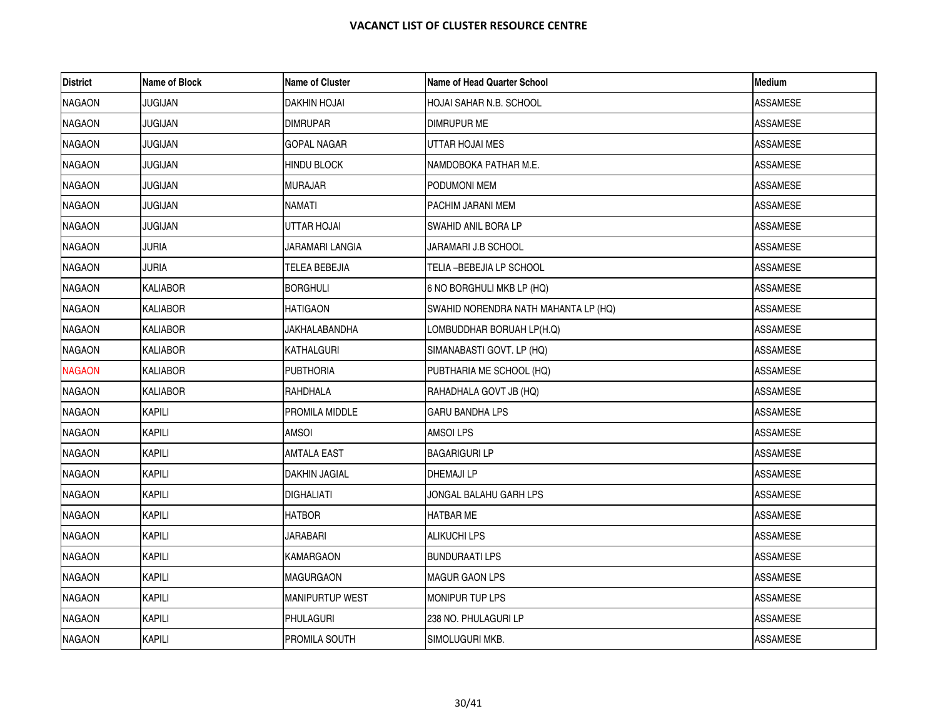| <b>District</b> | Name of Block   | <b>Name of Cluster</b> | Name of Head Quarter School          | <b>Medium</b>   |
|-----------------|-----------------|------------------------|--------------------------------------|-----------------|
| <b>NAGAON</b>   | JUGIJAN         | DAKHIN HOJAI           | HOJAI SAHAR N.B. SCHOOL              | ASSAMESE        |
| <b>NAGAON</b>   | <b>JUGIJAN</b>  | <b>DIMRUPAR</b>        | <b>DIMRUPUR ME</b>                   | <b>ASSAMESE</b> |
| <b>NAGAON</b>   | JUGIJAN         | GOPAL NAGAR            | UTTAR HOJAI MES                      | ASSAMESE        |
| <b>NAGAON</b>   | JUGIJAN         | <b>HINDU BLOCK</b>     | NAMDOBOKA PATHAR M.E.                | ASSAMESE        |
| <b>NAGAON</b>   | <b>JUGIJAN</b>  | <b>MURAJAR</b>         | PODUMONI MEM                         | <b>ASSAMESE</b> |
| <b>NAGAON</b>   | <b>JUGIJAN</b>  | NAMATI                 | PACHIM JARANI MEM                    | ASSAMESE        |
| <b>NAGAON</b>   | JUGIJAN         | UTTAR HOJAI            | SWAHID ANIL BORA LP                  | ASSAMESE        |
| <b>NAGAON</b>   | <b>JURIA</b>    | JARAMARI LANGIA        | JARAMARI J.B SCHOOL                  | <b>ASSAMESE</b> |
| <b>NAGAON</b>   | <b>JURIA</b>    | TELEA BEBEJIA          | TELIA –BEBEJIA LP SCHOOL             | <b>ASSAMESE</b> |
| <b>NAGAON</b>   | KALIABOR        | <b>BORGHULI</b>        | 6 NO BORGHULI MKB LP (HQ)            | ASSAMESE        |
| <b>NAGAON</b>   | <b>KALIABOR</b> | HATIGAON               | SWAHID NORENDRA NATH MAHANTA LP (HQ) | ASSAMESE        |
| <b>NAGAON</b>   | KALIABOR        | JAKHALABANDHA          | LOMBUDDHAR BORUAH LP(H.Q)            | <b>ASSAMESE</b> |
| <b>NAGAON</b>   | KALIABOR        | KATHALGURI             | SIMANABASTI GOVT. LP (HQ)            | ASSAMESE        |
| <b>NAGAON</b>   | <b>KALIABOR</b> | <b>PUBTHORIA</b>       | PUBTHARIA ME SCHOOL (HQ)             | <b>ASSAMESE</b> |
| <b>NAGAON</b>   | <b>KALIABOR</b> | RAHDHALA               | RAHADHALA GOVT JB (HQ)               | ASSAMESE        |
| <b>NAGAON</b>   | <b>KAPILI</b>   | PROMILA MIDDLE         | <b>GARU BANDHA LPS</b>               | ASSAMESE        |
| <b>NAGAON</b>   | KAPILI          | <b>AMSOI</b>           | <b>AMSOILPS</b>                      | <b>ASSAMESE</b> |
| <b>NAGAON</b>   | <b>KAPILI</b>   | <b>AMTALA EAST</b>     | <b>BAGARIGURI LP</b>                 | ASSAMESE        |
| <b>NAGAON</b>   | KAPILI          | DAKHIN JAGIAL          | DHEMAJI LP                           | <b>ASSAMESE</b> |
| <b>NAGAON</b>   | <b>KAPILI</b>   | <b>DIGHALIATI</b>      | JONGAL BALAHU GARH LPS               | <b>ASSAMESE</b> |
| <b>NAGAON</b>   | <b>KAPILI</b>   | HATBOR                 | <b>HATBAR ME</b>                     | <b>ASSAMESE</b> |
| <b>NAGAON</b>   | KAPILI          | JARABARI               | <b>ALIKUCHI LPS</b>                  | ASSAMESE        |
| <b>NAGAON</b>   | <b>KAPILI</b>   | KAMARGAON              | <b>BUNDURAATI LPS</b>                | ASSAMESE        |
| <b>NAGAON</b>   | KAPILI          | <b>MAGURGAON</b>       | <b>MAGUR GAON LPS</b>                | <b>ASSAMESE</b> |
| <b>NAGAON</b>   | <b>KAPILI</b>   | MANIPURTUP WEST        | MONIPUR TUP LPS                      | ASSAMESE        |
| <b>NAGAON</b>   | <b>KAPILI</b>   | <b>PHULAGURI</b>       | 238 NO. PHULAGURI LP                 | ASSAMESE        |
| <b>NAGAON</b>   | KAPILI          | PROMILA SOUTH          | SIMOLUGURI MKB.                      | ASSAMESE        |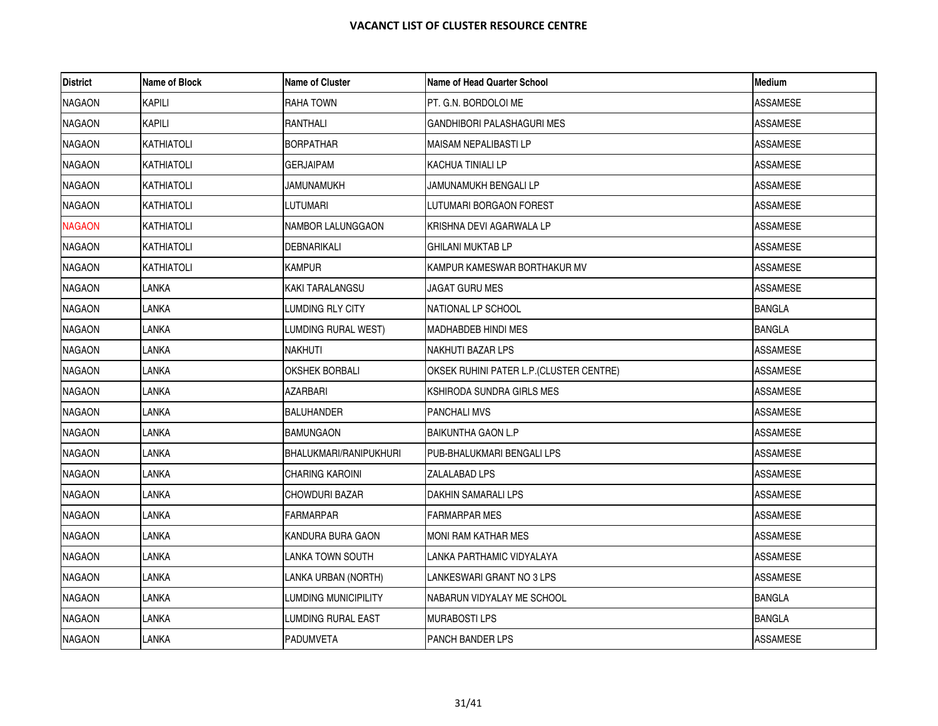| <b>District</b> | Name of Block     | <b>Name of Cluster</b>        | <b>Name of Head Quarter School</b>       | <b>Medium</b>   |
|-----------------|-------------------|-------------------------------|------------------------------------------|-----------------|
| <b>NAGAON</b>   | <b>KAPILI</b>     | <b>RAHA TOWN</b>              | PT. G.N. BORDOLOI ME                     | <b>ASSAMESE</b> |
| <b>NAGAON</b>   | <b>KAPILI</b>     | RANTHALI                      | GANDHIBORI PALASHAGURI MES               | <b>ASSAMESE</b> |
| <b>NAGAON</b>   | <b>KATHIATOLI</b> | <b>BORPATHAR</b>              | MAISAM NEPALIBASTI LP                    | ASSAMESE        |
| <b>NAGAON</b>   | KATHIATOLI        | <b>GERJAIPAM</b>              | KACHUA TINIALI LP                        | <b>ASSAMESE</b> |
| <b>NAGAON</b>   | KATHIATOLI        | JAMUNAMUKH                    | JAMUNAMUKH BENGALI LP                    | <b>ASSAMESE</b> |
| <b>NAGAON</b>   | KATHIATOLI        | LUTUMARI                      | LUTUMARI BORGAON FOREST                  | <b>ASSAMESE</b> |
| <b>NAGAON</b>   | <b>KATHIATOLI</b> | NAMBOR LALUNGGAON             | KRISHNA DEVI AGARWALA LP                 | <b>ASSAMESE</b> |
| <b>NAGAON</b>   | KATHIATOLI        | <b>DEBNARIKALI</b>            | <b>GHILANI MUKTAB LP</b>                 | <b>ASSAMESE</b> |
| <b>NAGAON</b>   | KATHIATOLI        | <b>KAMPUR</b>                 | KAMPUR KAMESWAR BORTHAKUR MV             | <b>ASSAMESE</b> |
| <b>NAGAON</b>   | LANKA             | <b>KAKI TARALANGSU</b>        | JAGAT GURU MES                           | <b>ASSAMESE</b> |
| <b>NAGAON</b>   | LANKA             | LUMDING RLY CITY              | NATIONAL LP SCHOOL                       | <b>BANGLA</b>   |
| <b>NAGAON</b>   | LANKA             | LUMDING RURAL WEST)           | MADHABDEB HINDI MES                      | <b>BANGLA</b>   |
| <b>NAGAON</b>   | LANKA             | <b>NAKHUTI</b>                | NAKHUTI BAZAR LPS                        | ASSAMESE        |
| <b>NAGAON</b>   | LANKA             | <b>OKSHEK BORBALI</b>         | OKSEK RUHINI PATER L.P. (CLUSTER CENTRE) | <b>ASSAMESE</b> |
| <b>NAGAON</b>   | LANKA             | AZARBARI                      | KSHIRODA SUNDRA GIRLS MES                | ASSAMESE        |
| <b>NAGAON</b>   | LANKA             | <b>BALUHANDER</b>             | <b>PANCHALI MVS</b>                      | ASSAMESE        |
| <b>NAGAON</b>   | LANKA             | <b>BAMUNGAON</b>              | <b>BAIKUNTHA GAON L.P</b>                | <b>ASSAMESE</b> |
| <b>NAGAON</b>   | LANKA             | <b>BHALUKMARI/RANIPUKHURI</b> | PUB-BHALUKMARI BENGALI LPS               | ASSAMESE        |
| <b>NAGAON</b>   | LANKA             | CHARING KAROINI               | ZALALABAD LPS                            | ASSAMESE        |
| <b>NAGAON</b>   | LANKA             | CHOWDURI BAZAR                | DAKHIN SAMARALI LPS                      | <b>ASSAMESE</b> |
| <b>NAGAON</b>   | LANKA             | <b>FARMARPAR</b>              | <b>FARMARPAR MES</b>                     | <b>ASSAMESE</b> |
| <b>NAGAON</b>   | LANKA             | KANDURA BURA GAON             | MONI RAM KATHAR MES                      | ASSAMESE        |
| <b>NAGAON</b>   | <b>LANKA</b>      | LANKA TOWN SOUTH              | LANKA PARTHAMIC VIDYALAYA                | <b>ASSAMESE</b> |
| <b>NAGAON</b>   | LANKA             | LANKA URBAN (NORTH)           | LANKESWARI GRANT NO 3 LPS                | <b>ASSAMESE</b> |
| <b>NAGAON</b>   | LANKA             | LUMDING MUNICIPILITY          | NABARUN VIDYALAY ME SCHOOL               | <b>BANGLA</b>   |
| NAGAON          | LANKA             | LUMDING RURAL EAST            | MURABOSTI LPS                            | <b>BANGLA</b>   |
| <b>NAGAON</b>   | LANKA             | <b>PADUMVETA</b>              | PANCH BANDER LPS                         | <b>ASSAMESE</b> |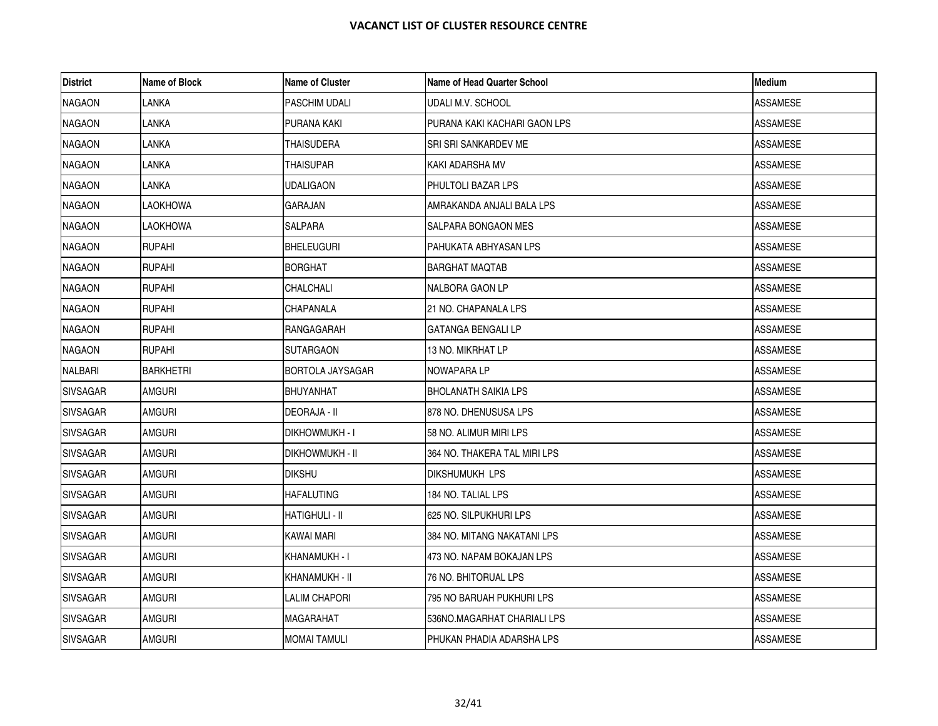| <b>District</b> | Name of Block    | Name of Cluster     | Name of Head Quarter School  | <b>Medium</b>   |
|-----------------|------------------|---------------------|------------------------------|-----------------|
| <b>NAGAON</b>   | LANKA            | PASCHIM UDALI       | UDALI M.V. SCHOOL            | <b>ASSAMESE</b> |
| <b>NAGAON</b>   | LANKA            | PURANA KAKI         | PURANA KAKI KACHARI GAON LPS | <b>ASSAMESE</b> |
| <b>NAGAON</b>   | LANKA            | THAISUDERA          | SRI SRI SANKARDEV ME         | ASSAMESE        |
| <b>NAGAON</b>   | LANKA            | THAISUPAR           | KAKI ADARSHA MV              | ASSAMESE        |
| <b>NAGAON</b>   | LANKA            | UDALIGAON           | PHULTOLI BAZAR LPS           | ASSAMESE        |
| <b>NAGAON</b>   | <b>LAOKHOWA</b>  | GARAJAN             | AMRAKANDA ANJALI BALA LPS    | ASSAMESE        |
| <b>NAGAON</b>   | LAOKHOWA         | SALPARA             | SALPARA BONGAON MES          | <b>ASSAMESE</b> |
| <b>NAGAON</b>   | <b>RUPAHI</b>    | BHELEUGURI          | PAHUKATA ABHYASAN LPS        | <b>ASSAMESE</b> |
| <b>NAGAON</b>   | <b>RUPAHI</b>    | <b>BORGHAT</b>      | BARGHAT MAQTAB               | ASSAMESE        |
| <b>NAGAON</b>   | RUPAHI           | CHALCHALI           | NALBORA GAON LP              | ASSAMESE        |
| <b>NAGAON</b>   | <b>RUPAHI</b>    | CHAPANALA           | 21 NO. CHAPANALA LPS         | <b>ASSAMESE</b> |
| <b>NAGAON</b>   | RUPAHI           | RANGAGARAH          | GATANGA BENGALI LP           | ASSAMESE        |
| <b>NAGAON</b>   | <b>RUPAHI</b>    | SUTARGAON           | 13 NO. MIKRHAT LP            | ASSAMESE        |
| <b>NALBARI</b>  | <b>BARKHETRI</b> | BORTOLA JAYSAGAR    | NOWAPARA LP                  | <b>ASSAMESE</b> |
| <b>SIVSAGAR</b> | AMGURI           | BHUYANHAT           | <b>BHOLANATH SAIKIA LPS</b>  | ASSAMESE        |
| <b>SIVSAGAR</b> | AMGURI           | DEORAJA - II        | 878 NO. DHENUSUSA LPS        | ASSAMESE        |
| <b>SIVSAGAR</b> | <b>AMGURI</b>    | Dikhowmukh - I      | 58 NO. ALIMUR MIRI LPS       | <b>ASSAMESE</b> |
| <b>SIVSAGAR</b> | AMGURI           | DIKHOWMUKH - II     | 364 NO. THAKERA TAL MIRI LPS | ASSAMESE        |
| <b>SIVSAGAR</b> | amguri           | dikshu              | DIKSHUMUKH LPS               | ASSAMESE        |
| <b>SIVSAGAR</b> | <b>AMGURI</b>    | <b>HAFALUTING</b>   | 184 NO. TALIAL LPS           | <b>ASSAMESE</b> |
| <b>SIVSAGAR</b> | AMGURI           | HATIGHULI - II      | 625 NO. SILPUKHURI LPS       | <b>ASSAMESE</b> |
| <b>SIVSAGAR</b> | AMGURI           | KAWAI MARI          | 384 NO. MITANG NAKATANI LPS  | ASSAMESE        |
| <b>SIVSAGAR</b> | <b>AMGURI</b>    | KHANAMUKH - I       | 473 NO. NAPAM BOKAJAN LPS    | <b>ASSAMESE</b> |
| <b>SIVSAGAR</b> | <b>AMGURI</b>    | KHANAMUKH - II      | 76 NO. BHITORUAL LPS         | ASSAMESE        |
| <b>SIVSAGAR</b> | AMGURI           | LALIM CHAPORI       | 795 NO BARUAH PUKHURI LPS    | ASSAMESE        |
| <b>SIVSAGAR</b> | AMGURI           | MAGARAHAT           | 536NO.MAGARHAT CHARIALI LPS  | ASSAMESE        |
| <b>SIVSAGAR</b> | AMGURI           | <b>MOMAI TAMULI</b> | PHUKAN PHADIA ADARSHA LPS    | <b>ASSAMESE</b> |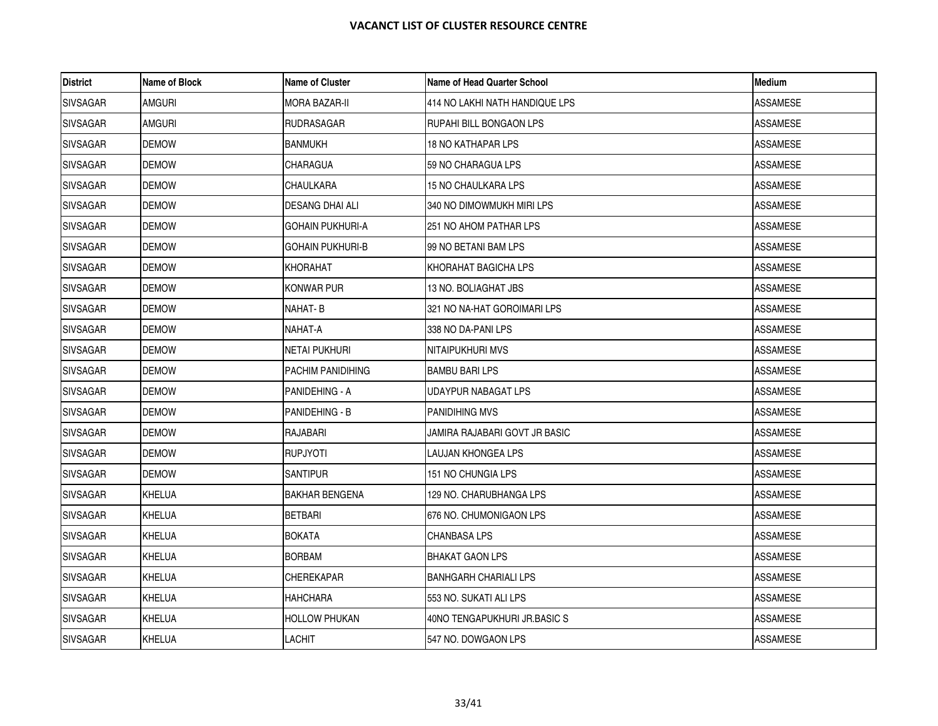| <b>District</b> | Name of Block | <b>Name of Cluster</b>  | Name of Head Quarter School    | <b>Medium</b>   |
|-----------------|---------------|-------------------------|--------------------------------|-----------------|
| <b>SIVSAGAR</b> | <b>AMGURI</b> | MORA BAZAR-II           | 414 NO LAKHI NATH HANDIQUE LPS | <b>ASSAMESE</b> |
| <b>SIVSAGAR</b> | <b>AMGURI</b> | <b>RUDRASAGAR</b>       | RUPAHI BILL BONGAON LPS        | ASSAMESE        |
| <b>SIVSAGAR</b> | <b>DEMOW</b>  | <b>BANMUKH</b>          | 18 NO KATHAPAR LPS             | <b>ASSAMESE</b> |
| <b>SIVSAGAR</b> | <b>DEMOW</b>  | <b>CHARAGUA</b>         | 59 NO CHARAGUA LPS             | ASSAMESE        |
| <b>SIVSAGAR</b> | <b>DEMOW</b>  | <b>CHAULKARA</b>        | 15 NO CHAULKARA LPS            | <b>ASSAMESE</b> |
| <b>SIVSAGAR</b> | <b>DEMOW</b>  | DESANG DHAI ALI         | 340 NO DIMOWMUKH MIRI LPS      | <b>ASSAMESE</b> |
| <b>SIVSAGAR</b> | <b>DEMOW</b>  | <b>GOHAIN PUKHURI-A</b> | 251 NO AHOM PATHAR LPS         | ASSAMESE        |
| <b>SIVSAGAR</b> | <b>DEMOW</b>  | <b>GOHAIN PUKHURI-B</b> | 99 NO BETANI BAM LPS           | <b>ASSAMESE</b> |
| <b>SIVSAGAR</b> | <b>DEMOW</b>  | KHORAHAT                | IKHORAHAT BAGICHA LPS          | ASSAMESE        |
| <b>SIVSAGAR</b> | <b>DEMOW</b>  | <b>KONWAR PUR</b>       | 13 NO. BOLIAGHAT JBS           | ASSAMESE        |
| <b>SIVSAGAR</b> | <b>DEMOW</b>  | NAHAT-B                 | 321 NO NA-HAT GOROIMARI LPS    | <b>ASSAMESE</b> |
| <b>SIVSAGAR</b> | DEMOW         | NAHAT-A                 | 338 NO DA-PANI LPS             | ASSAMESE        |
| <b>SIVSAGAR</b> | <b>DEMOW</b>  | <b>NETAI PUKHURI</b>    | NITAIPUKHURI MVS               | ASSAMESE        |
| <b>SIVSAGAR</b> | <b>DEMOW</b>  | PACHIM PANIDIHING       | <b>BAMBU BARI LPS</b>          | <b>ASSAMESE</b> |
| <b>SIVSAGAR</b> | <b>DEMOW</b>  | PANIDEHING - A          | UDAYPUR NABAGAT LPS            | ASSAMESE        |
| <b>SIVSAGAR</b> | <b>DEMOW</b>  | PANIDEHING - B          | PANIDIHING MVS                 | <b>ASSAMESE</b> |
| <b>SIVSAGAR</b> | <b>DEMOW</b>  | RAJABARI                | JAMIRA RAJABARI GOVT JR BASIC  | <b>ASSAMESE</b> |
| <b>SIVSAGAR</b> | <b>DEMOW</b>  | <b>RUPJYOTI</b>         | LAUJAN KHONGEA LPS             | ASSAMESE        |
| <b>SIVSAGAR</b> | <b>DEMOW</b>  | <b>SANTIPUR</b>         | 151 NO CHUNGIA LPS             | ASSAMESE        |
| <b>SIVSAGAR</b> | <b>KHELUA</b> | <b>BAKHAR BENGENA</b>   | 129 NO. CHARUBHANGA LPS        | <b>ASSAMESE</b> |
| <b>SIVSAGAR</b> | <b>KHELUA</b> | <b>BETBARI</b>          | 676 NO. CHUMONIGAON LPS        | <b>ASSAMESE</b> |
| <b>SIVSAGAR</b> | KHELUA        | <b>BOKATA</b>           | <b>CHANBASA LPS</b>            | ASSAMESE        |
| <b>SIVSAGAR</b> | <b>KHELUA</b> | <b>BORBAM</b>           | <b>BHAKAT GAON LPS</b>         | ASSAMESE        |
| <b>SIVSAGAR</b> | KHELUA        | <b>CHEREKAPAR</b>       | <b>BANHGARH CHARIALI LPS</b>   | ASSAMESE        |
| <b>SIVSAGAR</b> | KHELUA        | <b>HAHCHARA</b>         | 1553 NO. SUKATI ALI LPS        | ASSAMESE        |
| <b>SIVSAGAR</b> | <b>KHELUA</b> | <b>HOLLOW PHUKAN</b>    | 40NO TENGAPUKHURI JR.BASIC S   | ASSAMESE        |
| <b>SIVSAGAR</b> | KHELUA        | <b>LACHIT</b>           | 547 NO. DOWGAON LPS            | <b>ASSAMESE</b> |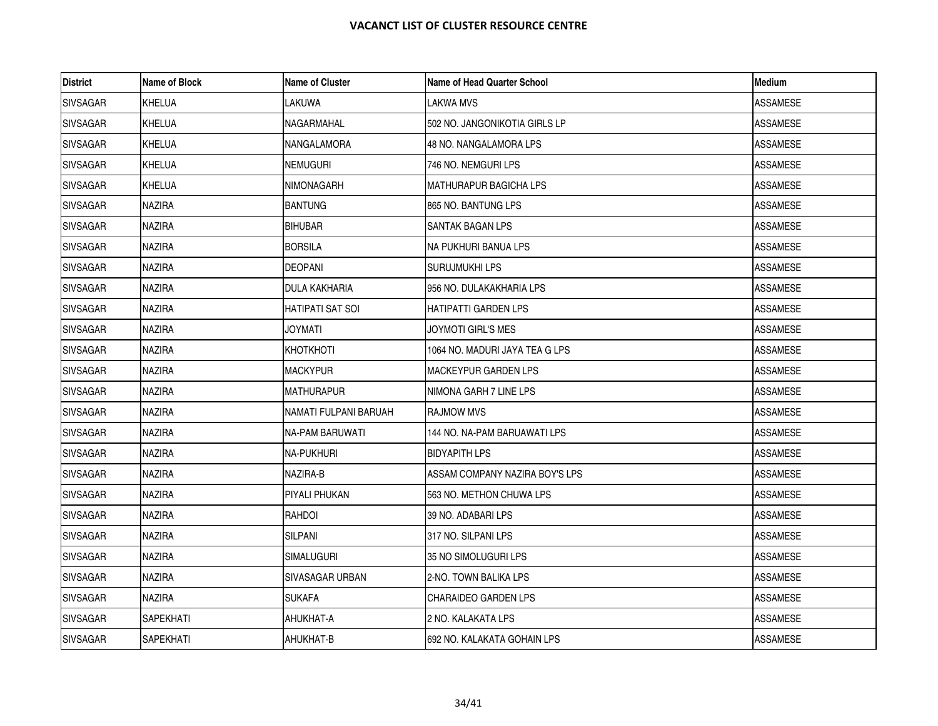| <b>District</b> | Name of Block | <b>Name of Cluster</b> | Name of Head Quarter School    | Medium          |
|-----------------|---------------|------------------------|--------------------------------|-----------------|
| <b>SIVSAGAR</b> | <b>KHELUA</b> | LAKUWA                 | LAKWA MVS                      | ASSAMESE        |
| <b>SIVSAGAR</b> | <b>KHELUA</b> | NAGARMAHAL             | 502 NO. JANGONIKOTIA GIRLS LP  | <b>ASSAMESE</b> |
| <b>SIVSAGAR</b> | KHELUA        | NANGALAMORA            | 48 NO. NANGALAMORA LPS         | ASSAMESE        |
| <b>SIVSAGAR</b> | <b>KHELUA</b> | <b>NEMUGURI</b>        | 746 NO. NEMGURI LPS            | ASSAMESE        |
| <b>SIVSAGAR</b> | KHELUA        | <b>NIMONAGARH</b>      | <b>MATHURAPUR BAGICHA LPS</b>  | <b>ASSAMESE</b> |
| <b>SIVSAGAR</b> | NAZIRA        | <b>BANTUNG</b>         | 865 NO. BANTUNG LPS            | ASSAMESE        |
| <b>SIVSAGAR</b> | NAZIRA        | <b>BIHUBAR</b>         | SANTAK BAGAN LPS               | ASSAMESE        |
| <b>SIVSAGAR</b> | <b>NAZIRA</b> | <b>BORSILA</b>         | NA PUKHURI BANUA LPS           | <b>ASSAMESE</b> |
| <b>SIVSAGAR</b> | NAZIRA        | DEOPANI                | SURUJMUKHI LPS                 | ASSAMESE        |
| <b>SIVSAGAR</b> | NAZIRA        | <b>DULA KAKHARIA</b>   | 956 NO. DULAKAKHARIA LPS       | <b>ASSAMESE</b> |
| <b>SIVSAGAR</b> | <b>NAZIRA</b> | IHATIPATI SAT SOI      | HATIPATTI GARDEN LPS           | <b>ASSAMESE</b> |
| <b>SIVSAGAR</b> | NAZIRA        | JOYMATI                | JOYMOTI GIRL'S MES             | ASSAMESE        |
| <b>SIVSAGAR</b> | <b>NAZIRA</b> | KHOTKHOTI              | 1064 NO. MADURI JAYA TEA G LPS | ASSAMESE        |
| <b>SIVSAGAR</b> | <b>NAZIRA</b> | <b>MACKYPUR</b>        | <b>MACKEYPUR GARDEN LPS</b>    | ASSAMESE        |
| <b>SIVSAGAR</b> | NAZIRA        | <b>MATHURAPUR</b>      | INIMONA GARH 7 LINE LPS        | ASSAMESE        |
| <b>SIVSAGAR</b> | <b>NAZIRA</b> | NAMATI FULPANI BARUAH  | <b>RAJMOW MVS</b>              | ASSAMESE        |
| <b>SIVSAGAR</b> | <b>NAZIRA</b> | NA-PAM BARUWATI        | 144 NO. NA-PAM BARUAWATI LPS   | <b>ASSAMESE</b> |
| <b>SIVSAGAR</b> | NAZIRA        | <b>NA-PUKHURI</b>      | <b>BIDYAPITH LPS</b>           | ASSAMESE        |
| <b>SIVSAGAR</b> | NAZIRA        | NAZIRA-B               | ASSAM COMPANY NAZIRA BOY'S LPS | ASSAMESE        |
| <b>SIVSAGAR</b> | <b>NAZIRA</b> | PIYALI PHUKAN          | 563 NO. METHON CHUWA LPS       | ASSAMESE        |
| <b>SIVSAGAR</b> | NAZIRA        | <b>RAHDOI</b>          | 39 NO. ADABARI LPS             | <b>ASSAMESE</b> |
| <b>SIVSAGAR</b> | NAZIRA        | SILPANI                | 317 NO. SILPANI LPS            | ASSAMESE        |
| <b>SIVSAGAR</b> | <b>NAZIRA</b> | <b>SIMALUGURI</b>      | 35 NO SIMOLUGURI LPS           | <b>ASSAMESE</b> |
| <b>SIVSAGAR</b> | <b>NAZIRA</b> | <b>SIVASAGAR URBAN</b> | 2-NO. TOWN BALIKA LPS          | <b>ASSAMESE</b> |
| <b>SIVSAGAR</b> | NAZIRA        | <b>SUKAFA</b>          | ICHARAIDEO GARDEN LPS          | ASSAMESE        |
| <b>SIVSAGAR</b> | SAPEKHATI     | AHUKHAT-A              | 2 NO. KALAKATA LPS             | ASSAMESE        |
| <b>SIVSAGAR</b> | SAPEKHATI     | AHUKHAT-B              | 692 NO. KALAKATA GOHAIN LPS    | <b>ASSAMESE</b> |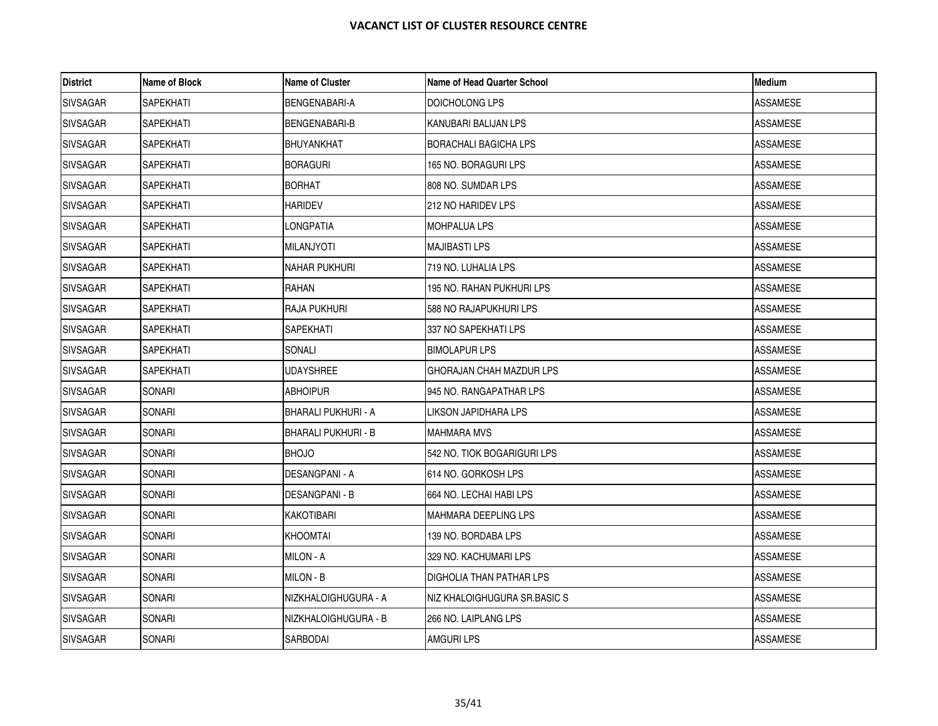| <b>District</b> | Name of Block    | <b>Name of Cluster</b>     | Name of Head Quarter School     | Medium          |
|-----------------|------------------|----------------------------|---------------------------------|-----------------|
| <b>SIVSAGAR</b> | SAPEKHATI        | BENGENABARI-A              | DOICHOLONG LPS                  | ASSAMESE        |
| <b>SIVSAGAR</b> | <b>SAPEKHATI</b> | <b>BENGENABARI-B</b>       | KANUBARI BALIJAN LPS            | <b>ASSAMESE</b> |
| <b>SIVSAGAR</b> | SAPEKHATI        | <b>BHUYANKHAT</b>          | <b>BORACHALI BAGICHA LPS</b>    | ASSAMESE        |
| <b>SIVSAGAR</b> | SAPEKHATI        | <b>BORAGURI</b>            | 165 NO. BORAGURI LPS            | ASSAMESE        |
| <b>SIVSAGAR</b> | SAPEKHATI        | <b>BORHAT</b>              | 808 NO. SUMDAR LPS              | <b>ASSAMESE</b> |
| <b>SIVSAGAR</b> | SAPEKHATI        | <b>HARIDEV</b>             | 212 NO HARIDEV LPS              | ASSAMESE        |
| <b>SIVSAGAR</b> | SAPEKHATI        | LONGPATIA                  | <b>MOHPALUA LPS</b>             | ASSAMESE        |
| <b>SIVSAGAR</b> | SAPEKHATI        | <b>MILANJYOTI</b>          | <b>MAJIBASTI LPS</b>            | <b>ASSAMESE</b> |
| <b>SIVSAGAR</b> | SAPEKHATI        | <b>NAHAR PUKHURI</b>       | 719 NO. LUHALIA LPS             | ASSAMESE        |
| <b>SIVSAGAR</b> | <b>SAPEKHATI</b> | RAHAN                      | 195 NO. RAHAN PUKHURI LPS       | ASSAMESE        |
| <b>SIVSAGAR</b> | SAPEKHATI        | <b>RAJA PUKHURI</b>        | 588 NO RAJAPUKHURI LPS          | <b>ASSAMESE</b> |
| <b>SIVSAGAR</b> | SAPEKHATI        | SAPEKHATI                  | 337 NO SAPEKHATI LPS            | ASSAMESE        |
| <b>SIVSAGAR</b> | SAPEKHATI        | SONALI                     | <b>BIMOLAPUR LPS</b>            | ASSAMESE        |
| <b>SIVSAGAR</b> | <b>SAPEKHATI</b> | <b>UDAYSHREE</b>           | GHORAJAN CHAH MAZDUR LPS        | ASSAMESE        |
| <b>SIVSAGAR</b> | SONARI           | <b>ABHOIPUR</b>            | 1945 NO. RANGAPATHAR LPS        | ASSAMESE        |
| <b>SIVSAGAR</b> | SONARI           | <b>BHARALI PUKHURI - A</b> | LIKSON JAPIDHARA LPS            | ASSAMESE        |
| <b>SIVSAGAR</b> | SONARI           | IBHARALI PUKHURI - B       | <b>MAHMARA MVS</b>              | <b>ASSAMESE</b> |
| <b>SIVSAGAR</b> | SONARI           | <b>BHOJO</b>               | 542 NO. TIOK BOGARIGURI LPS     | ASSAMESE        |
| <b>SIVSAGAR</b> | SONARI           | <b>DESANGPANI - A</b>      | 614 NO. GORKOSH LPS             | ASSAMESE        |
| <b>SIVSAGAR</b> | SONARI           | <b>DESANGPANI - B</b>      | 664 NO. LECHAI HABI LPS         | ASSAMESE        |
| <b>SIVSAGAR</b> | SONARI           | <b>KAKOTIBARI</b>          | <b>MAHMARA DEEPLING LPS</b>     | <b>ASSAMESE</b> |
| <b>SIVSAGAR</b> | SONARI           | <b>KHOOMTAI</b>            | 139 NO. BORDABA LPS             | ASSAMESE        |
| <b>SIVSAGAR</b> | SONARI           | MILON - A                  | 329 NO. KACHUMARI LPS           | <b>ASSAMESE</b> |
| <b>SIVSAGAR</b> | SONARI           | MILON - B                  | <b>DIGHOLIA THAN PATHAR LPS</b> | <b>ASSAMESE</b> |
| <b>SIVSAGAR</b> | SONARI           | NIZKHALOIGHUGURA - A       | INIZ KHALOIGHUGURA SR.BASIC S   | ASSAMESE        |
| <b>SIVSAGAR</b> | SONARI           | NIZKHALOIGHUGURA - B       | 266 NO. LAIPLANG LPS            | ASSAMESE        |
| <b>SIVSAGAR</b> | SONARI           | SARBODAI                   | <b>AMGURI LPS</b>               | ASSAMESE        |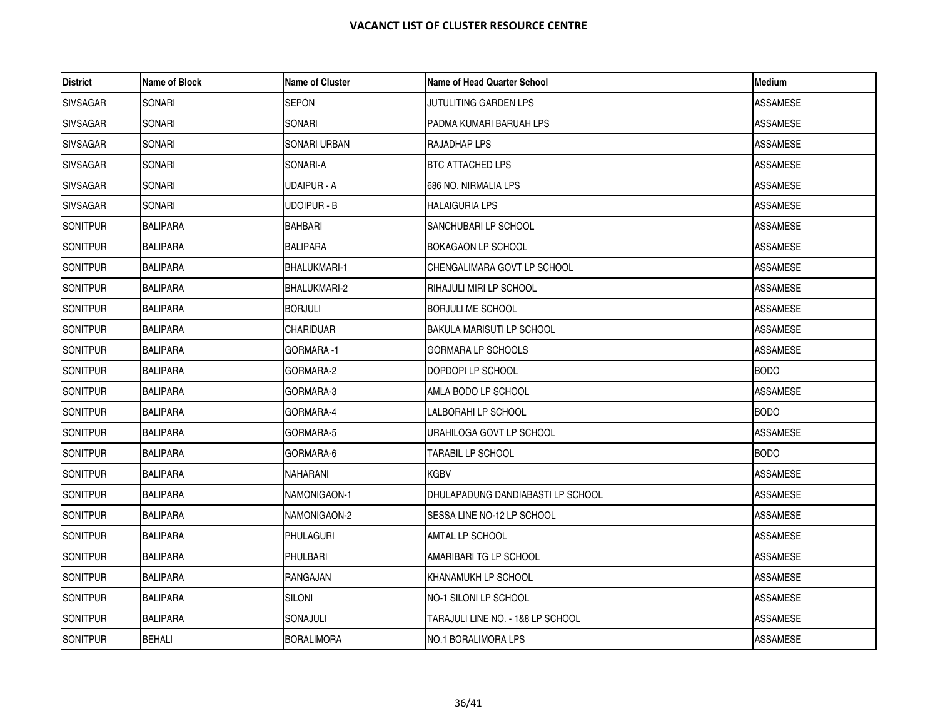| <b>District</b> | Name of Block   | <b>Name of Cluster</b> | Name of Head Quarter School       | Medium          |
|-----------------|-----------------|------------------------|-----------------------------------|-----------------|
| <b>SIVSAGAR</b> | SONARI          | SEPON                  | JUTULITING GARDEN LPS             | ASSAMESE        |
| <b>SIVSAGAR</b> | SONARI          | SONARI                 | PADMA KUMARI BARUAH LPS           | <b>ASSAMESE</b> |
| <b>SIVSAGAR</b> | SONARI          | SONARI URBAN           | RAJADHAP LPS                      | ASSAMESE        |
| <b>SIVSAGAR</b> | SONARI          | SONARI-A               | BTC ATTACHED LPS                  | ASSAMESE        |
| <b>SIVSAGAR</b> | SONARI          | UDAIPUR - A            | 686 NO. NIRMALIA LPS              | <b>ASSAMESE</b> |
| <b>SIVSAGAR</b> | SONARI          | UDOIPUR - B            | <b>HALAIGURIA LPS</b>             | <b>ASSAMESE</b> |
| <b>SONITPUR</b> | <b>BALIPARA</b> | <b>BAHBARI</b>         | SANCHUBARI LP SCHOOL              | ASSAMESE        |
| <b>SONITPUR</b> | <b>BALIPARA</b> | <b>BALIPARA</b>        | <b>BOKAGAON LP SCHOOL</b>         | <b>ASSAMESE</b> |
| <b>SONITPUR</b> | <b>BALIPARA</b> | <b>BHALUKMARI-1</b>    | CHENGALIMARA GOVT LP SCHOOL       | ASSAMESE        |
| <b>SONITPUR</b> | <b>BALIPARA</b> | BHALUKMARI-2           | <b>RIHAJULI MIRI LP SCHOOL</b>    | <b>ASSAMESE</b> |
| <b>SONITPUR</b> | <b>BALIPARA</b> | <b>BORJULI</b>         | <b>BORJULI ME SCHOOL</b>          | <b>ASSAMESE</b> |
| <b>SONITPUR</b> | <b>BALIPARA</b> | CHARIDUAR              | BAKULA MARISUTI LP SCHOOL         | ASSAMESE        |
| <b>SONITPUR</b> | <b>BALIPARA</b> | GORMARA -1             | <b>GORMARA LP SCHOOLS</b>         | <b>ASSAMESE</b> |
| <b>SONITPUR</b> | <b>BALIPARA</b> | GORMARA-2              | DOPDOPI LP SCHOOL                 | <b>BODO</b>     |
| <b>SONITPUR</b> | <b>BALIPARA</b> | GORMARA-3              | AMLA BODO LP SCHOOL               | <b>ASSAMESE</b> |
| <b>SONITPUR</b> | <b>BALIPARA</b> | GORMARA-4              | LALBORAHI LP SCHOOL               | <b>BODO</b>     |
| <b>SONITPUR</b> | <b>BALIPARA</b> | GORMARA-5              | URAHILOGA GOVT LP SCHOOL          | <b>ASSAMESE</b> |
| SONITPUR        | <b>BALIPARA</b> | GORMARA-6              | TARABIL LP SCHOOL                 | <b>BODO</b>     |
| <b>SONITPUR</b> | <b>BALIPARA</b> | NAHARANI               | KGBV                              | ASSAMESE        |
| <b>SONITPUR</b> | <b>BALIPARA</b> | NAMONIGAON-1           | DHULAPADUNG DANDIABASTI LP SCHOOL | <b>ASSAMESE</b> |
| <b>SONITPUR</b> | <b>BALIPARA</b> | NAMONIGAON-2           | SESSA LINE NO-12 LP SCHOOL        | <b>ASSAMESE</b> |
| <b>SONITPUR</b> | <b>BALIPARA</b> | PHULAGURI              | AMTAL LP SCHOOL                   | ASSAMESE        |
| SONITPUR        | <b>BALIPARA</b> | PHULBARI               | AMARIBARI TG LP SCHOOL            | <b>ASSAMESE</b> |
| SONITPUR        | <b>BALIPARA</b> | <b>RANGAJAN</b>        | KHANAMUKH LP SCHOOL               | <b>ASSAMESE</b> |
| <b>SONITPUR</b> | <b>BALIPARA</b> | Siloni                 | NO-1 SILONI LP SCHOOL             | ASSAMESE        |
| <b>SONITPUR</b> | <b>BALIPARA</b> | SONAJULI               | TARAJULI LINE NO. - 1&8 LP SCHOOL | ASSAMESE        |
| SONITPUR        | <b>BEHALI</b>   | <b>BORALIMORA</b>      | NO.1 BORALIMORA LPS               | <b>ASSAMESE</b> |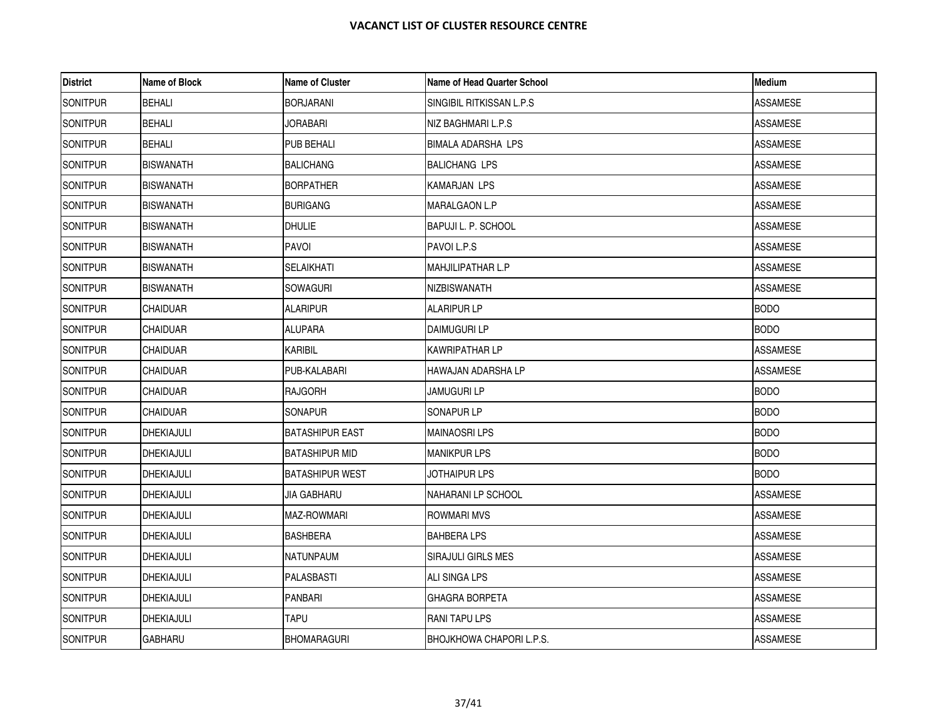| <b>District</b> | Name of Block     | <b>Name of Cluster</b> | Name of Head Quarter School | <b>Medium</b>   |
|-----------------|-------------------|------------------------|-----------------------------|-----------------|
| <b>SONITPUR</b> | <b>BEHALI</b>     | <b>BORJARANI</b>       | SINGIBIL RITKISSAN L.P.S    | ASSAMESE        |
| <b>SONITPUR</b> | <b>BEHALI</b>     | JORABARI               | NIZ BAGHMARI L.P.S          | <b>ASSAMESE</b> |
| <b>SONITPUR</b> | <b>BEHALI</b>     | PUB BEHALI             | <b>BIMALA ADARSHA LPS</b>   | <b>ASSAMESE</b> |
| <b>SONITPUR</b> | <b>BISWANATH</b>  | <b>BALICHANG</b>       | <b>BALICHANG LPS</b>        | ASSAMESE        |
| <b>SONITPUR</b> | <b>BISWANATH</b>  | <b>BORPATHER</b>       | <b>KAMARJAN LPS</b>         | ASSAMESE        |
| <b>SONITPUR</b> | <b>BISWANATH</b>  | <b>BURIGANG</b>        | MARALGAON L.P               | ASSAMESE        |
| <b>SONITPUR</b> | <b>BISWANATH</b>  | <b>DHULIE</b>          | <b>BAPUJI L. P. SCHOOL</b>  | ASSAMESE        |
| <b>SONITPUR</b> | <b>BISWANATH</b>  | <b>PAVOI</b>           | PAVOI L.P.S                 | <b>ASSAMESE</b> |
| <b>SONITPUR</b> | <b>BISWANATH</b>  | SELAIKHATI             | <b>MAHJILIPATHAR L.P</b>    | ASSAMESE        |
| <b>SONITPUR</b> | <b>BISWANATH</b>  | <b>SOWAGURI</b>        | NIZBISWANATH                | <b>ASSAMESE</b> |
| <b>SONITPUR</b> | <b>CHAIDUAR</b>   | <b>ALARIPUR</b>        | <b>ALARIPUR LP</b>          | <b>BODO</b>     |
| <b>SONITPUR</b> | <b>CHAIDUAR</b>   | <b>ALUPARA</b>         | DAIMUGURI LP                | <b>BODO</b>     |
| <b>SONITPUR</b> | <b>CHAIDUAR</b>   | KARIBIL                | <b>KAWRIPATHAR LP</b>       | ASSAMESE        |
| <b>SONITPUR</b> | <b>CHAIDUAR</b>   | PUB-KALABARI           | HAWAJAN ADARSHA LP          | <b>ASSAMESE</b> |
| <b>SONITPUR</b> | CHAIDUAR          | <b>RAJGORH</b>         | JAMUGURI LP                 | <b>BODO</b>     |
| <b>SONITPUR</b> | CHAIDUAR          | SONAPUR                | SONAPUR LP                  | <b>BODO</b>     |
| <b>SONITPUR</b> | <b>DHEKIAJULI</b> | <b>BATASHIPUR EAST</b> | <b>MAINAOSRI LPS</b>        | <b>BODO</b>     |
| <b>SONITPUR</b> | DHEKIAJULI        | <b>BATASHIPUR MID</b>  | <b>MANIKPUR LPS</b>         | <b>BODO</b>     |
| <b>SONITPUR</b> | DHEKIAJULI        | <b>BATASHIPUR WEST</b> | JOTHAIPUR LPS               | <b>BODO</b>     |
| <b>SONITPUR</b> | DHEKIAJULI        | JIA GABHARU            | NAHARANI LP SCHOOL          | <b>ASSAMESE</b> |
| <b>SONITPUR</b> | <b>DHEKIAJULI</b> | MAZ-ROWMARI            | <b>ROWMARI MVS</b>          | <b>ASSAMESE</b> |
| <b>SONITPUR</b> | DHEKIAJULI        | BASHBERA               | <b>BAHBERA LPS</b>          | ASSAMESE        |
| <b>SONITPUR</b> | DHEKIAJULI        | NATUNPAUM              | SIRAJULI GIRLS MES          | ASSAMESE        |
| <b>SONITPUR</b> | DHEKIAJULI        | <b>PALASBASTI</b>      | ALI SINGA LPS               | ASSAMESE        |
| <b>SONITPUR</b> | <b>DHEKIAJULI</b> | PANBARI                | <b>GHAGRA BORPETA</b>       | ASSAMESE        |
| <b>SONITPUR</b> | <b>DHEKIAJULI</b> | TAPU                   | RANI TAPU LPS               | ASSAMESE        |
| <b>SONITPUR</b> | <b>GABHARU</b>    | <b>BHOMARAGURI</b>     | BHOJKHOWA CHAPORI L.P.S.    | <b>ASSAMESE</b> |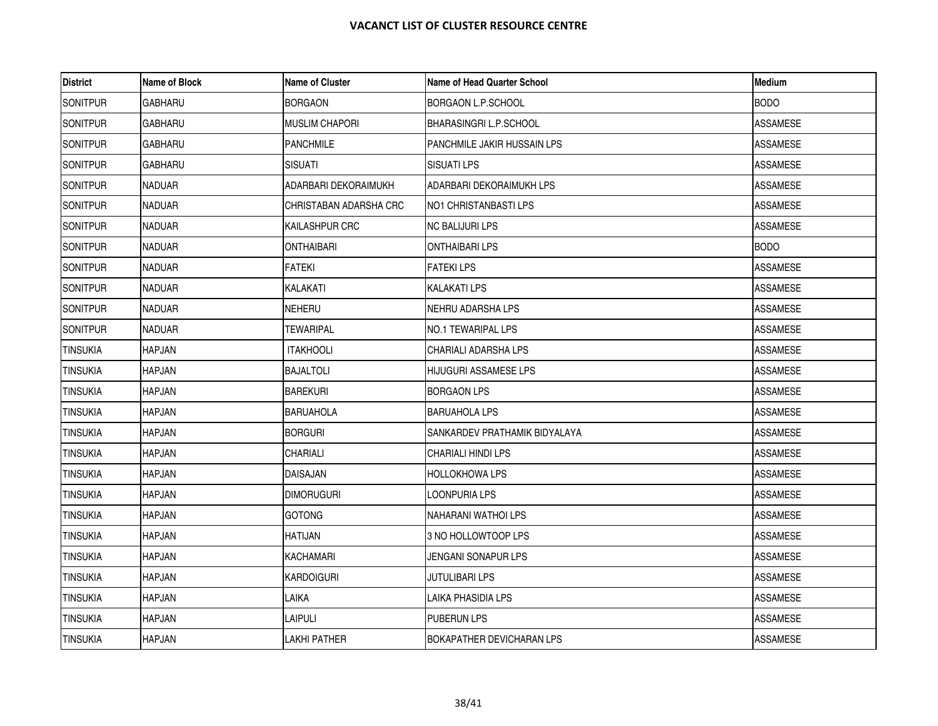| <b>District</b> | Name of Block  | <b>Name of Cluster</b> | <b>Name of Head Quarter School</b> | <b>Medium</b>   |
|-----------------|----------------|------------------------|------------------------------------|-----------------|
| <b>SONITPUR</b> | <b>GABHARU</b> | <b>BORGAON</b>         | BORGAON L.P.SCHOOL                 | <b>BODO</b>     |
| <b>SONITPUR</b> | <b>GABHARU</b> | <b>MUSLIM CHAPORI</b>  | BHARASINGRI L.P.SCHOOL             | <b>ASSAMESE</b> |
| <b>SONITPUR</b> | GABHARU        | <b>PANCHMILE</b>       | PANCHMILE JAKIR HUSSAIN LPS        | ASSAMESE        |
| <b>SONITPUR</b> | <b>GABHARU</b> | <b>SISUATI</b>         | SISUATI LPS                        | ASSAMESE        |
| <b>SONITPUR</b> | <b>NADUAR</b>  | ADARBARI DEKORAIMUKH   | ADARBARI DEKORAIMUKH LPS           | <b>ASSAMESE</b> |
| SONITPUR        | <b>NADUAR</b>  | CHRISTABAN ADARSHA CRC | NO1 CHRISTANBASTI LPS              | <b>ASSAMESE</b> |
| <b>SONITPUR</b> | <b>NADUAR</b>  | <b>KAILASHPUR CRC</b>  | NC BALIJURI LPS                    | ASSAMESE        |
| <b>SONITPUR</b> | <b>NADUAR</b>  | ONTHAIBARI             | ONTHAIBARI LPS                     | <b>BODO</b>     |
| <b>SONITPUR</b> | <b>NADUAR</b>  | <b>FATEKI</b>          | <b>FATEKI LPS</b>                  | ASSAMESE        |
| <b>SONITPUR</b> | <b>NADUAR</b>  | KALAKATI               | KALAKATI LPS                       | <b>ASSAMESE</b> |
| <b>SONITPUR</b> | <b>NADUAR</b>  | <b>NEHERU</b>          | NEHRU ADARSHA LPS                  | ASSAMESE        |
| <b>SONITPUR</b> | <b>NADUAR</b>  | TEWARIPAL              | NO.1 TEWARIPAL LPS                 | ASSAMESE        |
| <b>TINSUKIA</b> | HAPJAN         | <b>ITAKHOOLI</b>       | CHARIALI ADARSHA LPS               | <b>ASSAMESE</b> |
| <b>TINSUKIA</b> | <b>HAPJAN</b>  | <b>BAJALTOLI</b>       | HIJUGURI ASSAMESE LPS              | <b>ASSAMESE</b> |
| <b>TINSUKIA</b> | <b>HAPJAN</b>  | <b>BAREKURI</b>        | BORGAON LPS                        | ASSAMESE        |
| <b>TINSUKIA</b> | <b>HAPJAN</b>  | BARUAHOLA              | BARUAHOLA LPS                      | ASSAMESE        |
| <b>TINSUKIA</b> | <b>HAPJAN</b>  | <b>BORGURI</b>         | SANKARDEV PRATHAMIK BIDYALAYA      | <b>ASSAMESE</b> |
| <b>TINSUKIA</b> | <b>HAPJAN</b>  | CHARIALI               | CHARIALI HINDI LPS                 | ASSAMESE        |
| <b>TINSUKIA</b> | <b>HAPJAN</b>  | DAISAJAN               | HOLLOKHOWA LPS                     | ASSAMESE        |
| <b>TINSUKIA</b> | <b>HAPJAN</b>  | <b>DIMORUGURI</b>      | LOONPURIA LPS                      | <b>ASSAMESE</b> |
| <b>TINSUKIA</b> | <b>HAPJAN</b>  | <b>GOTONG</b>          | NAHARANI WATHOI LPS                | <b>ASSAMESE</b> |
| <b>TINSUKIA</b> | <b>HAPJAN</b>  | HATIJAN                | 3 NO HOLLOWTOOP LPS                | ASSAMESE        |
| <b>TINSUKIA</b> | <b>HAPJAN</b>  | <b>KACHAMARI</b>       | JENGANI SONAPUR LPS                | <b>ASSAMESE</b> |
| <b>TINSUKIA</b> | <b>HAPJAN</b>  | KARDOIGURI             | <b>JUTULIBARI LPS</b>              | ASSAMESE        |
| <b>TINSUKIA</b> | <b>HAPJAN</b>  | LAIKA                  | LAIKA PHASIDIA LPS                 | ASSAMESE        |
| <b>TINSUKIA</b> | <b>HAPJAN</b>  | LAIPULI                | PUBERUN LPS                        | ASSAMESE        |
| <b>TINSUKIA</b> | <b>HAPJAN</b>  | LAKHI PATHER           | BOKAPATHER DEVICHARAN LPS          | <b>ASSAMESE</b> |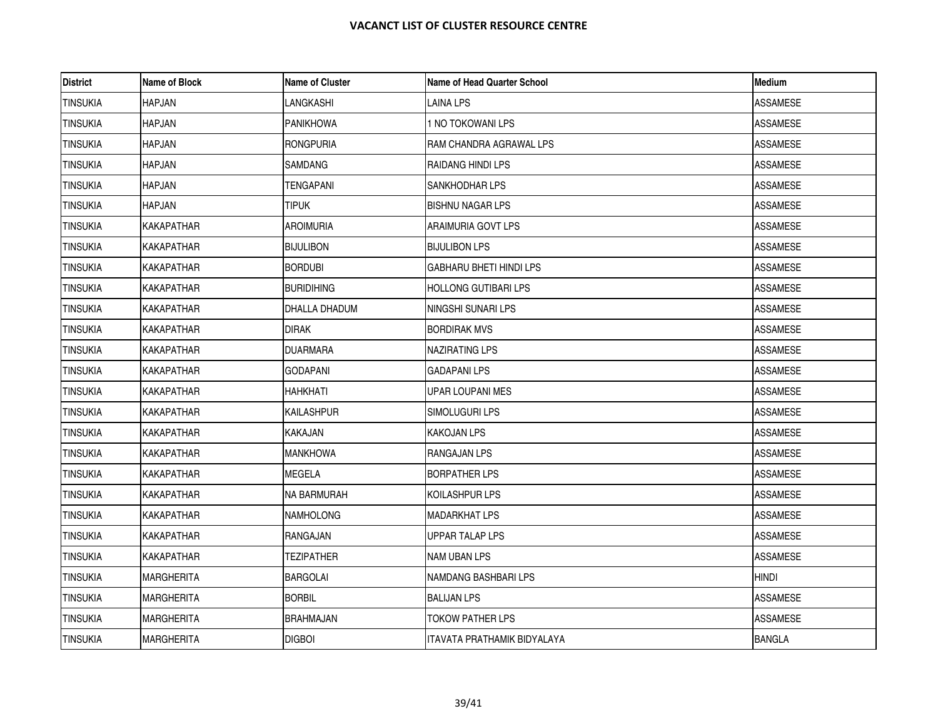| <b>District</b> | Name of Block     | <b>Name of Cluster</b> | <b>Name of Head Quarter School</b> | Medium          |
|-----------------|-------------------|------------------------|------------------------------------|-----------------|
| <b>TINSUKIA</b> | HAPJAN            | LANGKASHI              | LAINA LPS                          | <b>ASSAMESE</b> |
| <b>TINSUKIA</b> | <b>HAPJAN</b>     | <b>PANIKHOWA</b>       | 1 NO TOKOWANI LPS                  | <b>ASSAMESE</b> |
| <b>TINSUKIA</b> | <b>HAPJAN</b>     | <b>RONGPURIA</b>       | RAM CHANDRA AGRAWAL LPS            | ASSAMESE        |
| <b>TINSUKIA</b> | HAPJAN            | <b>SAMDANG</b>         | RAIDANG HINDI LPS                  | <b>ASSAMESE</b> |
| <b>TINSUKIA</b> | <b>HAPJAN</b>     | <b>TENGAPANI</b>       | SANKHODHAR LPS                     | <b>ASSAMESE</b> |
| <b>TINSUKIA</b> | <b>HAPJAN</b>     | <b>TIPUK</b>           | <b>BISHNU NAGAR LPS</b>            | <b>ASSAMESE</b> |
| <b>TINSUKIA</b> | <b>KAKAPATHAR</b> | <b>AROIMURIA</b>       | ARAIMURIA GOVT LPS                 | <b>ASSAMESE</b> |
| <b>TINSUKIA</b> | <b>KAKAPATHAR</b> | <b>BIJULIBON</b>       | <b>BIJULIBON LPS</b>               | <b>ASSAMESE</b> |
| <b>TINSUKIA</b> | KAKAPATHAR        | <b>BORDUBI</b>         | GABHARU BHETI HINDI LPS            | <b>ASSAMESE</b> |
| <b>TINSUKIA</b> | KAKAPATHAR        | <b>BURIDIHING</b>      | HOLLONG GUTIBARI LPS               | ASSAMESE        |
| <b>TINSUKIA</b> | <b>KAKAPATHAR</b> | DHALLA DHADUM          | NINGSHI SUNARI LPS                 | <b>ASSAMESE</b> |
| <b>TINSUKIA</b> | KAKAPATHAR        | DIRAK                  | BORDIRAK MVS                       | ASSAMESE        |
| <b>TINSUKIA</b> | KAKAPATHAR        | <b>DUARMARA</b>        | NAZIRATING LPS                     | ASSAMESE        |
| <b>TINSUKIA</b> | <b>KAKAPATHAR</b> | <b>GODAPANI</b>        | GADAPANI LPS                       | ASSAMESE        |
| <b>TINSUKIA</b> | KAKAPATHAR        | <b>HAHKHATI</b>        | UPAR LOUPANI MES                   | ASSAMESE        |
| <b>TINSUKIA</b> | KAKAPATHAR        | KAILASHPUR             | SIMOLUGURI LPS                     | ASSAMESE        |
| <b>TINSUKIA</b> | <b>KAKAPATHAR</b> | <b>KAKAJAN</b>         | <b>KAKOJAN LPS</b>                 | <b>ASSAMESE</b> |
| <b>TINSUKIA</b> | KAKAPATHAR        | <b>MANKHOWA</b>        | RANGAJAN LPS                       | ASSAMESE        |
| <b>TINSUKIA</b> | KAKAPATHAR        | MEGELA                 | BORPATHER LPS                      | ASSAMESE        |
| <b>TINSUKIA</b> | KAKAPATHAR        | <b>NA BARMURAH</b>     | KOILASHPUR LPS                     | ASSAMESE        |
| <b>TINSUKIA</b> | <b>KAKAPATHAR</b> | <b>NAMHOLONG</b>       | MADARKHAT LPS                      | ASSAMESE        |
| <b>TINSUKIA</b> | KAKAPATHAR        | RANGAJAN               | UPPAR TALAP LPS                    | <b>ASSAMESE</b> |
| <b>TINSUKIA</b> | KAKAPATHAR        | TEZIPATHER             | NAM UBAN LPS                       | <b>ASSAMESE</b> |
| <b>TINSUKIA</b> | <b>MARGHERITA</b> | <b>BARGOLAI</b>        | NAMDANG BASHBARI LPS               | <b>HINDI</b>    |
| <b>TINSUKIA</b> | <b>MARGHERITA</b> | <b>BORBIL</b>          | BALIJAN LPS                        | <b>ASSAMESE</b> |
| <b>TINSUKIA</b> | MARGHERITA        | <b>BRAHMAJAN</b>       | TOKOW PATHER LPS                   | ASSAMESE        |
| <b>TINSUKIA</b> | <b>MARGHERITA</b> | <b>DIGBOI</b>          | ITAVATA PRATHAMIK BIDYALAYA        | <b>BANGLA</b>   |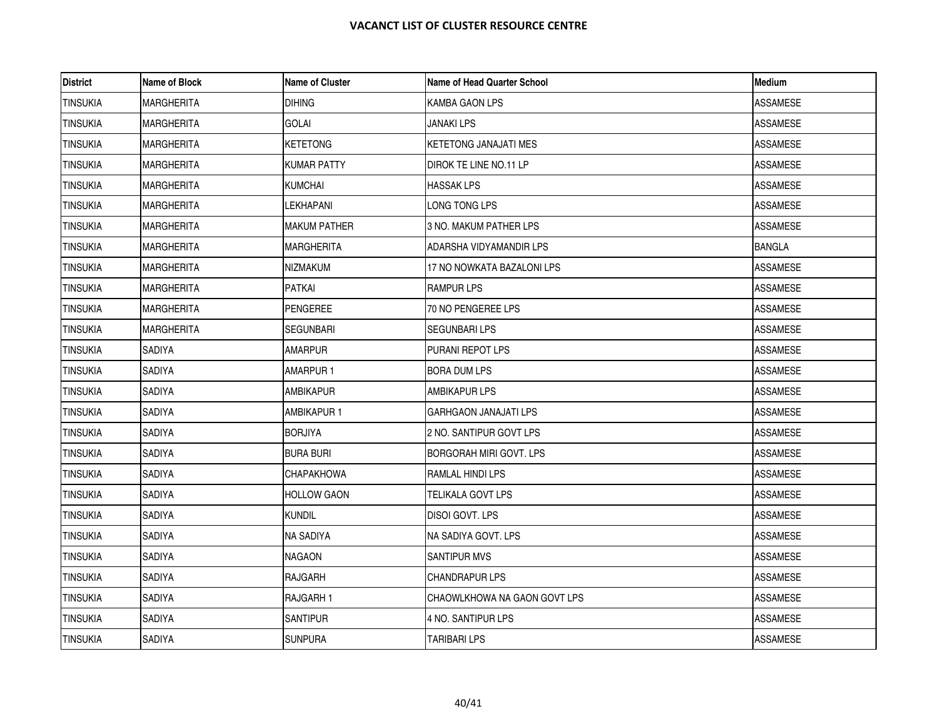| <b>District</b> | Name of Block     | <b>Name of Cluster</b> | Name of Head Quarter School    | <b>Medium</b>   |
|-----------------|-------------------|------------------------|--------------------------------|-----------------|
| <b>TINSUKIA</b> | <b>MARGHERITA</b> | <b>DIHING</b>          | KAMBA GAON LPS                 | <b>ASSAMESE</b> |
| <b>TINSUKIA</b> | <b>MARGHERITA</b> | <b>GOLAI</b>           | <b>JANAKI LPS</b>              | <b>ASSAMESE</b> |
| <b>TINSUKIA</b> | <b>MARGHERITA</b> | KETETONG               | KETETONG JANAJATI MES          | ASSAMESE        |
| <b>TINSUKIA</b> | <b>MARGHERITA</b> | <b>KUMAR PATTY</b>     | DIROK TE LINE NO.11 LP         | <b>ASSAMESE</b> |
| <b>TINSUKIA</b> | <b>MARGHERITA</b> | <b>KUMCHAI</b>         | <b>HASSAK LPS</b>              | <b>ASSAMESE</b> |
| <b>TINSUKIA</b> | <b>MARGHERITA</b> | <b>LEKHAPANI</b>       | LONG TONG LPS                  | <b>ASSAMESE</b> |
| <b>TINSUKIA</b> | <b>MARGHERITA</b> | MAKUM PATHER           | 3 NO. MAKUM PATHER LPS         | <b>ASSAMESE</b> |
| <b>TINSUKIA</b> | <b>MARGHERITA</b> | MARGHERITA             | ADARSHA VIDYAMANDIR LPS        | <b>BANGLA</b>   |
| <b>TINSUKIA</b> | MARGHERITA        | NIZMAKUM               | 17 NO NOWKATA BAZALONI LPS     | ASSAMESE        |
| <b>TINSUKIA</b> | <b>MARGHERITA</b> | PATKAI                 | <b>RAMPUR LPS</b>              | <b>ASSAMESE</b> |
| <b>TINSUKIA</b> | <b>MARGHERITA</b> | PENGEREE               | 70 NO PENGEREE LPS             | <b>ASSAMESE</b> |
| <b>TINSUKIA</b> | <b>MARGHERITA</b> | SEGUNBARI              | SEGUNBARI LPS                  | ASSAMESE        |
| <b>TINSUKIA</b> | SADIYA            | <b>AMARPUR</b>         | PURANI REPOT LPS               | <b>ASSAMESE</b> |
| <b>TINSUKIA</b> | SADIYA            | AMARPUR 1              | <b>BORA DUM LPS</b>            | ASSAMESE        |
| <b>TINSUKIA</b> | SADIYA            | AMBIKAPUR              | AMBIKAPUR LPS                  | <b>ASSAMESE</b> |
| <b>TINSUKIA</b> | SADIYA            | AMBIKAPUR 1            | <b>GARHGAON JANAJATI LPS</b>   | ASSAMESE        |
| <b>TINSUKIA</b> | SADIYA            | <b>BORJIYA</b>         | 2 NO. SANTIPUR GOVT LPS        | <b>ASSAMESE</b> |
| <b>TINSUKIA</b> | SADIYA            | <b>BURA BURI</b>       | <b>BORGORAH MIRI GOVT. LPS</b> | ASSAMESE        |
| <b>TINSUKIA</b> | SADIYA            | CHAPAKHOWA             | RAMLAL HINDI LPS               | ASSAMESE        |
| <b>TINSUKIA</b> | SADIYA            | <b>HOLLOW GAON</b>     | TELIKALA GOVT LPS              | <b>ASSAMESE</b> |
| <b>TINSUKIA</b> | SADIYA            | kundil                 | DISOI GOVT, LPS                | <b>ASSAMESE</b> |
| <b>TINSUKIA</b> | SADIYA            | NA SADIYA              | NA SADIYA GOVT. LPS            | ASSAMESE        |
| <b>TINSUKIA</b> | SADIYA            | NAGAON                 | <b>SANTIPUR MVS</b>            | <b>ASSAMESE</b> |
| <b>TINSUKIA</b> | SADIYA            | RAJGARH                | <b>CHANDRAPUR LPS</b>          | <b>ASSAMESE</b> |
| <b>TINSUKIA</b> | SADIYA            | RAJGARH 1              | CHAOWLKHOWA NA GAON GOVT LPS   | ASSAMESE        |
| <b>TINSUKIA</b> | SADIYA            | <b>SANTIPUR</b>        | 4 NO. SANTIPUR LPS             | <b>ASSAMESE</b> |
| <b>TINSUKIA</b> | SADIYA            | <b>SUNPURA</b>         | <b>TARIBARI LPS</b>            | <b>ASSAMESE</b> |